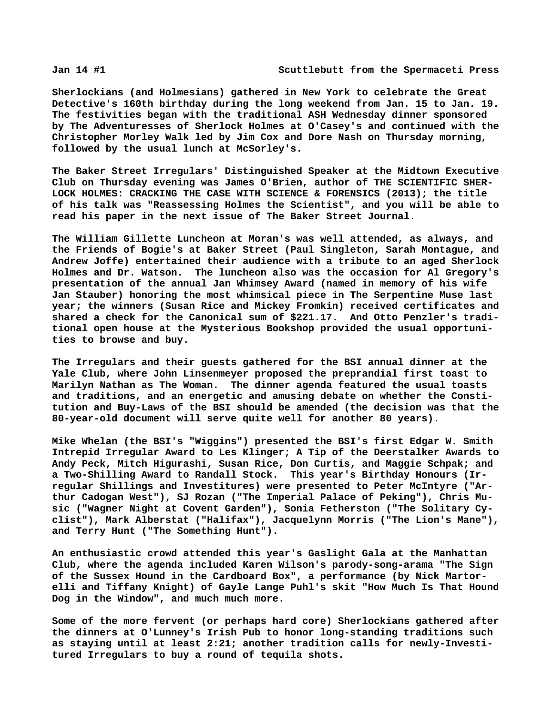**Sherlockians (and Holmesians) gathered in New York to celebrate the Great Detective's 160th birthday during the long weekend from Jan. 15 to Jan. 19. The festivities began with the traditional ASH Wednesday dinner sponsored by The Adventuresses of Sherlock Holmes at O'Casey's and continued with the Christopher Morley Walk led by Jim Cox and Dore Nash on Thursday morning, followed by the usual lunch at McSorley's.**

**The Baker Street Irregulars' Distinguished Speaker at the Midtown Executive Club on Thursday evening was James O'Brien, author of THE SCIENTIFIC SHER-LOCK HOLMES: CRACKING THE CASE WITH SCIENCE & FORENSICS (2013); the title of his talk was "Reassessing Holmes the Scientist", and you will be able to read his paper in the next issue of The Baker Street Journal.**

**The William Gillette Luncheon at Moran's was well attended, as always, and the Friends of Bogie's at Baker Street (Paul Singleton, Sarah Montague, and Andrew Joffe) entertained their audience with a tribute to an aged Sherlock Holmes and Dr. Watson. The luncheon also was the occasion for Al Gregory's presentation of the annual Jan Whimsey Award (named in memory of his wife Jan Stauber) honoring the most whimsical piece in The Serpentine Muse last year; the winners (Susan Rice and Mickey Fromkin) received certificates and shared a check for the Canonical sum of \$221.17. And Otto Penzler's traditional open house at the Mysterious Bookshop provided the usual opportunities to browse and buy.**

**The Irregulars and their guests gathered for the BSI annual dinner at the Yale Club, where John Linsenmeyer proposed the preprandial first toast to Marilyn Nathan as The Woman. The dinner agenda featured the usual toasts and traditions, and an energetic and amusing debate on whether the Constitution and Buy-Laws of the BSI should be amended (the decision was that the 80-year-old document will serve quite well for another 80 years).**

**Mike Whelan (the BSI's "Wiggins") presented the BSI's first Edgar W. Smith Intrepid Irregular Award to Les Klinger; A Tip of the Deerstalker Awards to Andy Peck, Mitch Higurashi, Susan Rice, Don Curtis, and Maggie Schpak; and a Two-Shilling Award to Randall Stock. This year's Birthday Honours (Irregular Shillings and Investitures) were presented to Peter McIntyre ("Arthur Cadogan West"), SJ Rozan ("The Imperial Palace of Peking"), Chris Music ("Wagner Night at Covent Garden"), Sonia Fetherston ("The Solitary Cyclist"), Mark Alberstat ("Halifax"), Jacquelynn Morris ("The Lion's Mane"), and Terry Hunt ("The Something Hunt").**

**An enthusiastic crowd attended this year's Gaslight Gala at the Manhattan Club, where the agenda included Karen Wilson's parody-song-arama "The Sign of the Sussex Hound in the Cardboard Box", a performance (by Nick Martorelli and Tiffany Knight) of Gayle Lange Puhl's skit "How Much Is That Hound Dog in the Window", and much much more.**

**Some of the more fervent (or perhaps hard core) Sherlockians gathered after the dinners at O'Lunney's Irish Pub to honor long-standing traditions such as staying until at least 2:21; another tradition calls for newly-Investitured Irregulars to buy a round of tequila shots.**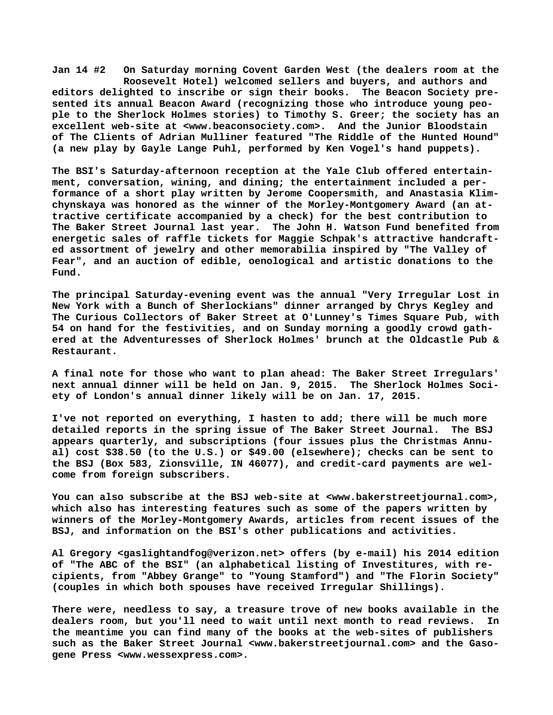**Jan 14 #2 On Saturday morning Covent Garden West (the dealers room at the Roosevelt Hotel) welcomed sellers and buyers, and authors and editors delighted to inscribe or sign their books. The Beacon Society presented its annual Beacon Award (recognizing those who introduce young people to the Sherlock Holmes stories) to Timothy S. Greer; the society has an excellent web-site at [<www.beaconsociety.com>.](http://www.beaconsociety.com) And the Junior Bloodstain of The Clients of Adrian Mulliner featured "The Riddle of the Hunted Hound" (a new play by Gayle Lange Puhl, performed by Ken Vogel's hand puppets).**

**The BSI's Saturday-afternoon reception at the Yale Club offered entertainment, conversation, wining, and dining; the entertainment included a performance of a short play written by Jerome Coopersmith, and Anastasia Klimchynskaya was honored as the winner of the Morley-Montgomery Award (an attractive certificate accompanied by a check) for the best contribution to** The John H. Watson Fund benefited from **energetic sales of raffle tickets for Maggie Schpak's attractive handcrafted assortment of jewelry and other memorabilia inspired by "The Valley of Fear", and an auction of edible, oenological and artistic donations to the Fund.**

**The principal Saturday-evening event was the annual "Very Irregular Lost in New York with a Bunch of Sherlockians" dinner arranged by Chrys Kegley and The Curious Collectors of Baker Street at O'Lunney's Times Square Pub, with 54 on hand for the festivities, and on Sunday morning a goodly crowd gathered at the Adventuresses of Sherlock Holmes' brunch at the Oldcastle Pub & Restaurant.**

**A final note for those who want to plan ahead: The Baker Street Irregulars' next annual dinner will be held on Jan. 9, 2015. The Sherlock Holmes Society of London's annual dinner likely will be on Jan. 17, 2015.**

**I've not reported on everything, I hasten to add; there will be much more detailed reports in the spring issue of The Baker Street Journal. The BSJ appears quarterly, and subscriptions (four issues plus the Christmas Annual) cost \$38.50 (to the U.S.) or \$49.00 (elsewhere); checks can be sent to the BSJ (Box 583, Zionsville, IN 46077), and credit-card payments are welcome from foreign subscribers.**

**You can also subscribe at the BSJ web-site at <[www.bakerstreetjournal.com>,](http://www.bakerstreetjournal.com) which also has interesting features such as some of the papers written by winners of the Morley-Montgomery Awards, articles from recent issues of the BSJ, and information on the BSI's other publications and activities.**

**Al Gregory <[gaslightandfog@verizon.net> o](mailto:gaslightandfog@verizon.net)ffers (by e-mail) his 2014 edition of "The ABC of the BSI" (an alphabetical listing of Investitures, with recipients, from "Abbey Grange" to "Young Stamford") and "The Florin Society" (couples in which both spouses have received Irregular Shillings).**

**There were, needless to say, a treasure trove of new books available in the dealers room, but you'll need to wait until next month to read reviews. In the meantime you can find many of the books at the web-sites of publishers such as the Baker Street Journal [<www.bakerstreetjournal.com> a](http://www.bakerstreetjournal.com)nd the Gasogene Press <[www.wessexpress.com>.](http://www.wessexpress.com)**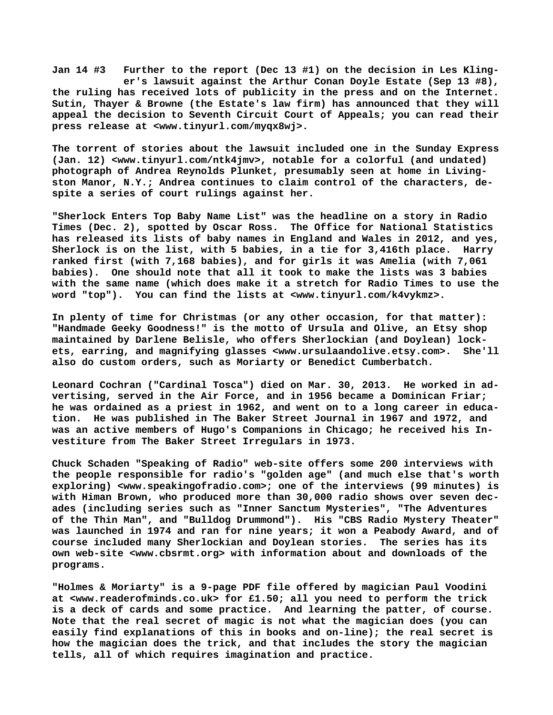**Jan 14 #3 Further to the report (Dec 13 #1) on the decision in Les Kling er's lawsuit against the Arthur Conan Doyle Estate (Sep 13 #8), the ruling has received lots of publicity in the press and on the Internet. Sutin, Thayer & Browne (the Estate's law firm) has announced that they will appeal the decision to Seventh Circuit Court of Appeals; you can read their press release at [<www.tinyurl.com/myqx8wj>.](http://www.tinyurl.com/myqx8wj)**

**The torrent of stories about the lawsuit included one in the Sunday Express (Jan. 12) [<www.tinyurl.com/ntk4jmv>, n](http://www.tinyurl.com/ntk4jmv)otable for a colorful (and undated) photograph of Andrea Reynolds Plunket, presumably seen at home in Livingston Manor, N.Y.; Andrea continues to claim control of the characters, despite a series of court rulings against her.**

**"Sherlock Enters Top Baby Name List" was the headline on a story in Radio Times (Dec. 2), spotted by Oscar Ross. The Office for National Statistics has released its lists of baby names in England and Wales in 2012, and yes, Sherlock is on the list, with 5 babies, in a tie for 3,416th place. Harry ranked first (with 7,168 babies), and for girls it was Amelia (with 7,061 babies). One should note that all it took to make the lists was 3 babies with the same name (which does make it a stretch for Radio Times to use the word "top"). You can find the lists at [<www.tinyurl.com/k4vykmz>.](http://www.tinyurl.com/k4vykmz)**

**In plenty of time for Christmas (or any other occasion, for that matter): "Handmade Geeky Goodness!" is the motto of Ursula and Olive, an Etsy shop maintained by Darlene Belisle, who offers Sherlockian (and Doylean) lockets, earring, and magnifying glasses [<www.ursulaandolive.etsy.com>.](http://www.ursulaandolive.etsy.com) She'll also do custom orders, such as Moriarty or Benedict Cumberbatch.**

**Leonard Cochran ("Cardinal Tosca") died on Mar. 30, 2013. He worked in advertising, served in the Air Force, and in 1956 became a Dominican Friar; he was ordained as a priest in 1962, and went on to a long career in education. He was published in The Baker Street Journal in 1967 and 1972, and was an active members of Hugo's Companions in Chicago; he received his Investiture from The Baker Street Irregulars in 1973.**

**Chuck Schaden "Speaking of Radio" web-site offers some 200 interviews with the people responsible for radio's "golden age" (and much else that's worth exploring) <[www.speakingofradio.com>; o](http://www.speakingofradio.com)ne of the interviews (99 minutes) is with Himan Brown, who produced more than 30,000 radio shows over seven decades (including series such as "Inner Sanctum Mysteries", "The Adventures of the Thin Man", and "Bulldog Drummond"). His "CBS Radio Mystery Theater" was launched in 1974 and ran for nine years; it won a Peabody Award, and of course included many Sherlockian and Doylean stories. The series has its own web-site [<www.cbsrmt.org> w](http://www.cbsrmt.org)ith information about and downloads of the programs.**

**"Holmes & Moriarty" is a 9-page PDF file offered by magician Paul Voodini at [<www.readerofminds.co.uk> f](http://www.readerofminds.co.uk)or £1.50; all you need to perform the trick is a deck of cards and some practice. And learning the patter, of course. Note that the real secret of magic is not what the magician does (you can easily find explanations of this in books and on-line); the real secret is how the magician does the trick, and that includes the story the magician tells, all of which requires imagination and practice.**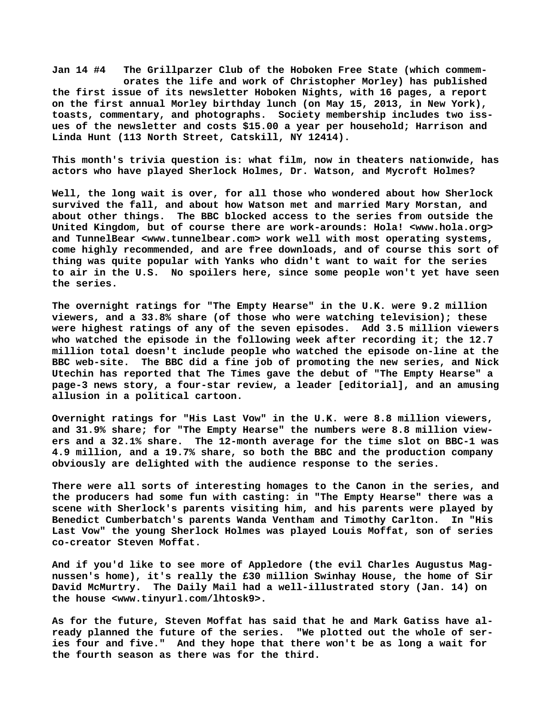**Jan 14 #4 The Grillparzer Club of the Hoboken Free State (which commem orates the life and work of Christopher Morley) has published the first issue of its newsletter Hoboken Nights, with 16 pages, a report on the first annual Morley birthday lunch (on May 15, 2013, in New York), toasts, commentary, and photographs. Society membership includes two issues of the newsletter and costs \$15.00 a year per household; Harrison and Linda Hunt (113 North Street, Catskill, NY 12414).**

**This month's trivia question is: what film, now in theaters nationwide, has actors who have played Sherlock Holmes, Dr. Watson, and Mycroft Holmes?**

**Well, the long wait is over, for all those who wondered about how Sherlock survived the fall, and about how Watson met and married Mary Morstan, and about other things. The BBC blocked access to the series from outside the United Kingdom, but of course there are work-arounds: Hola! [<www.hola.org>](http://www.hola.org) and TunnelBear [<www.tunnelbear.com> w](http://www.tunnelbear.com)ork well with most operating systems, come highly recommended, and are free downloads, and of course this sort of thing was quite popular with Yanks who didn't want to wait for the series to air in the U.S. No spoilers here, since some people won't yet have seen the series.**

**The overnight ratings for "The Empty Hearse" in the U.K. were 9.2 million viewers, and a 33.8% share (of those who were watching television); these were highest ratings of any of the seven episodes. Add 3.5 million viewers who watched the episode in the following week after recording it; the 12.7 million total doesn't include people who watched the episode on-line at the BBC web-site. The BBC did a fine job of promoting the new series, and Nick Utechin has reported that The Times gave the debut of "The Empty Hearse" a page-3 news story, a four-star review, a leader [editorial], and an amusing allusion in a political cartoon.**

**Overnight ratings for "His Last Vow" in the U.K. were 8.8 million viewers, and 31.9% share; for "The Empty Hearse" the numbers were 8.8 million viewers and a 32.1% share. The 12-month average for the time slot on BBC-1 was 4.9 million, and a 19.7% share, so both the BBC and the production company obviously are delighted with the audience response to the series.**

**There were all sorts of interesting homages to the Canon in the series, and the producers had some fun with casting: in "The Empty Hearse" there was a scene with Sherlock's parents visiting him, and his parents were played by Benedict Cumberbatch's parents Wanda Ventham and Timothy Carlton. In "His Last Vow" the young Sherlock Holmes was played Louis Moffat, son of series co-creator Steven Moffat.**

**And if you'd like to see more of Appledore (the evil Charles Augustus Magnussen's home), it's really the £30 million Swinhay House, the home of Sir David McMurtry. The Daily Mail had a well-illustrated story (Jan. 14) on the house [<www.tinyurl.com/lhtosk9>.](http://www.tinyurl.com/lhtosk9)**

**As for the future, Steven Moffat has said that he and Mark Gatiss have already planned the future of the series. "We plotted out the whole of series four and five." And they hope that there won't be as long a wait for the fourth season as there was for the third.**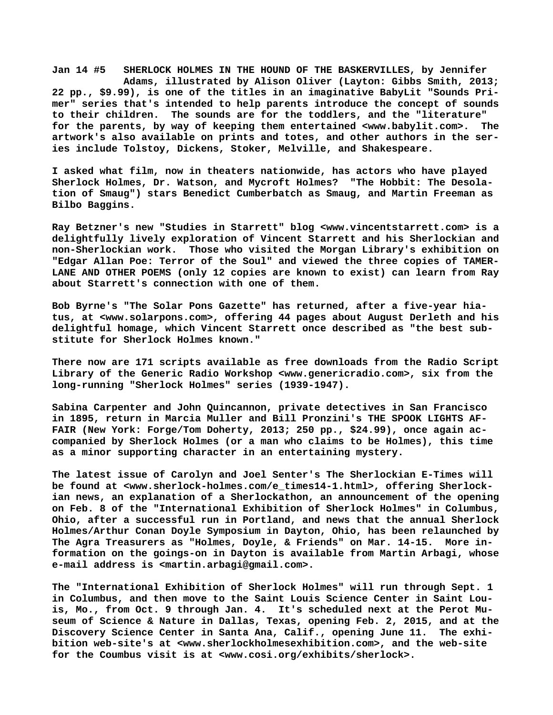**Jan 14 #5 SHERLOCK HOLMES IN THE HOUND OF THE BASKERVILLES, by Jennifer Adams, illustrated by Alison Oliver (Layton: Gibbs Smith, 2013; 22 pp., \$9.99), is one of the titles in an imaginative BabyLit "Sounds Primer" series that's intended to help parents introduce the concept of sounds to their children. The sounds are for the toddlers, and the "literature" for the parents, by way of keeping them entertained <[www.babylit.com>.](http://www.babylit.com) The artwork's also available on prints and totes, and other authors in the series include Tolstoy, Dickens, Stoker, Melville, and Shakespeare.**

**I asked what film, now in theaters nationwide, has actors who have played Sherlock Holmes, Dr. Watson, and Mycroft Holmes? "The Hobbit: The Desolation of Smaug") stars Benedict Cumberbatch as Smaug, and Martin Freeman as Bilbo Baggins.**

**Ray Betzner's new "Studies in Starrett" blog [<www.vincentstarrett.com> i](http://www.vincentstarrett.com)s a delightfully lively exploration of Vincent Starrett and his Sherlockian and non-Sherlockian work. Those who visited the Morgan Library's exhibition on "Edgar Allan Poe: Terror of the Soul" and viewed the three copies of TAMER-LANE AND OTHER POEMS (only 12 copies are known to exist) can learn from Ray about Starrett's connection with one of them.**

**Bob Byrne's "The Solar Pons Gazette" has returned, after a five-year hiatus, at [<www.solarpons.com>, o](http://www.solarpons.com)ffering 44 pages about August Derleth and his delightful homage, which Vincent Starrett once described as "the best substitute for Sherlock Holmes known."**

**There now are 171 scripts available as free downloads from the Radio Script Library of the Generic Radio Workshop [<www.genericradio.com>, s](http://www.genericradio.com)ix from the long-running "Sherlock Holmes" series (1939-1947).**

**Sabina Carpenter and John Quincannon, private detectives in San Francisco in 1895, return in Marcia Muller and Bill Pronzini's THE SPOOK LIGHTS AF-FAIR (New York: Forge/Tom Doherty, 2013; 250 pp., \$24.99), once again accompanied by Sherlock Holmes (or a man who claims to be Holmes), this time as a minor supporting character in an entertaining mystery.**

**The latest issue of Carolyn and Joel Senter's The Sherlockian E-Times will be found at [<www.sherlock-holmes.com/e\\_times14-1.html>, o](http://www.sherlock-holmes.com/e_times14-1.html)ffering Sherlockian news, an explanation of a Sherlockathon, an announcement of the opening on Feb. 8 of the "International Exhibition of Sherlock Holmes" in Columbus, Ohio, after a successful run in Portland, and news that the annual Sherlock Holmes/Arthur Conan Doyle Symposium in Dayton, Ohio, has been relaunched by The Agra Treasurers as "Holmes, Doyle, & Friends" on Mar. 14-15. More information on the goings-on in Dayton is available from Martin Arbagi, whose e-mail address is [<martin.arbagi@gmail.com>.](mailto:martin.arbagi@gmail.com)**

**The "International Exhibition of Sherlock Holmes" will run through Sept. 1 in Columbus, and then move to the Saint Louis Science Center in Saint Louis, Mo., from Oct. 9 through Jan. 4. It's scheduled next at the Perot Museum of Science & Nature in Dallas, Texas, opening Feb. 2, 2015, and at the Discovery Science Center in Santa Ana, Calif., opening June 11. The exhibition web-site's at <[www.sherlockholmesexhibition.com>, a](http://www.sherlockholmesexhibition.com)nd the web-site for the Coumbus visit is at [<www.cosi.org/exhibits/sherlock>.](http://www.cosi.org/exhibits/sherlock)**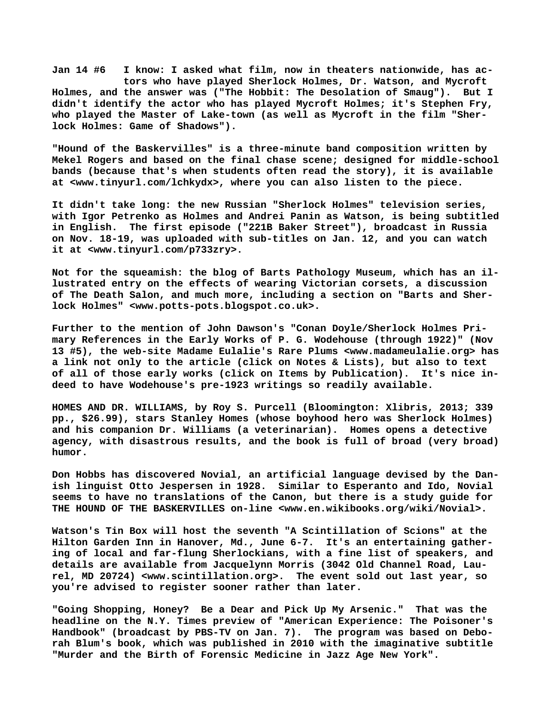**Jan 14 #6 I know: I asked what film, now in theaters nationwide, has ac tors who have played Sherlock Holmes, Dr. Watson, and Mycroft Holmes, and the answer was ("The Hobbit: The Desolation of Smaug"). But I didn't identify the actor who has played Mycroft Holmes; it's Stephen Fry, who played the Master of Lake-town (as well as Mycroft in the film "Sherlock Holmes: Game of Shadows").**

**"Hound of the Baskervilles" is a three-minute band composition written by Mekel Rogers and based on the final chase scene; designed for middle-school bands (because that's when students often read the story), it is available at [<www.tinyurl.com/lchkydx>, w](http://www.tinyurl.com/lchkydx)here you can also listen to the piece.**

**It didn't take long: the new Russian "Sherlock Holmes" television series, with Igor Petrenko as Holmes and Andrei Panin as Watson, is being subtitled in English. The first episode ("221B Baker Street"), broadcast in Russia on Nov. 18-19, was uploaded with sub-titles on Jan. 12, and you can watch it at <[www.tinyurl.com/p733zry>.](http://www.tinyurl.com/p733zry)**

**Not for the squeamish: the blog of Barts Pathology Museum, which has an illustrated entry on the effects of wearing Victorian corsets, a discussion of The Death Salon, and much more, including a section on "Barts and Sherlock Holmes" [<www.potts-pots.blogspot.co.uk>.](http://www.potts-pots.blogspot.co.uk)**

**Further to the mention of John Dawson's "Conan Doyle/Sherlock Holmes Primary References in the Early Works of P. G. Wodehouse (through 1922)" (Nov 13 #5), the web-site Madame Eulalie's Rare Plums <[www.madameulalie.org> h](http://www.madameulalie.org)as a link not only to the article (click on Notes & Lists), but also to text of all of those early works (click on Items by Publication). It's nice indeed to have Wodehouse's pre-1923 writings so readily available.**

**HOMES AND DR. WILLIAMS, by Roy S. Purcell (Bloomington: Xlibris, 2013; 339 pp., \$26.99), stars Stanley Homes (whose boyhood hero was Sherlock Holmes) and his companion Dr. Williams (a veterinarian). Homes opens a detective agency, with disastrous results, and the book is full of broad (very broad) humor.**

**Don Hobbs has discovered Novial, an artificial language devised by the Danish linguist Otto Jespersen in 1928. Similar to Esperanto and Ido, Novial seems to have no translations of the Canon, but there is a study guide for THE HOUND OF THE BASKERVILLES on-line [<www.en.wikibooks.org/wiki/Novial>.](http://www.en.wikibooks.org/wiki/Novial)**

**Watson's Tin Box will host the seventh "A Scintillation of Scions" at the Hilton Garden Inn in Hanover, Md., June 6-7. It's an entertaining gathering of local and far-flung Sherlockians, with a fine list of speakers, and details are available from Jacquelynn Morris (3042 Old Channel Road, Laurel, MD 20724) [<www.scintillation.org>.](http://www.scintillation.org) The event sold out last year, so you're advised to register sooner rather than later.**

**"Going Shopping, Honey? Be a Dear and Pick Up My Arsenic." That was the headline on the N.Y. Times preview of "American Experience: The Poisoner's Handbook" (broadcast by PBS-TV on Jan. 7). The program was based on Deborah Blum's book, which was published in 2010 with the imaginative subtitle "Murder and the Birth of Forensic Medicine in Jazz Age New York".**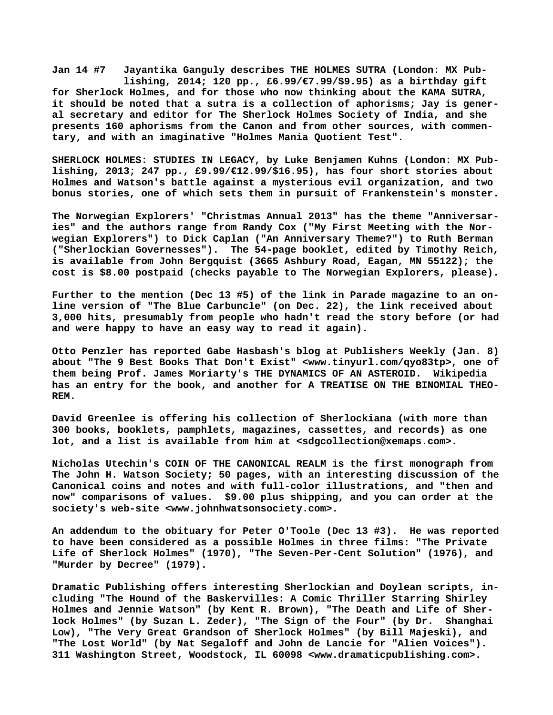**Jan 14 #7 Jayantika Ganguly describes THE HOLMES SUTRA (London: MX Pub lishing, 2014; 120 pp., £6.99/€7.99/\$9.95) as a birthday gift for Sherlock Holmes, and for those who now thinking about the KAMA SUTRA, it should be noted that a sutra is a collection of aphorisms; Jay is general secretary and editor for The Sherlock Holmes Society of India, and she presents 160 aphorisms from the Canon and from other sources, with commentary, and with an imaginative "Holmes Mania Quotient Test".**

**SHERLOCK HOLMES: STUDIES IN LEGACY, by Luke Benjamen Kuhns (London: MX Publishing, 2013; 247 pp., £9.99/€12.99/\$16.95), has four short stories about Holmes and Watson's battle against a mysterious evil organization, and two bonus stories, one of which sets them in pursuit of Frankenstein's monster.**

**The Norwegian Explorers' "Christmas Annual 2013" has the theme "Anniversaries" and the authors range from Randy Cox ("My First Meeting with the Norwegian Explorers") to Dick Caplan ("An Anniversary Theme?") to Ruth Berman ("Sherlockian Governesses"). The 54-page booklet, edited by Timothy Reich, is available from John Bergquist (3665 Ashbury Road, Eagan, MN 55122); the cost is \$8.00 postpaid (checks payable to The Norwegian Explorers, please).**

**Further to the mention (Dec 13 #5) of the link in Parade magazine to an online version of "The Blue Carbuncle" (on Dec. 22), the link received about 3,000 hits, presumably from people who hadn't read the story before (or had and were happy to have an easy way to read it again).**

**Otto Penzler has reported Gabe Hasbash's blog at Publishers Weekly (Jan. 8) about "The 9 Best Books That Don't Exist" [<www.tinyurl.com/qyo83tp>, o](http://www.tinyurl.com/qyo83tp)ne of them being Prof. James Moriarty's THE DYNAMICS OF AN ASTEROID. Wikipedia has an entry for the book, and another for A TREATISE ON THE BINOMIAL THEO-REM.**

**David Greenlee is offering his collection of Sherlockiana (with more than 300 books, booklets, pamphlets, magazines, cassettes, and records) as one lot, and a list is available from him at <[sdgcollection@xemaps.com>.](mailto:sdgcollection@xemaps.com)**

**Nicholas Utechin's COIN OF THE CANONICAL REALM is the first monograph from The John H. Watson Society; 50 pages, with an interesting discussion of the Canonical coins and notes and with full-color illustrations, and "then and now" comparisons of values. \$9.00 plus shipping, and you can order at the society's web-site <[www.johnhwatsonsociety.com>.](http://www.johnhwatsonsociety.com)**

**An addendum to the obituary for Peter O'Toole (Dec 13 #3). He was reported to have been considered as a possible Holmes in three films: "The Private Life of Sherlock Holmes" (1970), "The Seven-Per-Cent Solution" (1976), and "Murder by Decree" (1979).**

**Dramatic Publishing offers interesting Sherlockian and Doylean scripts, including "The Hound of the Baskervilles: A Comic Thriller Starring Shirley Holmes and Jennie Watson" (by Kent R. Brown), "The Death and Life of Sherlock Holmes" (by Suzan L. Zeder), "The Sign of the Four" (by Dr. Shanghai Low), "The Very Great Grandson of Sherlock Holmes" (by Bill Majeski), and "The Lost World" (by Nat Segaloff and John de Lancie for "Alien Voices"). 311 Washington Street, Woodstock, IL 60098 [<www.dramaticpublishing.com>.](http://www.dramaticpublishing.com)**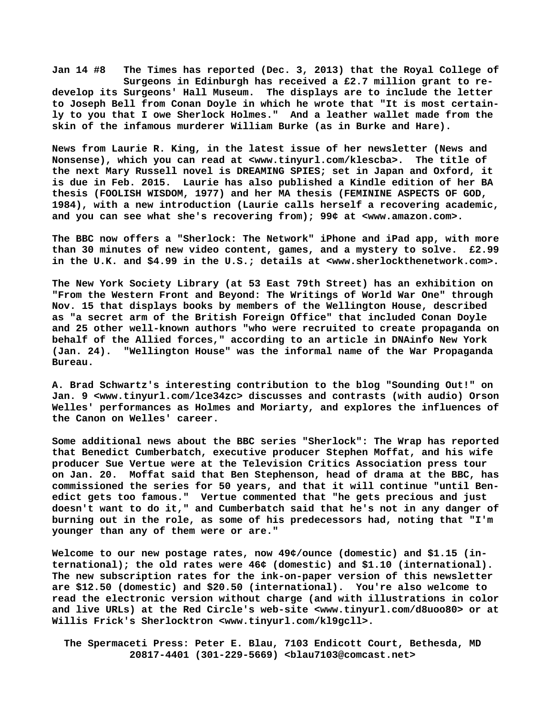**Jan 14 #8 The Times has reported (Dec. 3, 2013) that the Royal College of Surgeons in Edinburgh has received a £2.7 million grant to redevelop its Surgeons' Hall Museum. The displays are to include the letter to Joseph Bell from Conan Doyle in which he wrote that "It is most certainly to you that I owe Sherlock Holmes." And a leather wallet made from the skin of the infamous murderer William Burke (as in Burke and Hare).**

**News from Laurie R. King, in the latest issue of her newsletter (News and Nonsense), which you can read at [<www.tinyurl.com/klescba>.](http://www.tinyurl.com/klescba) The title of the next Mary Russell novel is DREAMING SPIES; set in Japan and Oxford, it is due in Feb. 2015. Laurie has also published a Kindle edition of her BA thesis (FOOLISH WISDOM, 1977) and her MA thesis (FEMININE ASPECTS OF GOD, 1984), with a new introduction (Laurie calls herself a recovering academic, and you can see what she's recovering from); 99¢ at <[www.amazon.com>.](http://www.amazon.com)**

**The BBC now offers a "Sherlock: The Network" iPhone and iPad app, with more than 30 minutes of new video content, games, and a mystery to solve. £2.99 in the U.K. and \$4.99 in the U.S.; details at <[www.sherlockthenetwork.com>.](http://www.sherlockthenetwork.com)**

**The New York Society Library (at 53 East 79th Street) has an exhibition on "From the Western Front and Beyond: The Writings of World War One" through Nov. 15 that displays books by members of the Wellington House, described as "a secret arm of the British Foreign Office" that included Conan Doyle and 25 other well-known authors "who were recruited to create propaganda on behalf of the Allied forces," according to an article in DNAinfo New York (Jan. 24). "Wellington House" was the informal name of the War Propaganda Bureau.**

**A. Brad Schwartz's interesting contribution to the blog "Sounding Out!" on Jan. 9 [<www.tinyurl.com/lce34zc> d](http://www.tinyurl.com/lce34zc)iscusses and contrasts (with audio) Orson Welles' performances as Holmes and Moriarty, and explores the influences of the Canon on Welles' career.**

**Some additional news about the BBC series "Sherlock": The Wrap has reported that Benedict Cumberbatch, executive producer Stephen Moffat, and his wife producer Sue Vertue were at the Television Critics Association press tour on Jan. 20. Moffat said that Ben Stephenson, head of drama at the BBC, has commissioned the series for 50 years, and that it will continue "until Benedict gets too famous." Vertue commented that "he gets precious and just doesn't want to do it," and Cumberbatch said that he's not in any danger of burning out in the role, as some of his predecessors had, noting that "I'm younger than any of them were or are."**

**Welcome to our new postage rates, now 49¢/ounce (domestic) and \$1.15 (international); the old rates were 46¢ (domestic) and \$1.10 (international). The new subscription rates for the ink-on-paper version of this newsletter are \$12.50 (domestic) and \$20.50 (international). You're also welcome to read the electronic version without charge (and with illustrations in color and live URLs) at the Red Circle's web-site <[www.tinyurl.com/d8uoo80> o](http://www.tinyurl.com/d8uoo80)r at Willis Frick's Sherlocktron [<www.tinyurl.com/kl9gcll>.](http://www.tinyurl.com/kl9gcll)**

 **The Spermaceti Press: Peter E. Blau, 7103 Endicott Court, Bethesda, MD 20817-4401 (301-229-5669) <[blau7103@comcast.net>](mailto:blau7103@comcast.net)**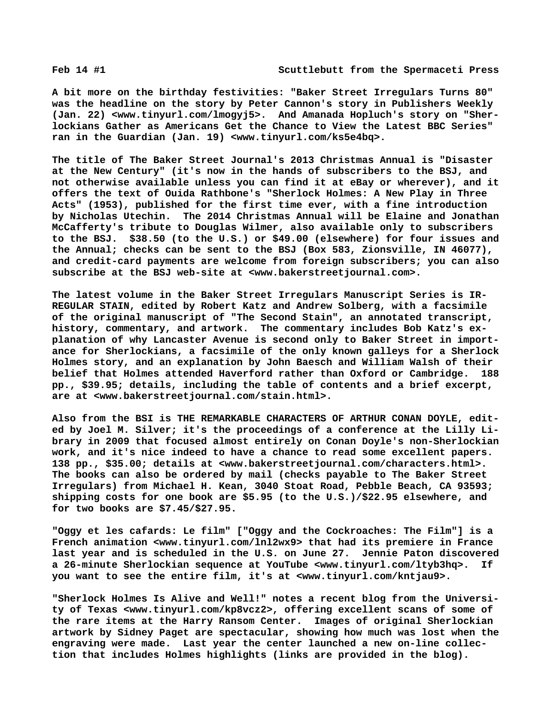**A bit more on the birthday festivities: "Baker Street Irregulars Turns 80" was the headline on the story by Peter Cannon's story in Publishers Weekly (Jan. 22) [<www.tinyurl.com/lmogyj5>.](http://www.tinyurl.com/lmogyj5) And Amanada Hopluch's story on "Sherlockians Gather as Americans Get the Chance to View the Latest BBC Series" ran in the Guardian (Jan. 19) [<www.tinyurl.com/ks5e4bq>.](http://www.tinyurl.com/ks5e4bq)**

**The title of The Baker Street Journal's 2013 Christmas Annual is "Disaster at the New Century" (it's now in the hands of subscribers to the BSJ, and not otherwise available unless you can find it at eBay or wherever), and it offers the text of Ouida Rathbone's "Sherlock Holmes: A New Play in Three Acts" (1953), published for the first time ever, with a fine introduction by Nicholas Utechin. The 2014 Christmas Annual will be Elaine and Jonathan McCafferty's tribute to Douglas Wilmer, also available only to subscribers to the BSJ. \$38.50 (to the U.S.) or \$49.00 (elsewhere) for four issues and the Annual; checks can be sent to the BSJ (Box 583, Zionsville, IN 46077), and credit-card payments are welcome from foreign subscribers; you can also subscribe at the BSJ web-site at [<www.bakerstreetjournal.com>.](http://www.bakerstreetjournal.com)**

**The latest volume in the Baker Street Irregulars Manuscript Series is IR-REGULAR STAIN, edited by Robert Katz and Andrew Solberg, with a facsimile of the original manuscript of "The Second Stain", an annotated transcript, history, commentary, and artwork. The commentary includes Bob Katz's explanation of why Lancaster Avenue is second only to Baker Street in importance for Sherlockians, a facsimile of the only known galleys for a Sherlock Holmes story, and an explanation by John Baesch and William Walsh of their belief that Holmes attended Haverford rather than Oxford or Cambridge. 188 pp., \$39.95; details, including the table of contents and a brief excerpt, are at [<www.bakerstreetjournal.com/stain.html>.](http://www.bakerstreetjournal.com/stain.html)**

**Also from the BSI is THE REMARKABLE CHARACTERS OF ARTHUR CONAN DOYLE, edited by Joel M. Silver; it's the proceedings of a conference at the Lilly Library in 2009 that focused almost entirely on Conan Doyle's non-Sherlockian work, and it's nice indeed to have a chance to read some excellent papers. 138 pp., \$35.00; details at [<www.bakerstreetjournal.com/characters.html>.](http://www.bakerstreetjournal.com/characters.html)  The books can also be ordered by mail (checks payable to The Baker Street Irregulars) from Michael H. Kean, 3040 Stoat Road, Pebble Beach, CA 93593; shipping costs for one book are \$5.95 (to the U.S.)/\$22.95 elsewhere, and for two books are \$7.45/\$27.95.**

**"Oggy et les cafards: Le film" ["Oggy and the Cockroaches: The Film"] is a French animation [<www.tinyurl.com/lnl2wx9> t](http://www.tinyurl.com/lnl2wx9)hat had its premiere in France last year and is scheduled in the U.S. on June 27. Jennie Paton discovered a 26-minute Sherlockian sequence at YouTube <[www.tinyurl.com/ltyb3hq>.](http://www.tinyurl.com/ltyb3hq) If you want to see the entire film, it's at <[www.tinyurl.com/kntjau9>.](http://www.tinyurl.com/kntjau9)**

**"Sherlock Holmes Is Alive and Well!" notes a recent blog from the University of Texas [<www.tinyurl.com/kp8vcz2>, o](http://www.tinyurl.com/kp8vcz2)ffering excellent scans of some of the rare items at the Harry Ransom Center. Images of original Sherlockian artwork by Sidney Paget are spectacular, showing how much was lost when the engraving were made. Last year the center launched a new on-line collection that includes Holmes highlights (links are provided in the blog).**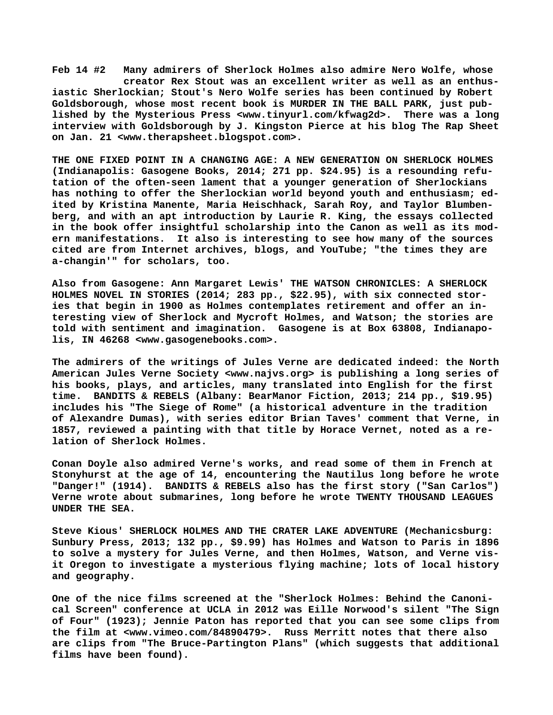**Feb 14 #2 Many admirers of Sherlock Holmes also admire Nero Wolfe, whose creator Rex Stout was an excellent writer as well as an enthusiastic Sherlockian; Stout's Nero Wolfe series has been continued by Robert Goldsborough, whose most recent book is MURDER IN THE BALL PARK, just published by the Mysterious Press <[www.tinyurl.com/kfwag2d>.](http://www.tinyurl.com/kfwag2d) There was a long interview with Goldsborough by J. Kingston Pierce at his blog The Rap Sheet on Jan. 21 <[www.therapsheet.blogspot.com>.](http://www.therapsheet.blogspot.com)**

**THE ONE FIXED POINT IN A CHANGING AGE: A NEW GENERATION ON SHERLOCK HOLMES (Indianapolis: Gasogene Books, 2014; 271 pp. \$24.95) is a resounding refutation of the often-seen lament that a younger generation of Sherlockians has nothing to offer the Sherlockian world beyond youth and enthusiasm; edited by Kristina Manente, Maria Heischhack, Sarah Roy, and Taylor Blumbenberg, and with an apt introduction by Laurie R. King, the essays collected in the book offer insightful scholarship into the Canon as well as its modern manifestations. It also is interesting to see how many of the sources cited are from Internet archives, blogs, and YouTube; "the times they are a-changin'" for scholars, too.**

**Also from Gasogene: Ann Margaret Lewis' THE WATSON CHRONICLES: A SHERLOCK HOLMES NOVEL IN STORIES (2014; 283 pp., \$22.95), with six connected stories that begin in 1900 as Holmes contemplates retirement and offer an interesting view of Sherlock and Mycroft Holmes, and Watson; the stories are told with sentiment and imagination. Gasogene is at Box 63808, Indianapolis, IN 46268 <[www.gasogenebooks.com>.](http://www.gasogenebooks.com)**

**The admirers of the writings of Jules Verne are dedicated indeed: the North American Jules Verne Society <[www.najvs.org> i](http://www.najvs.org)s publishing a long series of his books, plays, and articles, many translated into English for the first time. BANDITS & REBELS (Albany: BearManor Fiction, 2013; 214 pp., \$19.95) includes his "The Siege of Rome" (a historical adventure in the tradition of Alexandre Dumas), with series editor Brian Taves' comment that Verne, in 1857, reviewed a painting with that title by Horace Vernet, noted as a relation of Sherlock Holmes.**

**Conan Doyle also admired Verne's works, and read some of them in French at Stonyhurst at the age of 14, encountering the Nautilus long before he wrote "Danger!" (1914). BANDITS & REBELS also has the first story ("San Carlos") Verne wrote about submarines, long before he wrote TWENTY THOUSAND LEAGUES UNDER THE SEA.**

**Steve Kious' SHERLOCK HOLMES AND THE CRATER LAKE ADVENTURE (Mechanicsburg: Sunbury Press, 2013; 132 pp., \$9.99) has Holmes and Watson to Paris in 1896 to solve a mystery for Jules Verne, and then Holmes, Watson, and Verne visit Oregon to investigate a mysterious flying machine; lots of local history and geography.**

**One of the nice films screened at the "Sherlock Holmes: Behind the Canonical Screen" conference at UCLA in 2012 was Eille Norwood's silent "The Sign of Four" (1923); Jennie Paton has reported that you can see some clips from the film at [<www.vimeo.com/84890479>.](http://www.vimeo.com/84890479) Russ Merritt notes that there also are clips from "The Bruce-Partington Plans" (which suggests that additional films have been found).**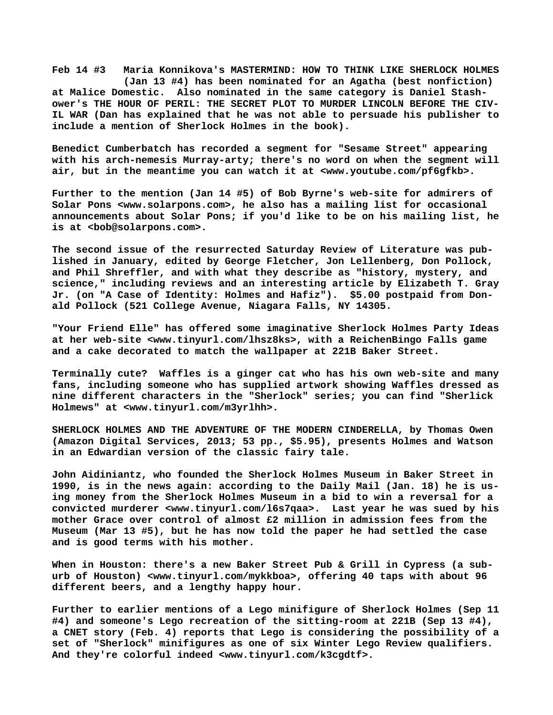**Feb 14 #3 Maria Konnikova's MASTERMIND: HOW TO THINK LIKE SHERLOCK HOLMES (Jan 13 #4) has been nominated for an Agatha (best nonfiction) at Malice Domestic. Also nominated in the same category is Daniel Stashower's THE HOUR OF PERIL: THE SECRET PLOT TO MURDER LINCOLN BEFORE THE CIV-IL WAR (Dan has explained that he was not able to persuade his publisher to include a mention of Sherlock Holmes in the book).**

**Benedict Cumberbatch has recorded a segment for "Sesame Street" appearing with his arch-nemesis Murray-arty; there's no word on when the segment will air, but in the meantime you can watch it at [<www.youtube.com/pf6gfkb>.](http://www.youtube.com/pf6gfkb)**

**Further to the mention (Jan 14 #5) of Bob Byrne's web-site for admirers of Solar Pons <[www.solarpons.com>, h](http://www.solarpons.com)e also has a mailing list for occasional announcements about Solar Pons; if you'd like to be on his mailing list, he is at <[bob@solarpons.com>.](mailto:bob@solarpons.com)**

**The second issue of the resurrected Saturday Review of Literature was published in January, edited by George Fletcher, Jon Lellenberg, Don Pollock, and Phil Shreffler, and with what they describe as "history, mystery, and science," including reviews and an interesting article by Elizabeth T. Gray Jr. (on "A Case of Identity: Holmes and Hafiz"). \$5.00 postpaid from Donald Pollock (521 College Avenue, Niagara Falls, NY 14305.**

**"Your Friend Elle" has offered some imaginative Sherlock Holmes Party Ideas at her web-site <[www.tinyurl.com/lhsz8ks>, w](http://www.tinyurl.com/lhsz8ks)ith a ReichenBingo Falls game and a cake decorated to match the wallpaper at 221B Baker Street.**

**Terminally cute? Waffles is a ginger cat who has his own web-site and many fans, including someone who has supplied artwork showing Waffles dressed as nine different characters in the "Sherlock" series; you can find "Sherlick Holmews" at [<www.tinyurl.com/m3yrlhh>.](http://www.tinyurl.com/m3yrlhh)**

**SHERLOCK HOLMES AND THE ADVENTURE OF THE MODERN CINDERELLA, by Thomas Owen (Amazon Digital Services, 2013; 53 pp., \$5.95), presents Holmes and Watson in an Edwardian version of the classic fairy tale.**

**John Aidiniantz, who founded the Sherlock Holmes Museum in Baker Street in 1990, is in the news again: according to the Daily Mail (Jan. 18) he is using money from the Sherlock Holmes Museum in a bid to win a reversal for a convicted murderer <[www.tinyurl.com/l6s7qaa>.](http://www.tinyurl.com/l6s7qaa) Last year he was sued by his mother Grace over control of almost £2 million in admission fees from the Museum (Mar 13 #5), but he has now told the paper he had settled the case and is good terms with his mother.**

**When in Houston: there's a new Baker Street Pub & Grill in Cypress (a suburb of Houston) <[www.tinyurl.com/mykkboa>, o](http://www.tinyurl.com/mykkboa)ffering 40 taps with about 96 different beers, and a lengthy happy hour.**

**Further to earlier mentions of a Lego minifigure of Sherlock Holmes (Sep 11 #4) and someone's Lego recreation of the sitting-room at 221B (Sep 13 #4), a CNET story (Feb. 4) reports that Lego is considering the possibility of a set of "Sherlock" minifigures as one of six Winter Lego Review qualifiers. And they're colorful indeed [<www.tinyurl.com/k3cgdtf>.](http://www.tinyurl.com/k3cgdtf)**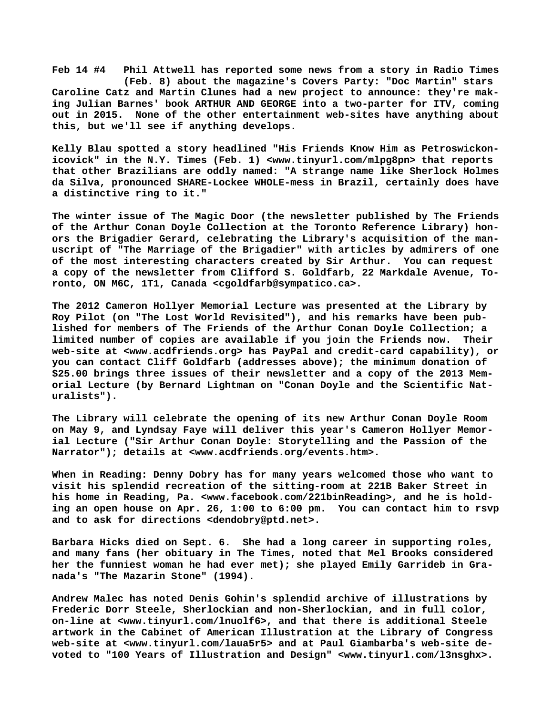**Feb 14 #4 Phil Attwell has reported some news from a story in Radio Times (Feb. 8) about the magazine's Covers Party: "Doc Martin" stars Caroline Catz and Martin Clunes had a new project to announce: they're making Julian Barnes' book ARTHUR AND GEORGE into a two-parter for ITV, coming out in 2015. None of the other entertainment web-sites have anything about this, but we'll see if anything develops.**

**Kelly Blau spotted a story headlined "His Friends Know Him as Petroswickonicovick" in the N.Y. Times (Feb. 1) <[www.tinyurl.com/mlpg8pn> t](http://www.tinyurl.com/mlpg8pn)hat reports that other Brazilians are oddly named: "A strange name like Sherlock Holmes da Silva, pronounced SHARE-Lockee WHOLE-mess in Brazil, certainly does have a distinctive ring to it."**

**The winter issue of The Magic Door (the newsletter published by The Friends of the Arthur Conan Doyle Collection at the Toronto Reference Library) honors the Brigadier Gerard, celebrating the Library's acquisition of the manuscript of "The Marriage of the Brigadier" with articles by admirers of one of the most interesting characters created by Sir Arthur. You can request a copy of the newsletter from Clifford S. Goldfarb, 22 Markdale Avenue, Toronto, ON M6C, 1T1, Canada [<cgoldfarb@sympatico.ca>.](mailto:cgoldfarb@sympatico.ca)**

**The 2012 Cameron Hollyer Memorial Lecture was presented at the Library by Roy Pilot (on "The Lost World Revisited"), and his remarks have been published for members of The Friends of the Arthur Conan Doyle Collection; a limited number of copies are available if you join the Friends now. Their web-site at [<www.acdfriends.org> h](http://www.acdfriends.org)as PayPal and credit-card capability), or you can contact Cliff Goldfarb (addresses above); the minimum donation of \$25.00 brings three issues of their newsletter and a copy of the 2013 Memorial Lecture (by Bernard Lightman on "Conan Doyle and the Scientific Naturalists").**

**The Library will celebrate the opening of its new Arthur Conan Doyle Room on May 9, and Lyndsay Faye will deliver this year's Cameron Hollyer Memorial Lecture ("Sir Arthur Conan Doyle: Storytelling and the Passion of the Narrator"); details at [<www.acdfriends.org/events.htm>.](http://www.acdfriends.org/events.htm)**

**When in Reading: Denny Dobry has for many years welcomed those who want to visit his splendid recreation of the sitting-room at 221B Baker Street in his home in Reading, Pa. [<www.facebook.com/221binReading>, a](http://www.facebook.com/221binReading)nd he is holding an open house on Apr. 26, 1:00 to 6:00 pm. You can contact him to rsvp and to ask for directions <[dendobry@ptd.net>.](mailto:dendobry@ptd.net)**

**Barbara Hicks died on Sept. 6. She had a long career in supporting roles, and many fans (her obituary in The Times, noted that Mel Brooks considered her the funniest woman he had ever met); she played Emily Garrideb in Granada's "The Mazarin Stone" (1994).**

**Andrew Malec has noted Denis Gohin's splendid archive of illustrations by Frederic Dorr Steele, Sherlockian and non-Sherlockian, and in full color, on-line at <[www.tinyurl.com/lnuolf6>, a](http://www.tinyurl.com/lnuolf6)nd that there is additional Steele artwork in the Cabinet of American Illustration at the Library of Congress web-site at [<www.tinyurl.com/laua5r5> a](http://www.tinyurl.com/laua5r5)nd at Paul Giambarba's web-site devoted to "100 Years of Illustration and Design" [<www.tinyurl.com/l3nsghx>.](http://www.tinyurl.com/l3nsghx)**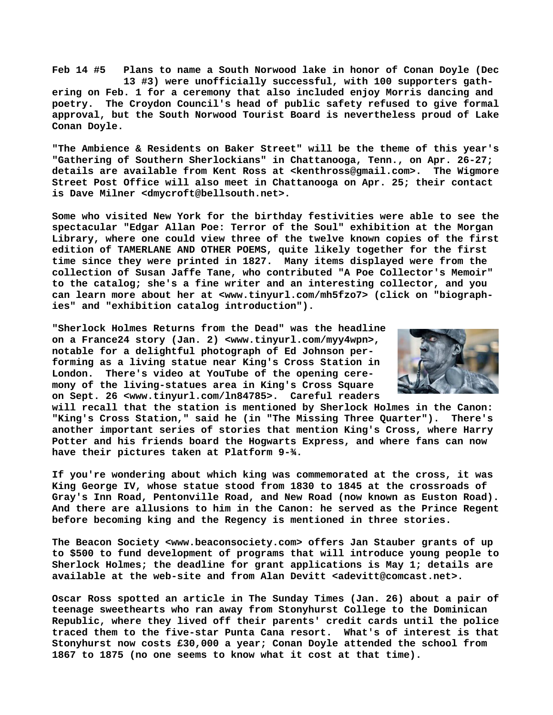**Feb 14 #5 Plans to name a South Norwood lake in honor of Conan Doyle (Dec 13 #3) were unofficially successful, with 100 supporters gathering on Feb. 1 for a ceremony that also included enjoy Morris dancing and poetry. The Croydon Council's head of public safety refused to give formal approval, but the South Norwood Tourist Board is nevertheless proud of Lake Conan Doyle.**

**"The Ambience & Residents on Baker Street" will be the theme of this year's "Gathering of Southern Sherlockians" in Chattanooga, Tenn., on Apr. 26-27; details are available from Kent Ross at [<kenthross@gmail.com>.](mailto:kenthross@gmail.com) The Wigmore Street Post Office will also meet in Chattanooga on Apr. 25; their contact is Dave Milner [<dmycroft@bellsouth.net>.](mailto:dmycroft@bellsouth.net)**

**Some who visited New York for the birthday festivities were able to see the spectacular "Edgar Allan Poe: Terror of the Soul" exhibition at the Morgan Library, where one could view three of the twelve known copies of the first edition of TAMERLANE AND OTHER POEMS, quite likely together for the first time since they were printed in 1827. Many items displayed were from the collection of Susan Jaffe Tane, who contributed "A Poe Collector's Memoir" to the catalog; she's a fine writer and an interesting collector, and you can learn more about her at [<www.tinyurl.com/mh5fzo7> \(](http://www.tinyurl.com/mh5fzo7)click on "biographies" and "exhibition catalog introduction").**

**"Sherlock Holmes Returns from the Dead" was the headline on a France24 story (Jan. 2) <[www.tinyurl.com/myy4wpn>,](http://www.tinyurl.com/myy4wpn) notable for a delightful photograph of Ed Johnson performing as a living statue near King's Cross Station in London. There's video at YouTube of the opening ceremony of the living-statues area in King's Cross Square on Sept. 26 [<www.tinyurl.com/ln84785>.](http://www.tinyurl.com/ln84785) Careful readers**



**will recall that the station is mentioned by Sherlock Holmes in the Canon: "King's Cross Station," said he (in "The Missing Three Quarter"). There's another important series of stories that mention King's Cross, where Harry Potter and his friends board the Hogwarts Express, and where fans can now have their pictures taken at Platform 9-¾.**

**If you're wondering about which king was commemorated at the cross, it was King George IV, whose statue stood from 1830 to 1845 at the crossroads of Gray's Inn Road, Pentonville Road, and New Road (now known as Euston Road). And there are allusions to him in the Canon: he served as the Prince Regent before becoming king and the Regency is mentioned in three stories.**

**The Beacon Society <[www.beaconsociety.com> o](http://www.beaconsociety.com)ffers Jan Stauber grants of up to \$500 to fund development of programs that will introduce young people to Sherlock Holmes; the deadline for grant applications is May 1; details are available at the web-site and from Alan Devitt [<adevitt@comcast.net>.](mailto:adevitt@comcast.net)**

**Oscar Ross spotted an article in The Sunday Times (Jan. 26) about a pair of teenage sweethearts who ran away from Stonyhurst College to the Dominican Republic, where they lived off their parents' credit cards until the police traced them to the five-star Punta Cana resort. What's of interest is that Stonyhurst now costs £30,000 a year; Conan Doyle attended the school from 1867 to 1875 (no one seems to know what it cost at that time).**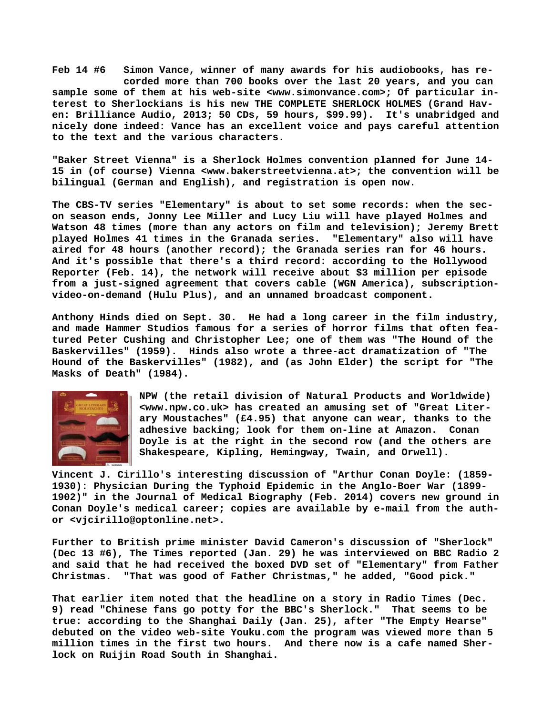**Feb 14 #6 Simon Vance, winner of many awards for his audiobooks, has re corded more than 700 books over the last 20 years, and you can sample some of them at his web-site <[www.simonvance.com>; O](http://www.simonvance.com)f particular interest to Sherlockians is his new THE COMPLETE SHERLOCK HOLMES (Grand Haven: Brilliance Audio, 2013; 50 CDs, 59 hours, \$99.99). It's unabridged and nicely done indeed: Vance has an excellent voice and pays careful attention to the text and the various characters.**

**"Baker Street Vienna" is a Sherlock Holmes convention planned for June 14- 15 in (of course) Vienna [<www.bakerstreetvienna.at>; t](http://www.bakerstreetvienna.at)he convention will be bilingual (German and English), and registration is open now.**

**The CBS-TV series "Elementary" is about to set some records: when the secon season ends, Jonny Lee Miller and Lucy Liu will have played Holmes and Watson 48 times (more than any actors on film and television); Jeremy Brett played Holmes 41 times in the Granada series. "Elementary" also will have aired for 48 hours (another record); the Granada series ran for 46 hours. And it's possible that there's a third record: according to the Hollywood Reporter (Feb. 14), the network will receive about \$3 million per episode from a just-signed agreement that covers cable (WGN America), subscriptionvideo-on-demand (Hulu Plus), and an unnamed broadcast component.**

**Anthony Hinds died on Sept. 30. He had a long career in the film industry, and made Hammer Studios famous for a series of horror films that often featured Peter Cushing and Christopher Lee; one of them was "The Hound of the Baskervilles" (1959). Hinds also wrote a three-act dramatization of "The Hound of the Baskervilles" (1982), and (as John Elder) the script for "The Masks of Death" (1984).**



**NPW (the retail division of Natural Products and Worldwide) <[www.npw.co.uk> h](http://www.npw.co.uk)as created an amusing set of "Great Literary Moustaches" (£4.95) that anyone can wear, thanks to the adhesive backing; look for them on-line at Amazon. Conan Doyle is at the right in the second row (and the others are Shakespeare, Kipling, Hemingway, Twain, and Orwell).**

**Vincent J. Cirillo's interesting discussion of "Arthur Conan Doyle: (1859- 1930): Physician During the Typhoid Epidemic in the Anglo-Boer War (1899- 1902)" in the Journal of Medical Biography (Feb. 2014) covers new ground in Conan Doyle's medical career; copies are available by e-mail from the author [<vjcirillo@optonline.net>.](mailto:vjcirillo@optonline.net)**

**Further to British prime minister David Cameron's discussion of "Sherlock" (Dec 13 #6), The Times reported (Jan. 29) he was interviewed on BBC Radio 2 and said that he had received the boxed DVD set of "Elementary" from Father Christmas. "That was good of Father Christmas," he added, "Good pick."**

**That earlier item noted that the headline on a story in Radio Times (Dec. 9) read "Chinese fans go potty for the BBC's Sherlock." That seems to be true: according to the Shanghai Daily (Jan. 25), after "The Empty Hearse" debuted on the video web-site Youku.com the program was viewed more than 5 million times in the first two hours. And there now is a cafe named Sherlock on Ruijin Road South in Shanghai.**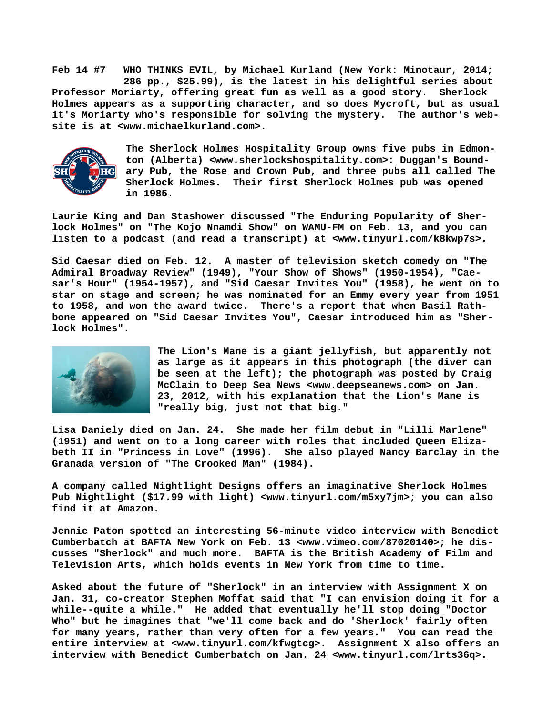**Feb 14 #7 WHO THINKS EVIL, by Michael Kurland (New York: Minotaur, 2014; 286 pp., \$25.99), is the latest in his delightful series about Professor Moriarty, offering great fun as well as a good story. Sherlock Holmes appears as a supporting character, and so does Mycroft, but as usual it's Moriarty who's responsible for solving the mystery. The author's website is at <[www.michaelkurland.com>.](http://www.michaelkurland.com)**



**The Sherlock Holmes Hospitality Group owns five pubs in Edmonton (Alberta) [<www.sherlockshospitality.com>: D](http://www.sherlockshospitality.com>:)uggan's Boundary Pub, the Rose and Crown Pub, and three pubs all called The Sherlock Holmes. Their first Sherlock Holmes pub was opened in 1985.**

**Laurie King and Dan Stashower discussed "The Enduring Popularity of Sherlock Holmes" on "The Kojo Nnamdi Show" on WAMU-FM on Feb. 13, and you can listen to a podcast (and read a transcript) at [<www.tinyurl.com/k8kwp7s>.](http://www.tinyurl.com/k8kwp7s)**

**Sid Caesar died on Feb. 12. A master of television sketch comedy on "The Admiral Broadway Review" (1949), "Your Show of Shows" (1950-1954), "Caesar's Hour" (1954-1957), and "Sid Caesar Invites You" (1958), he went on to star on stage and screen; he was nominated for an Emmy every year from 1951 to 1958, and won the award twice. There's a report that when Basil Rathbone appeared on "Sid Caesar Invites You", Caesar introduced him as "Sherlock Holmes".**



**The Lion's Mane is a giant jellyfish, but apparently not as large as it appears in this photograph (the diver can be seen at the left); the photograph was posted by Craig McClain to Deep Sea News [<www.deepseanews.com> o](http://www.deepseanews.com)n Jan. 23, 2012, with his explanation that the Lion's Mane is "really big, just not that big."**

**Lisa Daniely died on Jan. 24. She made her film debut in "Lilli Marlene" (1951) and went on to a long career with roles that included Queen Elizabeth II in "Princess in Love" (1996). She also played Nancy Barclay in the Granada version of "The Crooked Man" (1984).**

**A company called Nightlight Designs offers an imaginative Sherlock Holmes Pub Nightlight (\$17.99 with light) [<www.tinyurl.com/m5xy7jm>; y](http://www.tinyurl.com/m5xy7jm)ou can also find it at Amazon.**

**Jennie Paton spotted an interesting 56-minute video interview with Benedict Cumberbatch at BAFTA New York on Feb. 13 <[www.vimeo.com/87020140>; h](http://www.vimeo.com/87020140)e discusses "Sherlock" and much more. BAFTA is the British Academy of Film and Television Arts, which holds events in New York from time to time.**

**Asked about the future of "Sherlock" in an interview with Assignment X on Jan. 31, co-creator Stephen Moffat said that "I can envision doing it for a while--quite a while." He added that eventually he'll stop doing "Doctor Who" but he imagines that "we'll come back and do 'Sherlock' fairly often for many years, rather than very often for a few years." You can read the entire interview at [<www.tinyurl.com/kfwgtcg>.](http://www.tinyurl.com/kfwgtcg) Assignment X also offers an interview with Benedict Cumberbatch on Jan. 24 <[www.tinyurl.com/lrts36q>.](http://www.tinyurl.com/lrts36q)**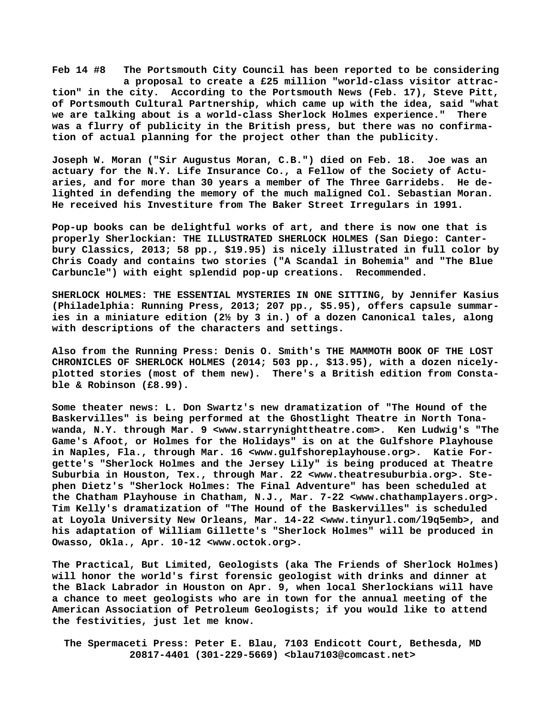**Feb 14 #8 The Portsmouth City Council has been reported to be considering a proposal to create a £25 million "world-class visitor attraction" in the city. According to the Portsmouth News (Feb. 17), Steve Pitt, of Portsmouth Cultural Partnership, which came up with the idea, said "what we are talking about is a world-class Sherlock Holmes experience." There was a flurry of publicity in the British press, but there was no confirmation of actual planning for the project other than the publicity.**

**Joseph W. Moran ("Sir Augustus Moran, C.B.") died on Feb. 18. Joe was an actuary for the N.Y. Life Insurance Co., a Fellow of the Society of Actuaries, and for more than 30 years a member of The Three Garridebs. He delighted in defending the memory of the much maligned Col. Sebastian Moran. He received his Investiture from The Baker Street Irregulars in 1991.**

**Pop-up books can be delightful works of art, and there is now one that is properly Sherlockian: THE ILLUSTRATED SHERLOCK HOLMES (San Diego: Canterbury Classics, 2013; 58 pp., \$19.95) is nicely illustrated in full color by Chris Coady and contains two stories ("A Scandal in Bohemia" and "The Blue Carbuncle") with eight splendid pop-up creations. Recommended.**

**SHERLOCK HOLMES: THE ESSENTIAL MYSTERIES IN ONE SITTING, by Jennifer Kasius (Philadelphia: Running Press, 2013; 207 pp., \$5.95), offers capsule summaries in a miniature edition (2½ by 3 in.) of a dozen Canonical tales, along with descriptions of the characters and settings.**

**Also from the Running Press: Denis O. Smith's THE MAMMOTH BOOK OF THE LOST CHRONICLES OF SHERLOCK HOLMES (2014; 503 pp., \$13.95), with a dozen nicelyplotted stories (most of them new). There's a British edition from Constable & Robinson (£8.99).** 

**Some theater [news: L. D](news:L)on Swartz's new dramatization of "The Hound of the Baskervilles" is being performed at the Ghostlight Theatre in North Tonawanda, N.Y. through Mar. 9 [<www.starrynighttheatre.com>.](http://www.starrynighttheatre.com) Ken Ludwig's "The Game's Afoot, or Holmes for the Holidays" is on at the Gulfshore Playhouse in Naples, Fla., through Mar. 16 [<www.gulfshoreplayhouse.org>.](http://www.gulfshoreplayhouse.org) Katie Forgette's "Sherlock Holmes and the Jersey Lily" is being produced at Theatre Suburbia in Houston, Tex., through Mar. 22 [<www.theatresuburbia.org>. S](http://www.theatresuburbia.org)tephen Dietz's "Sherlock Holmes: The Final Adventure" has been scheduled at the Chatham Playhouse in Chatham, N.J., Mar. 7-22 [<www.chathamplayers.org>.](http://www.chathamplayers.org)  Tim Kelly's dramatization of "The Hound of the Baskervilles" is scheduled at Loyola University New Orleans, Mar. 14-22 [<www.tinyurl.com/l9q5emb>, a](http://www.tinyurl.com/l9q5emb)nd his adaptation of William Gillette's "Sherlock Holmes" will be produced in Owasso, Okla., Apr. 10-12 <[www.octok.org>.](http://www.octok.org)**

**The Practical, But Limited, Geologists (aka The Friends of Sherlock Holmes) will honor the world's first forensic geologist with drinks and dinner at the Black Labrador in Houston on Apr. 9, when local Sherlockians will have a chance to meet geologists who are in town for the annual meeting of the American Association of Petroleum Geologists; if you would like to attend the festivities, just let me know.**

 **The Spermaceti Press: Peter E. Blau, 7103 Endicott Court, Bethesda, MD 20817-4401 (301-229-5669) <[blau7103@comcast.net>](mailto:blau7103@comcast.net)**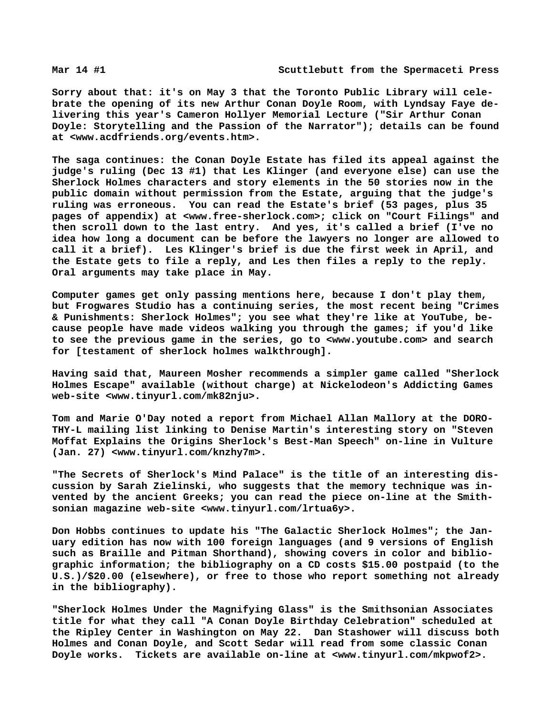**Sorry about that: it's on May 3 that the Toronto Public Library will celebrate the opening of its new Arthur Conan Doyle Room, with Lyndsay Faye delivering this year's Cameron Hollyer Memorial Lecture ("Sir Arthur Conan Doyle: Storytelling and the Passion of the Narrator"); details can be found at [<www.acdfriends.org/events.htm>.](http://www.acdfriends.org/events.htm)**

**The saga continues: the Conan Doyle Estate has filed its appeal against the judge's ruling (Dec 13 #1) that Les Klinger (and everyone else) can use the Sherlock Holmes characters and story elements in the 50 stories now in the public domain without permission from the Estate, arguing that the judge's ruling was erroneous. You can read the Estate's brief (53 pages, plus 35 pages of appendix) at [<www.free-sherlock.com>; c](http://www.free-sherlock.com)lick on "Court Filings" and then scroll down to the last entry. And yes, it's called a brief (I've no idea how long a document can be before the lawyers no longer are allowed to call it a brief). Les Klinger's brief is due the first week in April, and the Estate gets to file a reply, and Les then files a reply to the reply. Oral arguments may take place in May.**

**Computer games get only passing mentions here, because I don't play them, but Frogwares Studio has a continuing series, the most recent being "Crimes & Punishments: Sherlock Holmes"; you see what they're like at YouTube, because people have made videos walking you through the games; if you'd like to see the previous game in the series, go to <[www.youtube.com> a](http://www.youtube.com)nd search for [testament of sherlock holmes walkthrough].**

**Having said that, Maureen Mosher recommends a simpler game called "Sherlock Holmes Escape" available (without charge) at Nickelodeon's Addicting Games web-site <[www.tinyurl.com/mk82nju>.](http://www.tinyurl.com/mk82nju)**

**Tom and Marie O'Day noted a report from Michael Allan Mallory at the DORO-THY-L mailing list linking to Denise Martin's interesting story on "Steven Moffat Explains the Origins Sherlock's Best-Man Speech" on-line in Vulture (Jan. 27) [<www.tinyurl.com/knzhy7m>.](http://www.tinyurl.com/knzhy7m)**

**"The Secrets of Sherlock's Mind Palace" is the title of an interesting discussion by Sarah Zielinski, who suggests that the memory technique was invented by the ancient Greeks; you can read the piece on-line at the Smithsonian magazine web-site [<www.tinyurl.com/lrtua6y>.](http://www.tinyurl.com/lrtua6y)**

**Don Hobbs continues to update his "The Galactic Sherlock Holmes"; the January edition has now with 100 foreign languages (and 9 versions of English such as Braille and Pitman Shorthand), showing covers in color and bibliographic information; the bibliography on a CD costs \$15.00 postpaid (to the U.S.)/\$20.00 (elsewhere), or free to those who report something not already in the bibliography).**

**"Sherlock Holmes Under the Magnifying Glass" is the Smithsonian Associates title for what they call "A Conan Doyle Birthday Celebration" scheduled at the Ripley Center in Washington on May 22. Dan Stashower will discuss both Holmes and Conan Doyle, and Scott Sedar will read from some classic Conan Doyle works. Tickets are available on-line at [<www.tinyurl.com/mkpwof2>.](http://www.tinyurl.com/mkpwof2)**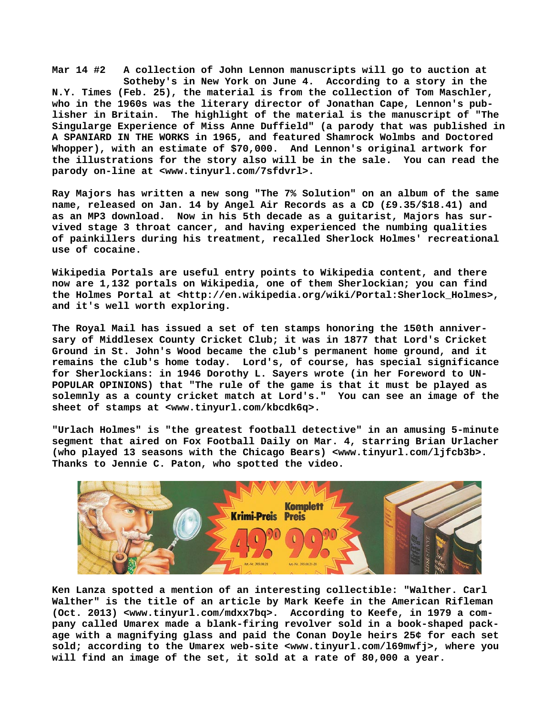**Mar 14 #2 A collection of John Lennon manuscripts will go to auction at Sotheby's in New York on June 4. According to a story in the N.Y. Times (Feb. 25), the material is from the collection of Tom Maschler, who in the 1960s was the literary director of Jonathan Cape, Lennon's publisher in Britain. The highlight of the material is the manuscript of "The Singularge Experience of Miss Anne Duffield" (a parody that was published in A SPANIARD IN THE WORKS in 1965, and featured Shamrock Wolmbs and Doctored Whopper), with an estimate of \$70,000. And Lennon's original artwork for the illustrations for the story also will be in the sale. You can read the parody on-line at [<www.tinyurl.com/7sfdvrl>.](http://www.tinyurl.com/7sfdvrl)**

**Ray Majors has written a new song "The 7% Solution" on an album of the same name, released on Jan. 14 by Angel Air Records as a CD (£9.35/\$18.41) and as an MP3 download. Now in his 5th decade as a guitarist, Majors has survived stage 3 throat cancer, and having experienced the numbing qualities of painkillers during his treatment, recalled Sherlock Holmes' recreational use of cocaine.**

**Wikipedia Portals are useful entry points to Wikipedia content, and there now are 1,132 portals on Wikipedia, one of them Sherlockian; you can find the Holmes Portal at <[http://en.wikipedia.org/wiki/Portal:Sherlock\\_Holmes>,](http://en.wikipedia.org/wiki/Portal:Sherlock_Holmes) and it's well worth exploring.**

**The Royal Mail has issued a set of ten stamps honoring the 150th anniversary of Middlesex County Cricket Club; it was in 1877 that Lord's Cricket Ground in St. John's Wood became the club's permanent home ground, and it remains the club's home today. Lord's, of course, has special significance for Sherlockians: in 1946 Dorothy L. Sayers wrote (in her Foreword to UN-POPULAR OPINIONS) that "The rule of the game is that it must be played as solemnly as a county cricket match at Lord's." You can see an image of the sheet of stamps at <[www.tinyurl.com/kbcdk6q>.](http://www.tinyurl.com/kbcdk6q)**

**"Urlach Holmes" is "the greatest football detective" in an amusing 5-minute segment that aired on Fox Football Daily on Mar. 4, starring Brian Urlacher (who played 13 seasons with the Chicago Bears) [<www.tinyurl.com/ljfcb3b>.](http://www.tinyurl.com/ljfcb3b)  Thanks to Jennie C. Paton, who spotted the video.**



**Ken Lanza spotted a mention of an interesting collectible: "Walther. Carl Walther" is the title of an article by Mark Keefe in the American Rifleman (Oct. 2013) [<www.tinyurl.com/mdxx7bq>.](http://www.tinyurl.com/mdxx7bq) According to Keefe, in 1979 a company called Umarex made a blank-firing revolver sold in a book-shaped package with a magnifying glass and paid the Conan Doyle heirs 25¢ for each set sold; according to the Umarex web-site <[www.tinyurl.com/l69mwfj>, w](http://www.tinyurl.com/l69mwfj)here you will find an image of the set, it sold at a rate of 80,000 a year.**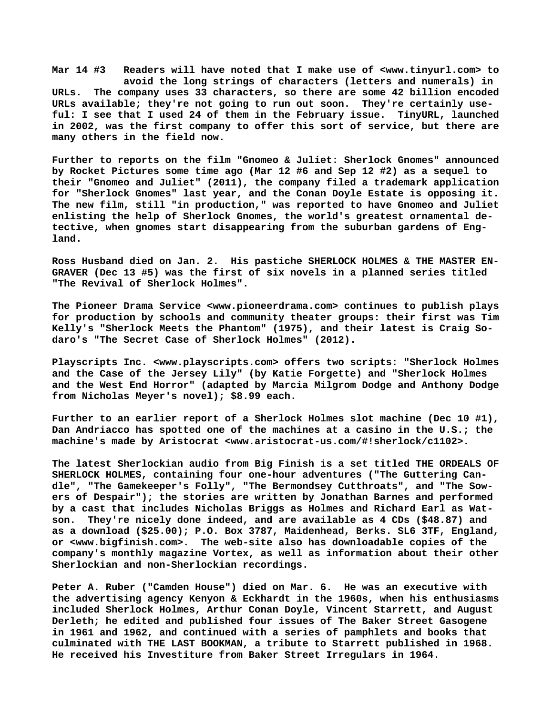**Mar 14 #3 Readers will have noted that I make use of [<www.tinyurl.com> t](http://www.tinyurl.com)o avoid the long strings of characters (letters and numerals) in URLs. The company uses 33 characters, so there are some 42 billion encoded URLs available; they're not going to run out soon. They're certainly useful: I see that I used 24 of them in the February issue. TinyURL, launched in 2002, was the first company to offer this sort of service, but there are many others in the field now.**

**Further to reports on the film "Gnomeo & Juliet: Sherlock Gnomes" announced by Rocket Pictures some time ago (Mar 12 #6 and Sep 12 #2) as a sequel to their "Gnomeo and Juliet" (2011), the company filed a trademark application for "Sherlock Gnomes" last year, and the Conan Doyle Estate is opposing it. The new film, still "in production," was reported to have Gnomeo and Juliet enlisting the help of Sherlock Gnomes, the world's greatest ornamental detective, when gnomes start disappearing from the suburban gardens of England.**

**Ross Husband died on Jan. 2. His pastiche SHERLOCK HOLMES & THE MASTER EN-GRAVER (Dec 13 #5) was the first of six novels in a planned series titled "The Revival of Sherlock Holmes".**

**The Pioneer Drama Service <[www.pioneerdrama.com> c](http://www.pioneerdrama.com)ontinues to publish plays for production by schools and community theater groups: their first was Tim Kelly's "Sherlock Meets the Phantom" (1975), and their latest is Craig Sodaro's "The Secret Case of Sherlock Holmes" (2012).**

**Playscripts Inc. [<www.playscripts.com> o](http://www.playscripts.com)ffers two scripts: "Sherlock Holmes and the Case of the Jersey Lily" (by Katie Forgette) and "Sherlock Holmes and the West End Horror" (adapted by Marcia Milgrom Dodge and Anthony Dodge from Nicholas Meyer's novel); \$8.99 each.**

**Further to an earlier report of a Sherlock Holmes slot machine (Dec 10 #1), Dan Andriacco has spotted one of the machines at a casino in the U.S.; the machine's made by Aristocrat <[www.aristocrat-us.com/#!sherlock/c1102>.](http://www.aristocrat-us.com/#!sherlock/c1102)**

**The latest Sherlockian audio from Big Finish is a set titled THE ORDEALS OF SHERLOCK HOLMES, containing four one-hour adventures ("The Guttering Candle", "The Gamekeeper's Folly", "The Bermondsey Cutthroats", and "The Sowers of Despair"); the stories are written by Jonathan Barnes and performed by a cast that includes Nicholas Briggs as Holmes and Richard Earl as Watson. They're nicely done indeed, and are available as 4 CDs (\$48.87) and as a download (\$25.00); P.O. Box 3787, Maidenhead, Berks. SL6 3TF, England, or [<www.bigfinish.com>.](http://www.bigfinish.com) The web-site also has downloadable copies of the company's monthly magazine Vortex, as well as information about their other Sherlockian and non-Sherlockian recordings.**

**Peter A. Ruber ("Camden House") died on Mar. 6. He was an executive with the advertising agency Kenyon & Eckhardt in the 1960s, when his enthusiasms included Sherlock Holmes, Arthur Conan Doyle, Vincent Starrett, and August Derleth; he edited and published four issues of The Baker Street Gasogene in 1961 and 1962, and continued with a series of pamphlets and books that culminated with THE LAST BOOKMAN, a tribute to Starrett published in 1968. He received his Investiture from Baker Street Irregulars in 1964.**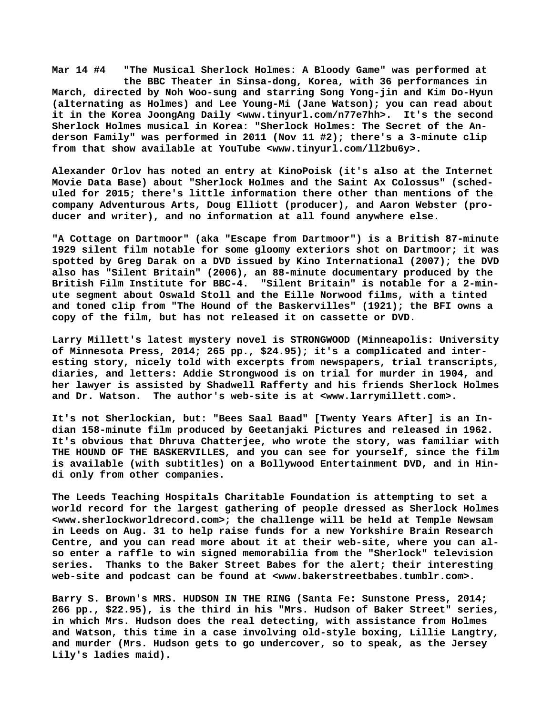**Mar 14 #4 "The Musical Sherlock Holmes: A Bloody Game" was performed at the BBC Theater in Sinsa-dong, Korea, with 36 performances in March, directed by Noh Woo-sung and starring Song Yong-jin and Kim Do-Hyun (alternating as Holmes) and Lee Young-Mi (Jane Watson); you can read about it in the Korea JoongAng Daily <[www.tinyurl.com/n77e7hh>.](http://www.tinyurl.com/n77e7hh) It's the second Sherlock Holmes musical in Korea: "Sherlock Holmes: The Secret of the Anderson Family" was performed in 2011 (Nov 11 #2); there's a 3-minute clip from that show available at YouTube <[www.tinyurl.com/ll2bu6y>.](http://www.tinyurl.com/ll2bu6y)**

**Alexander Orlov has noted an entry at KinoPoisk (it's also at the Internet Movie Data Base) about "Sherlock Holmes and the Saint Ax Colossus" (scheduled for 2015; there's little information there other than mentions of the company Adventurous Arts, Doug Elliott (producer), and Aaron Webster (producer and writer), and no information at all found anywhere else.**

**"A Cottage on Dartmoor" (aka "Escape from Dartmoor") is a British 87-minute 1929 silent film notable for some gloomy exteriors shot on Dartmoor; it was spotted by Greg Darak on a DVD issued by Kino International (2007); the DVD also has "Silent Britain" (2006), an 88-minute documentary produced by the British Film Institute for BBC-4. "Silent Britain" is notable for a 2-minute segment about Oswald Stoll and the Eille Norwood films, with a tinted and toned clip from "The Hound of the Baskervilles" (1921); the BFI owns a copy of the film, but has not released it on cassette or DVD.**

**Larry Millett's latest mystery novel is STRONGWOOD (Minneapolis: University of Minnesota Press, 2014; 265 pp., \$24.95); it's a complicated and interesting story, nicely told with excerpts from newspapers, trial transcripts, diaries, and letters: Addie Strongwood is on trial for murder in 1904, and her lawyer is assisted by Shadwell Rafferty and his friends Sherlock Holmes and Dr. Watson. The author's web-site is at [<www.larrymillett.com>.](http://www.larrymillett.com)**

**It's not Sherlockian, but: "Bees Saal Baad" [Twenty Years After] is an Indian 158-minute film produced by Geetanjaki Pictures and released in 1962. It's obvious that Dhruva Chatterjee, who wrote the story, was familiar with THE HOUND OF THE BASKERVILLES, and you can see for yourself, since the film is available (with subtitles) on a Bollywood Entertainment DVD, and in Hindi only from other companies.**

**The Leeds Teaching Hospitals Charitable Foundation is attempting to set a world record for the largest gathering of people dressed as Sherlock Holmes [<www.sherlockworldrecord.com>; t](http://www.sherlockworldrecord.com)he challenge will be held at Temple Newsam in Leeds on Aug. 31 to help raise funds for a new Yorkshire Brain Research Centre, and you can read more about it at their web-site, where you can also enter a raffle to win signed memorabilia from the "Sherlock" television series. Thanks to the Baker Street Babes for the alert; their interesting web-site and podcast can be found at [<www.bakerstreetbabes.tumblr.com>.](http://www.bakerstreetbabes.tumblr.com)**

**Barry S. Brown's MRS. HUDSON IN THE RING (Santa Fe: Sunstone Press, 2014; 266 pp., \$22.95), is the third in his "Mrs. Hudson of Baker Street" series, in which Mrs. Hudson does the real detecting, with assistance from Holmes and Watson, this time in a case involving old-style boxing, Lillie Langtry, and murder (Mrs. Hudson gets to go undercover, so to speak, as the Jersey Lily's ladies maid).**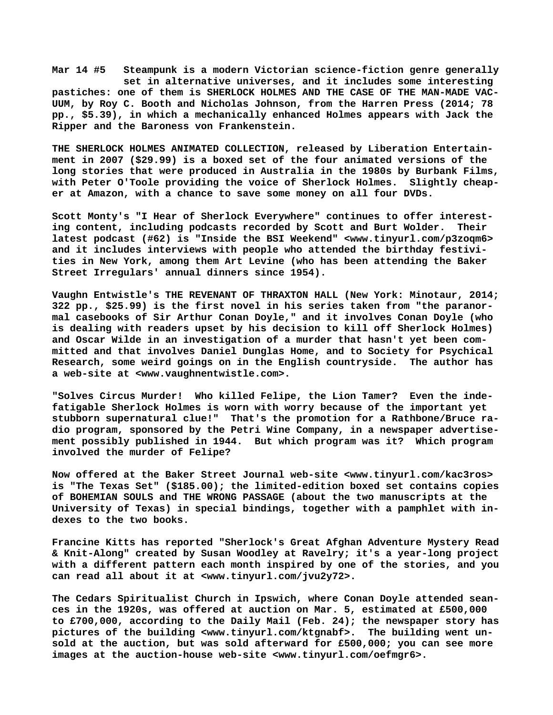**Mar 14 #5 Steampunk is a modern Victorian science-fiction genre generally set in alternative universes, and it includes some interesting pastiches: one of them is SHERLOCK HOLMES AND THE CASE OF THE MAN-MADE VAC-UUM, by Roy C. Booth and Nicholas Johnson, from the Harren Press (2014; 78 pp., \$5.39), in which a mechanically enhanced Holmes appears with Jack the Ripper and the Baroness von Frankenstein.**

**THE SHERLOCK HOLMES ANIMATED COLLECTION, released by Liberation Entertainment in 2007 (\$29.99) is a boxed set of the four animated versions of the long stories that were produced in Australia in the 1980s by Burbank Films, with Peter O'Toole providing the voice of Sherlock Holmes. Slightly cheaper at Amazon, with a chance to save some money on all four DVDs.**

**Scott Monty's "I Hear of Sherlock Everywhere" continues to offer interesting content, including podcasts recorded by Scott and Burt Wolder. Their latest podcast (#62) is "Inside the BSI Weekend" <[www.tinyurl.com/p3zoqm6>](http://www.tinyurl.com/p3zoqm6) and it includes interviews with people who attended the birthday festivities in New York, among them Art Levine (who has been attending the Baker Street Irregulars' annual dinners since 1954).**

**Vaughn Entwistle's THE REVENANT OF THRAXTON HALL (New York: Minotaur, 2014; 322 pp., \$25.99) is the first novel in his series taken from "the paranormal casebooks of Sir Arthur Conan Doyle," and it involves Conan Doyle (who is dealing with readers upset by his decision to kill off Sherlock Holmes) and Oscar Wilde in an investigation of a murder that hasn't yet been committed and that involves Daniel Dunglas Home, and to Society for Psychical Research, some weird goings on in the English countryside. The author has a web-site at <[www.vaughnentwistle.com>.](http://www.vaughnentwistle.com)**

**"Solves Circus Murder! Who killed Felipe, the Lion Tamer? Even the indefatigable Sherlock Holmes is worn with worry because of the important yet stubborn supernatural clue!" That's the promotion for a Rathbone/Bruce radio program, sponsored by the Petri Wine Company, in a newspaper advertisement possibly published in 1944. But which program was it? Which program involved the murder of Felipe?**

**Now offered at the Baker Street Journal web-site <[www.tinyurl.com/kac3ros>](http://www.tinyurl.com/kac3ros) is "The Texas Set" (\$185.00); the limited-edition boxed set contains copies of BOHEMIAN SOULS and THE WRONG PASSAGE (about the two manuscripts at the University of Texas) in special bindings, together with a pamphlet with indexes to the two books.**

**Francine Kitts has reported "Sherlock's Great Afghan Adventure Mystery Read & Knit-Along" created by Susan Woodley at Ravelry; it's a year-long project with a different pattern each month inspired by one of the stories, and you can read all about it at [<www.tinyurl.com/jvu2y72>.](http://www.tinyurl.com/jvu2y72)**

**The Cedars Spiritualist Church in Ipswich, where Conan Doyle attended seances in the 1920s, was offered at auction on Mar. 5, estimated at £500,000 to £700,000, according to the Daily Mail (Feb. 24); the newspaper story has pictures of the building [<www.tinyurl.com/ktgnabf>.](http://www.tinyurl.com/ktgnabf) The building went unsold at the auction, but was sold afterward for £500,000; you can see more images at the auction-house web-site [<www.tinyurl.com/oefmgr6>.](http://www.tinyurl.com/oefmgr6)**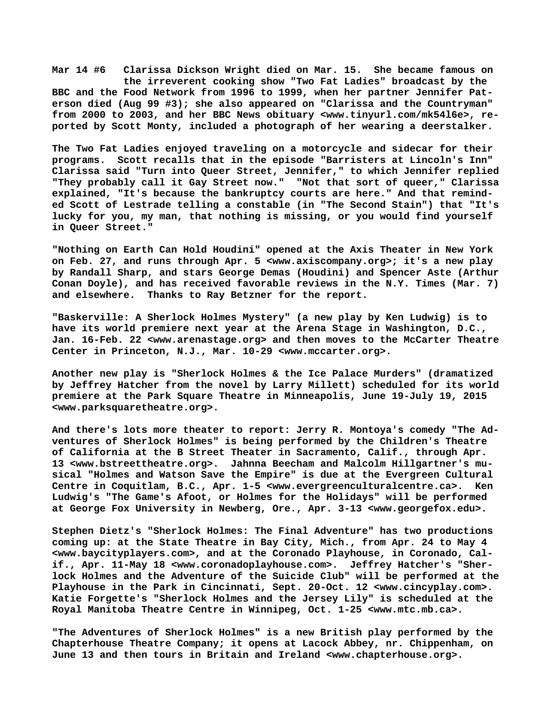**Mar 14 #6 Clarissa Dickson Wright died on Mar. 15. She became famous on the irreverent cooking show "Two Fat Ladies" broadcast by the BBC and the Food Network from 1996 to 1999, when her partner Jennifer Paterson died (Aug 99 #3); she also appeared on "Clarissa and the Countryman" from 2000 to 2003, and her BBC News obituary [<www.tinyurl.com/mk54l6e>, r](http://www.tinyurl.com/mk54l6e)eported by Scott Monty, included a photograph of her wearing a deerstalker.**

**The Two Fat Ladies enjoyed traveling on a motorcycle and sidecar for their programs. Scott recalls that in the episode "Barristers at Lincoln's Inn" Clarissa said "Turn into Queer Street, Jennifer," to which Jennifer replied "They probably call it Gay Street now." "Not that sort of queer," Clarissa explained, "It's because the bankruptcy courts are here." And that reminded Scott of Lestrade telling a constable (in "The Second Stain") that "It's lucky for you, my man, that nothing is missing, or you would find yourself in Queer Street."**

**"Nothing on Earth Can Hold Houdini" opened at the Axis Theater in New York on Feb. 27, and runs through Apr. 5 <[www.axiscompany.org>; i](http://www.axiscompany.org)t's a new play by Randall Sharp, and stars George Demas (Houdini) and Spencer Aste (Arthur Conan Doyle), and has received favorable reviews in the N.Y. Times (Mar. 7) and elsewhere. Thanks to Ray Betzner for the report.**

**"Baskerville: A Sherlock Holmes Mystery" (a new play by Ken Ludwig) is to have its world premiere next year at the Arena Stage in Washington, D.C., Jan. 16-Feb. 22 <[www.arenastage.org> a](http://www.arenastage.org)nd then moves to the McCarter Theatre Center in Princeton, N.J., Mar. 10-29 [<www.mccarter.org>.](http://www.mccarter.org)**

**Another new play is "Sherlock Holmes & the Ice Palace Murders" (dramatized by Jeffrey Hatcher from the novel by Larry Millett) scheduled for its world premiere at the Park Square Theatre in Minneapolis, June 19-July 19, 2015 [<www.parksquaretheatre.org>.](http://www.parksquaretheatre.org)**

**And there's lots more theater to report: Jerry R. Montoya's comedy "The Adventures of Sherlock Holmes" is being performed by the Children's Theatre of California at the B Street Theater in Sacramento, Calif., through Apr. 13 [<www.bstreettheatre.org>.](http://www.bstreettheatre.org) Jahnna Beecham and Malcolm Hillgartner's musical "Holmes and Watson Save the Empire" is due at the Evergreen Cultural Centre in Coquitlam, B.C., Apr. 1-5 <[www.evergreenculturalcentre.ca>.](http://www.evergreenculturalcentre.ca) Ken Ludwig's "The Game's Afoot, or Holmes for the Holidays" will be performed at George Fox University in Newberg, Ore., Apr. 3-13 [<www.georgefox.edu>.](http://www.georgefox.edu)**

**Stephen Dietz's "Sherlock Holmes: The Final Adventure" has two productions coming up: at the State Theatre in Bay City, Mich., from Apr. 24 to May 4 [<www.baycityplayers.com>, a](http://www.baycityplayers.com)nd at the Coronado Playhouse, in Coronado, Calif., Apr. 11-May 18 [<www.coronadoplayhouse.com>.](http://www.coronadoplayhouse.com) Jeffrey Hatcher's "Sherlock Holmes and the Adventure of the Suicide Club" will be performed at the Playhouse in the Park in Cincinnati, Sept. 20-Oct. 12 <[www.cincyplay.com>.](http://www.cincyplay.com) Katie Forgette's "Sherlock Holmes and the Jersey Lily" is scheduled at the Royal Manitoba Theatre Centre in Winnipeg, Oct. 1-25 [<www.mtc.mb.ca>.](http://www.mtc.mb.ca)**

**"The Adventures of Sherlock Holmes" is a new British play performed by the Chapterhouse Theatre Company; it opens at Lacock Abbey, nr. Chippenham, on June 13 and then tours in Britain and Ireland <[www.chapterhouse.org>.](http://www.chapterhouse.org)**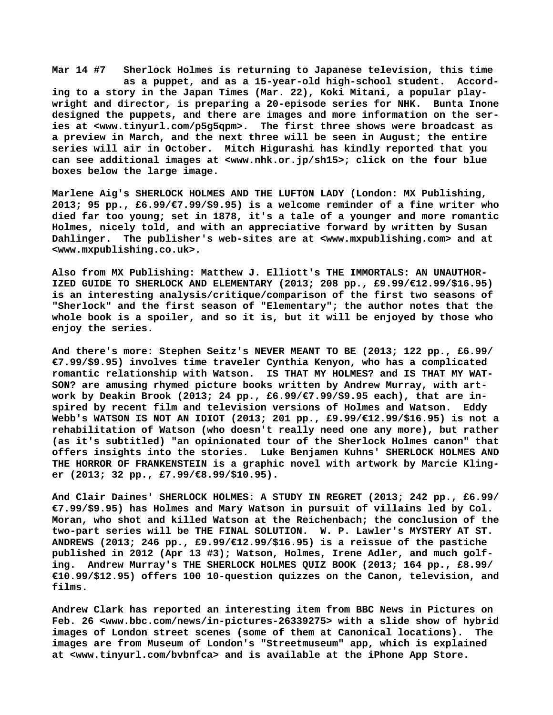**Mar 14 #7 Sherlock Holmes is returning to Japanese television, this time as a puppet, and as a 15-year-old high-school student. According to a story in the Japan Times (Mar. 22), Koki Mitani, a popular playwright and director, is preparing a 20-episode series for NHK. Bunta Inone designed the puppets, and there are images and more information on the series at [<www.tinyurl.com/p5g5qpm>.](http://www.tinyurl.com/p5g5qpm) The first three shows were broadcast as a preview in March, and the next three will be seen in August; the entire series will air in October. Mitch Higurashi has kindly reported that you can see additional images at <[www.nhk.or.jp/sh15>; c](http://www.nhk.or.jp/sh15)lick on the four blue boxes below the large image.**

**Marlene Aig's SHERLOCK HOLMES AND THE LUFTON LADY (London: MX Publishing, 2013; 95 pp., £6.99/€7.99/\$9.95) is a welcome reminder of a fine writer who died far too young; set in 1878, it's a tale of a younger and more romantic Holmes, nicely told, and with an appreciative forward by written by Susan Dahlinger. The publisher's web-sites are at [<www.mxpublishing.com> a](http://www.mxpublishing.com)nd at [<www.mxpublishing.co.uk>.](http://www.mxpublishing.co.uk)**

**Also from MX Publishing: Matthew J. Elliott's THE IMMORTALS: AN UNAUTHOR-IZED GUIDE TO SHERLOCK AND ELEMENTARY (2013; 208 pp., £9.99/€12.99/\$16.95) is an interesting analysis/critique/comparison of the first two seasons of "Sherlock" and the first season of "Elementary"; the author notes that the whole book is a spoiler, and so it is, but it will be enjoyed by those who enjoy the series.**

**And there's more: Stephen Seitz's NEVER MEANT TO BE (2013; 122 pp., £6.99/ €7.99/\$9.95) involves time traveler Cynthia Kenyon, who has a complicated romantic relationship with Watson. IS THAT MY HOLMES? and IS THAT MY WAT-SON? are amusing rhymed picture books written by Andrew Murray, with artwork by Deakin Brook (2013; 24 pp., £6.99/€7.99/\$9.95 each), that are inspired by recent film and television versions of Holmes and Watson. Eddy Webb's WATSON IS NOT AN IDIOT (2013; 201 pp., £9.99/€12.99/\$16.95) is not a rehabilitation of Watson (who doesn't really need one any more), but rather (as it's subtitled) "an opinionated tour of the Sherlock Holmes canon" that offers insights into the stories. Luke Benjamen Kuhns' SHERLOCK HOLMES AND THE HORROR OF FRANKENSTEIN is a graphic novel with artwork by Marcie Klinger (2013; 32 pp., £7.99/€8.99/\$10.95).**

**And Clair Daines' SHERLOCK HOLMES: A STUDY IN REGRET (2013; 242 pp., £6.99/ €7.99/\$9.95) has Holmes and Mary Watson in pursuit of villains led by Col. Moran, who shot and killed Watson at the Reichenbach; the conclusion of the two-part series will be THE FINAL SOLUTION. W. P. Lawler's MYSTERY AT ST. ANDREWS (2013; 246 pp., £9.99/€12.99/\$16.95) is a reissue of the pastiche published in 2012 (Apr 13 #3); Watson, Holmes, Irene Adler, and much golfing. Andrew Murray's THE SHERLOCK HOLMES QUIZ BOOK (2013; 164 pp., £8.99/ €10.99/\$12.95) offers 100 10-question quizzes on the Canon, television, and films.**

**Andrew Clark has reported an interesting item from BBC News in Pictures on Feb. 26 [<www.bbc.com/news/in-pictures-26339275> w](http://www.bbc.com/news/in-pictures-26339275)ith a slide show of hybrid images of London street scenes (some of them at Canonical locations). The images are from Museum of London's "Streetmuseum" app, which is explained at [<www.tinyurl.com/bvbnfca> a](http://www.tinyurl.com/bvbnfca)nd is available at the iPhone App Store.**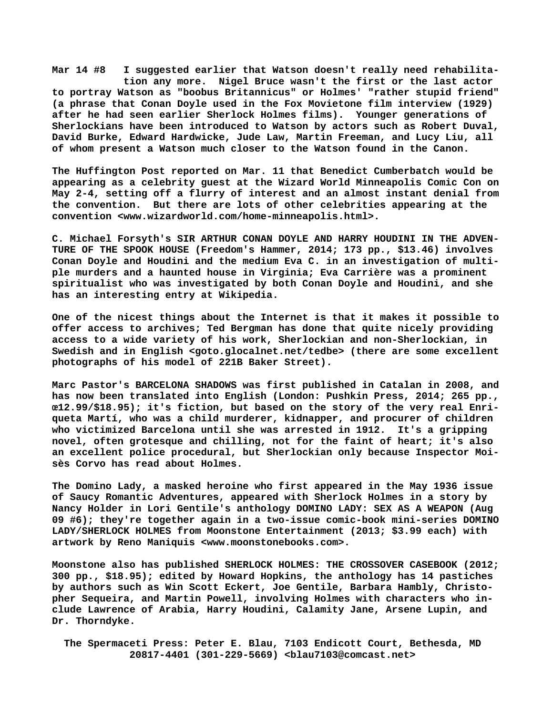**Mar 14 #8 I suggested earlier that Watson doesn't really need rehabilita tion any more. Nigel Bruce wasn't the first or the last actor to portray Watson as "boobus Britannicus" or Holmes' "rather stupid friend" (a phrase that Conan Doyle used in the Fox Movietone film interview (1929) after he had seen earlier Sherlock Holmes films). Younger generations of Sherlockians have been introduced to Watson by actors such as Robert Duval, David Burke, Edward Hardwicke, Jude Law, Martin Freeman, and Lucy Liu, all of whom present a Watson much closer to the Watson found in the Canon.**

**The Huffington Post reported on Mar. 11 that Benedict Cumberbatch would be appearing as a celebrity guest at the Wizard World Minneapolis Comic Con on May 2-4, setting off a flurry of interest and an almost instant denial from the convention. But there are lots of other celebrities appearing at the convention <[www.wizardworld.com/home-minneapolis.html>.](http://www.wizardworld.com/home-minneapolis.html)**

**C. Michael Forsyth's SIR ARTHUR CONAN DOYLE AND HARRY HOUDINI IN THE ADVEN-TURE OF THE SPOOK HOUSE (Freedom's Hammer, 2014; 173 pp., \$13.46) involves Conan Doyle and Houdini and the medium Eva C. in an investigation of multiple murders and a haunted house in Virginia; Eva Carrière was a prominent spiritualist who was investigated by both Conan Doyle and Houdini, and she has an interesting entry at Wikipedia.**

**One of the nicest things about the Internet is that it makes it possible to offer access to archives; Ted Bergman has done that quite nicely providing access to a wide variety of his work, Sherlockian and non-Sherlockian, in Swedish and in English <goto.glocalnet.net/tedbe> (there are some excellent photographs of his model of 221B Baker Street).**

**Marc Pastor's BARCELONA SHADOWS was first published in Catalan in 2008, and has now been translated into English (London: Pushkin Press, 2014; 265 pp., œ12.99/\$18.95); it's fiction, but based on the story of the very real Enriqueta Martí, who was a child murderer, kidnapper, and procurer of children who victimized Barcelona until she was arrested in 1912. It's a gripping novel, often grotesque and chilling, not for the faint of heart; it's also an excellent police procedural, but Sherlockian only because Inspector Moisès Corvo has read about Holmes.**

**The Domino Lady, a masked heroine who first appeared in the May 1936 issue of Saucy Romantic Adventures, appeared with Sherlock Holmes in a story by Nancy Holder in Lori Gentile's anthology DOMINO LADY: SEX AS A WEAPON (Aug 09 #6); they're together again in a two-issue comic-book mini-series DOMINO LADY/SHERLOCK HOLMES from Moonstone Entertainment (2013; \$3.99 each) with artwork by Reno Maniquis [<www.moonstonebooks.com>.](http://www.moonstonebooks.com)**

**Moonstone also has published SHERLOCK HOLMES: THE CROSSOVER CASEBOOK (2012; 300 pp., \$18.95); edited by Howard Hopkins, the anthology has 14 pastiches by authors such as Win Scott Eckert, Joe Gentile, Barbara Hambly, Christopher Sequeira, and Martin Powell, involving Holmes with characters who include Lawrence of Arabia, Harry Houdini, Calamity Jane, Arsene Lupin, and Dr. Thorndyke.**

 **The Spermaceti Press: Peter E. Blau, 7103 Endicott Court, Bethesda, MD 20817-4401 (301-229-5669) <[blau7103@comcast.net>](mailto:blau7103@comcast.net)**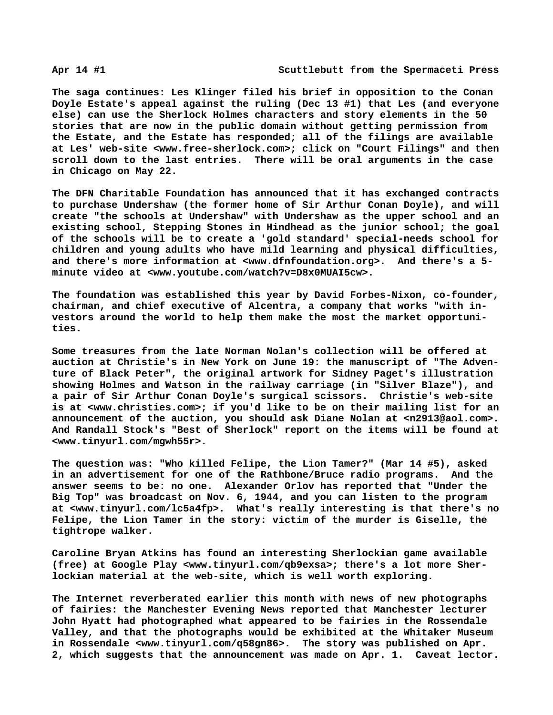**The saga continues: Les Klinger filed his brief in opposition to the Conan Doyle Estate's appeal against the ruling (Dec 13 #1) that Les (and everyone else) can use the Sherlock Holmes characters and story elements in the 50 stories that are now in the public domain without getting permission from the Estate, and the Estate has responded; all of the filings are available at Les' web-site [<www.free-sherlock.com>; c](http://www.free-sherlock.com)lick on "Court Filings" and then scroll down to the last entries. There will be oral arguments in the case in Chicago on May 22.**

**The DFN Charitable Foundation has announced that it has exchanged contracts to purchase Undershaw (the former home of Sir Arthur Conan Doyle), and will create "the schools at Undershaw" with Undershaw as the upper school and an existing school, Stepping Stones in Hindhead as the junior school; the goal of the schools will be to create a 'gold standard' special-needs school for children and young adults who have mild learning and physical difficulties, and there's more information at [<www.dfnfoundation.org>.](http://www.dfnfoundation.org) And there's a 5 minute video at <[www.youtube.com/watch?v=D8x0MUAI5cw>.](http://www.youtube.com/watch?v=D8x0MUAI5cw)**

**The foundation was established this year by David Forbes-Nixon, co-founder, chairman, and chief executive of Alcentra, a company that works "with investors around the world to help them make the most the market opportunities.**

**Some treasures from the late Norman Nolan's collection will be offered at auction at Christie's in New York on June 19: the manuscript of "The Adventure of Black Peter", the original artwork for Sidney Paget's illustration showing Holmes and Watson in the railway carriage (in "Silver Blaze"), and a pair of Sir Arthur Conan Doyle's surgical scissors. Christie's web-site is at <[www.christies.com>; i](http://www.christies.com)f you'd like to be on their mailing list for an announcement of the auction, you should ask Diane Nolan at <[n2913@aol.com>.](mailto:n2913@aol.com) And Randall Stock's "Best of Sherlock" report on the items will be found at [<www.tinyurl.com/mgwh55r>.](http://www.tinyurl.com/mgwh55r)**

**The question was: "Who killed Felipe, the Lion Tamer?" (Mar 14 #5), asked in an advertisement for one of the Rathbone/Bruce radio programs. And the answer seems to be: no one. Alexander Orlov has reported that "Under the Big Top" was broadcast on Nov. 6, 1944, and you can listen to the program at [<www.tinyurl.com/lc5a4fp>.](http://www.tinyurl.com/lc5a4fp) What's really interesting is that there's no Felipe, the Lion Tamer in the story: victim of the murder is Giselle, the tightrope walker.**

**Caroline Bryan Atkins has found an interesting Sherlockian game available (free) at Google Play [<www.tinyurl.com/qb9exsa>; t](http://www.tinyurl.com/qb9exsa)here's a lot more Sherlockian material at the web-site, which is well worth exploring.**

**The Internet reverberated earlier this month with news of new photographs of fairies: the Manchester Evening News reported that Manchester lecturer John Hyatt had photographed what appeared to be fairies in the Rossendale Valley, and that the photographs would be exhibited at the Whitaker Museum in Rossendale <[www.tinyurl.com/q58gn86>.](http://www.tinyurl.com/q58gn86) The story was published on Apr. 2, which suggests that the announcement was made on Apr. 1. Caveat lector.**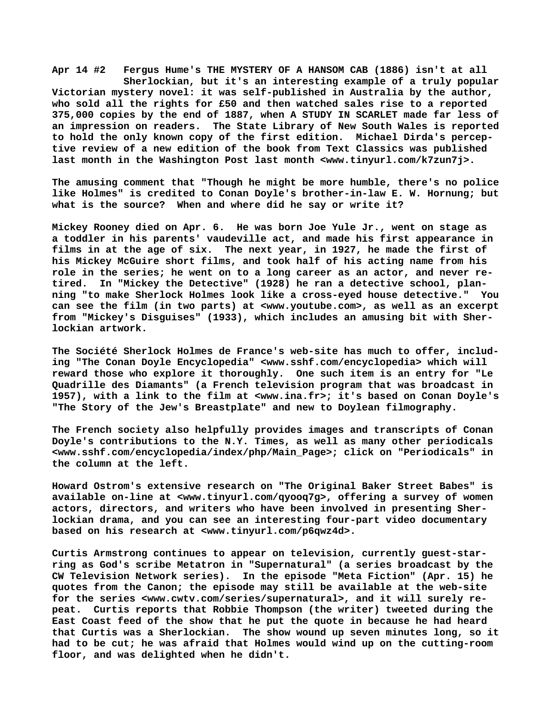**Apr 14 #2 Fergus Hume's THE MYSTERY OF A HANSOM CAB (1886) isn't at all Sherlockian, but it's an interesting example of a truly popular Victorian mystery novel: it was self-published in Australia by the author, who sold all the rights for £50 and then watched sales rise to a reported 375,000 copies by the end of 1887, when A STUDY IN SCARLET made far less of an impression on readers. The State Library of New South Wales is reported to hold the only known copy of the first edition. Michael Dirda's perceptive review of a new edition of the book from Text Classics was published** last month in the Washington Post last month [<www.tinyurl.com/k7zun7j>.](http://www.tinyurl.com/k7zun7j)

**The amusing comment that "Though he might be more humble, there's no police like Holmes" is credited to Conan Doyle's brother-in-law E. W. Hornung; but what is the source? When and where did he say or write it?**

**Mickey Rooney died on Apr. 6. He was born Joe Yule Jr., went on stage as a toddler in his parents' vaudeville act, and made his first appearance in films in at the age of six. The next year, in 1927, he made the first of his Mickey McGuire short films, and took half of his acting name from his role in the series; he went on to a long career as an actor, and never retired. In "Mickey the Detective" (1928) he ran a detective school, planning "to make Sherlock Holmes look like a cross-eyed house detective." You can see the film (in two parts) at [<www.youtube.com>, a](http://www.youtube.com)s well as an excerpt from "Mickey's Disguises" (1933), which includes an amusing bit with Sherlockian artwork.**

**The Société Sherlock Holmes de France's web-site has much to offer, including "The Conan Doyle Encyclopedia" [<www.sshf.com/encyclopedia> w](http://www.sshf.com/encyclopedia)hich will reward those who explore it thoroughly. One such item is an entry for "Le Quadrille des Diamants" (a French television program that was broadcast in 1957), with a link to the film at <[www.ina.fr>; i](http://www.ina.fr)t's based on Conan Doyle's "The Story of the Jew's Breastplate" and new to Doylean filmography.**

**The French society also helpfully provides images and transcripts of Conan Doyle's contributions to the N.Y. Times, as well as many other periodicals [<www.sshf.com/encyclopedia/index/php/Main\\_Page>; c](http://www.sshf.com/encyclopedia/index/php/Main_Page)lick on "Periodicals" in the column at the left.**

**Howard Ostrom's extensive research on "The Original Baker Street Babes" is available on-line at <[www.tinyurl.com/qyooq7g>, o](http://www.tinyurl.com/qyooq7g)ffering a survey of women actors, directors, and writers who have been involved in presenting Sherlockian drama, and you can see an interesting four-part video documentary based on his research at [<www.tinyurl.com/p6qwz4d>.](http://www.tinyurl.com/p6qwz4d)**

**Curtis Armstrong continues to appear on television, currently guest-starring as God's scribe Metatron in "Supernatural" (a series broadcast by the CW Television Network series). In the episode "Meta Fiction" (Apr. 15) he quotes from the Canon; the episode may still be available at the web-site for the series [<www.cwtv.com/series/supernatural>, a](http://www.cwtv.com/series/supernatural)nd it will surely repeat. Curtis reports that Robbie Thompson (the writer) tweeted during the East Coast feed of the show that he put the quote in because he had heard that Curtis was a Sherlockian. The show wound up seven minutes long, so it had to be cut; he was afraid that Holmes would wind up on the cutting-room floor, and was delighted when he didn't.**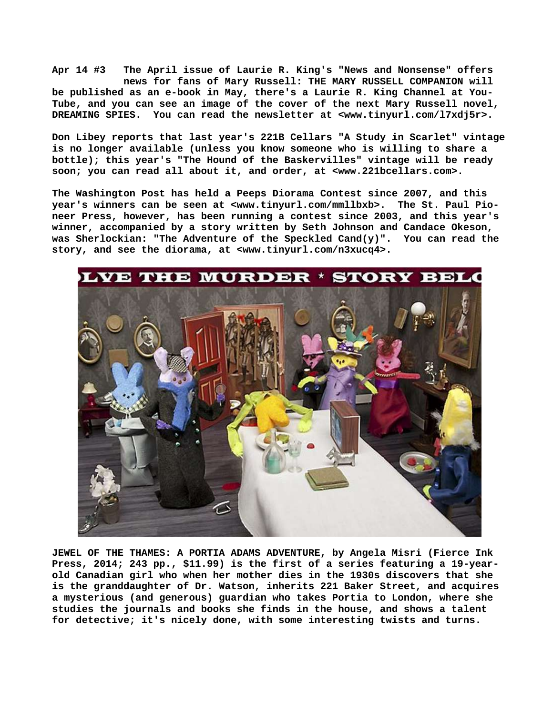**Apr 14 #3 The April issue of Laurie R. King's "News and Nonsense" offers news for fans of Mary Russell: THE MARY RUSSELL COMPANION will be published as an e-book in May, there's a Laurie R. King Channel at You-Tube, and you can see an image of the cover of the next Mary Russell novel, DREAMING SPIES. You can read the newsletter at [<www.tinyurl.com/l7xdj5r>.](http://www.tinyurl.com/l7xdj5r)**

**Don Libey reports that last year's 221B Cellars "A Study in Scarlet" vintage is no longer available (unless you know someone who is willing to share a bottle); this year's "The Hound of the Baskervilles" vintage will be ready soon; you can read all about it, and order, at [<www.221bcellars.com>.](http://www.221bcellars.com)** 

**The Washington Post has held a Peeps Diorama Contest since 2007, and this year's winners can be seen at [<www.tinyurl.com/mmllbxb>.](http://www.tinyurl.com/mmllbxb) The St. Paul Pioneer Press, however, has been running a contest since 2003, and this year's winner, accompanied by a story written by Seth Johnson and Candace Okeson, was Sherlockian: "The Adventure of the Speckled Cand(y)". You can read the story, and see the diorama, at <[www.tinyurl.com/n3xucq4>.](http://www.tinyurl.com/n3xucq4)**



**JEWEL OF THE THAMES: A PORTIA ADAMS ADVENTURE, by Angela Misri (Fierce Ink Press, 2014; 243 pp., \$11.99) is the first of a series featuring a 19-yearold Canadian girl who when her mother dies in the 1930s discovers that she is the granddaughter of Dr. Watson, inherits 221 Baker Street, and acquires a mysterious (and generous) guardian who takes Portia to London, where she studies the journals and books she finds in the house, and shows a talent for detective; it's nicely done, with some interesting twists and turns.**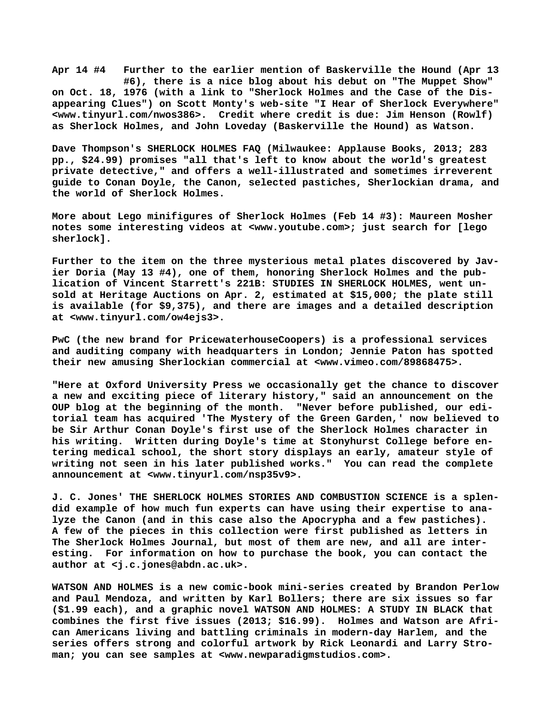**Apr 14 #4 Further to the earlier mention of Baskerville the Hound (Apr 13 #6), there is a nice blog about his debut on "The Muppet Show" on Oct. 18, 1976 (with a link to "Sherlock Holmes and the Case of the Disappearing Clues") on Scott Monty's web-site "I Hear of Sherlock Everywhere" [<www.tinyurl.com/nwos386>.](http://www.tinyurl.com/nwos386) Credit where credit is due: Jim Henson (Rowlf) as Sherlock Holmes, and John Loveday (Baskerville the Hound) as Watson.**

**Dave Thompson's SHERLOCK HOLMES FAQ (Milwaukee: Applause Books, 2013; 283 pp., \$24.99) promises "all that's left to know about the world's greatest private detective," and offers a well-illustrated and sometimes irreverent guide to Conan Doyle, the Canon, selected pastiches, Sherlockian drama, and the world of Sherlock Holmes.**

**More about Lego minifigures of Sherlock Holmes (Feb 14 #3): Maureen Mosher notes some interesting videos at [<www.youtube.com>; j](http://www.youtube.com)ust search for [lego sherlock].**

**Further to the item on the three mysterious metal plates discovered by Javier Doria (May 13 #4), one of them, honoring Sherlock Holmes and the publication of Vincent Starrett's 221B: STUDIES IN SHERLOCK HOLMES, went unsold at Heritage Auctions on Apr. 2, estimated at \$15,000; the plate still is available (for \$9,375), and there are images and a detailed description at [<www.tinyurl.com/ow4ejs3>.](http://www.tinyurl.com/ow4ejs3)**

**PwC (the new brand for PricewaterhouseCoopers) is a professional services and auditing company with headquarters in London; Jennie Paton has spotted their new amusing Sherlockian commercial at <[www.vimeo.com/89868475>.](http://www.vimeo.com/89868475)**

**"Here at Oxford University Press we occasionally get the chance to discover a new and exciting piece of literary history," said an announcement on the OUP blog at the beginning of the month. "Never before published, our editorial team has acquired 'The Mystery of the Green Garden,' now believed to be Sir Arthur Conan Doyle's first use of the Sherlock Holmes character in his writing. Written during Doyle's time at Stonyhurst College before entering medical school, the short story displays an early, amateur style of writing not seen in his later published works." You can read the complete announcement at <[www.tinyurl.com/nsp35v9>.](http://www.tinyurl.com/nsp35v9)**

**J. C. Jones' THE SHERLOCK HOLMES STORIES AND COMBUSTION SCIENCE is a splendid example of how much fun experts can have using their expertise to analyze the Canon (and in this case also the Apocrypha and a few pastiches). A few of the pieces in this collection were first published as letters in The Sherlock Holmes Journal, but most of them are new, and all are interesting. For information on how to purchase the book, you can contact the author at [<j.c.jones@abdn.ac.uk>.](mailto:j.c.jones@abdn.ac.uk)**

**WATSON AND HOLMES is a new comic-book mini-series created by Brandon Perlow and Paul Mendoza, and written by Karl Bollers; there are six issues so far (\$1.99 each), and a graphic novel WATSON AND HOLMES: A STUDY IN BLACK that combines the first five issues (2013; \$16.99). Holmes and Watson are African Americans living and battling criminals in modern-day Harlem, and the series offers strong and colorful artwork by Rick Leonardi and Larry Stroman; you can see samples at [<www.newparadigmstudios.com>.](http://www.newparadigmstudios.com)**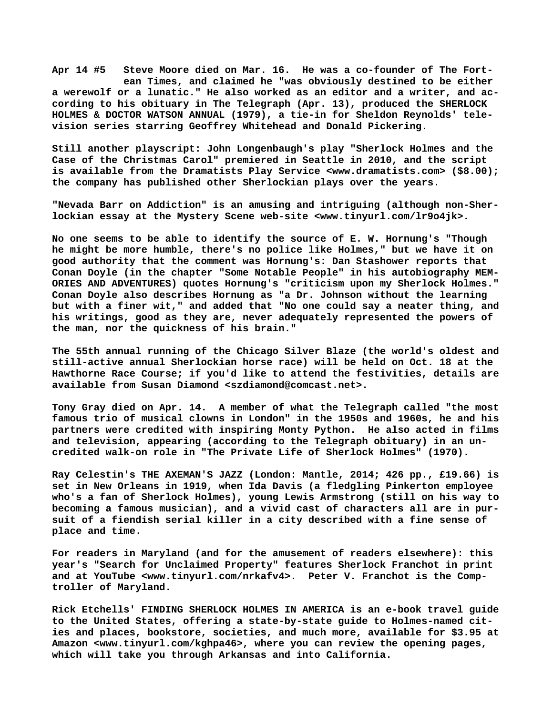**Apr 14 #5 Steve Moore died on Mar. 16. He was a co-founder of The Fort ean Times, and claimed he "was obviously destined to be either** a werewolf or a lunatic." He also worked as an editor and a writer, and ac**cording to his obituary in The Telegraph (Apr. 13), produced the SHERLOCK HOLMES & DOCTOR WATSON ANNUAL (1979), a tie-in for Sheldon Reynolds' television series starring Geoffrey Whitehead and Donald Pickering.**

**Still another playscript: John Longenbaugh's play "Sherlock Holmes and the Case of the Christmas Carol" premiered in Seattle in 2010, and the script is available from the Dramatists Play Service <[www.dramatists.com> \(](http://www.dramatists.com)\$8.00); the company has published other Sherlockian plays over the years.**

**"Nevada Barr on Addiction" is an amusing and intriguing (although non-Sherlockian essay at the Mystery Scene web-site <[www.tinyurl.com/lr9o4jk>.](http://www.tinyurl.com/lr9o4jk)**

**No one seems to be able to identify the source of E. W. Hornung's "Though he might be more humble, there's no police like Holmes," but we have it on good authority that the comment was Hornung's: Dan Stashower reports that Conan Doyle (in the chapter "Some Notable People" in his autobiography MEM-ORIES AND ADVENTURES) quotes Hornung's "criticism upon my Sherlock Holmes." Conan Doyle also describes Hornung as "a Dr. Johnson without the learning but with a finer wit," and added that "No one could say a neater thing, and his writings, good as they are, never adequately represented the powers of the man, nor the quickness of his brain."**

**The 55th annual running of the Chicago Silver Blaze (the world's oldest and still-active annual Sherlockian horse race) will be held on Oct. 18 at the Hawthorne Race Course; if you'd like to attend the festivities, details are available from Susan Diamond <[szdiamond@comcast.net>.](mailto:szdiamond@comcast.net)**

**Tony Gray died on Apr. 14. A member of what the Telegraph called "the most famous trio of musical clowns in London" in the 1950s and 1960s, he and his partners were credited with inspiring Monty Python. He also acted in films and television, appearing (according to the Telegraph obituary) in an uncredited walk-on role in "The Private Life of Sherlock Holmes" (1970).**

**Ray Celestin's THE AXEMAN'S JAZZ (London: Mantle, 2014; 426 pp., £19.66) is set in New Orleans in 1919, when Ida Davis (a fledgling Pinkerton employee who's a fan of Sherlock Holmes), young Lewis Armstrong (still on his way to becoming a famous musician), and a vivid cast of characters all are in pursuit of a fiendish serial killer in a city described with a fine sense of place and time.**

**For readers in Maryland (and for the amusement of readers elsewhere): this year's "Search for Unclaimed Property" features Sherlock Franchot in print and at YouTube [<www.tinyurl.com/nrkafv4>.](http://www.tinyurl.com/nrkafv4) Peter V. Franchot is the Comptroller of Maryland.**

**Rick Etchells' FINDING SHERLOCK HOLMES IN AMERICA is an e-book travel guide to the United States, offering a state-by-state guide to Holmes-named cities and places, bookstore, societies, and much more, available for \$3.95 at Amazon [<www.tinyurl.com/kghpa46>, w](http://www.tinyurl.com/kghpa46)here you can review the opening pages, which will take you through Arkansas and into California.**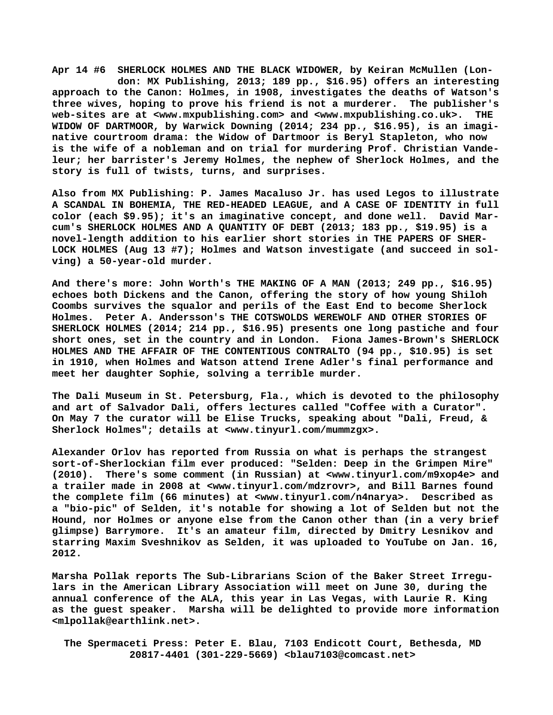**Apr 14 #6 SHERLOCK HOLMES AND THE BLACK WIDOWER, by Keiran McMullen (Lon don: MX Publishing, 2013; 189 pp., \$16.95) offers an interesting approach to the Canon: Holmes, in 1908, investigates the deaths of Watson's three wives, hoping to prove his friend is not a murderer. The publisher's web-sites are at [<www.mxpublishing.com> a](http://www.mxpublishing.com)nd <[www.mxpublishing.co.uk>.](http://www.mxpublishing.co.uk) THE WIDOW OF DARTMOOR, by Warwick Downing (2014; 234 pp., \$16.95), is an imaginative courtroom drama: the Widow of Dartmoor is Beryl Stapleton, who now is the wife of a nobleman and on trial for murdering Prof. Christian Vandeleur; her barrister's Jeremy Holmes, the nephew of Sherlock Holmes, and the story is full of twists, turns, and surprises.**

**Also from MX Publishing: P. James Macaluso Jr. has used Legos to illustrate A SCANDAL IN BOHEMIA, THE RED-HEADED LEAGUE, and A CASE OF IDENTITY in full color (each \$9.95); it's an imaginative concept, and done well. David Marcum's SHERLOCK HOLMES AND A QUANTITY OF DEBT (2013; 183 pp., \$19.95) is a novel-length addition to his earlier short stories in THE PAPERS OF SHER-LOCK HOLMES (Aug 13 #7); Holmes and Watson investigate (and succeed in solving) a 50-year-old murder.**

**And there's more: John Worth's THE MAKING OF A MAN (2013; 249 pp., \$16.95) echoes both Dickens and the Canon, offering the story of how young Shiloh Coombs survives the squalor and perils of the East End to become Sherlock Holmes. Peter A. Andersson's THE COTSWOLDS WEREWOLF AND OTHER STORIES OF SHERLOCK HOLMES (2014; 214 pp., \$16.95) presents one long pastiche and four short ones, set in the country and in London. Fiona James-Brown's SHERLOCK HOLMES AND THE AFFAIR OF THE CONTENTIOUS CONTRALTO (94 pp., \$10.95) is set in 1910, when Holmes and Watson attend Irene Adler's final performance and meet her daughter Sophie, solving a terrible murder.**

**The Dali Museum in St. Petersburg, Fla., which is devoted to the philosophy and art of Salvador Dali, offers lectures called "Coffee with a Curator". On May 7 the curator will be Elise Trucks, speaking about "Dali, Freud, & Sherlock Holmes"; details at <[www.tinyurl.com/mummzgx>.](http://www.tinyurl.com/mummzgx)**

**Alexander Orlov has reported from Russia on what is perhaps the strangest sort-of-Sherlockian film ever produced: "Selden: Deep in the Grimpen Mire" (2010). There's some comment (in Russian) at <[www.tinyurl.com/m9xop4e>](http://www.tinyurl.com/m9xop4e) and a trailer made in 2008 at <[www.tinyurl.com/mdzrovr>, a](http://www.tinyurl.com/mdzrovr)nd Bill Barnes found the complete film (66 minutes) at <[www.tinyurl.com/n4narya>.](http://www.tinyurl.com/n4narya) Described as a "bio-pic" of Selden, it's notable for showing a lot of Selden but not the Hound, nor Holmes or anyone else from the Canon other than (in a very brief glimpse) Barrymore. It's an amateur film, directed by Dmitry Lesnikov and starring Maxim Sveshnikov as Selden, it was uploaded to YouTube on Jan. 16, 2012.**

**Marsha Pollak reports The Sub-Librarians Scion of the Baker Street Irregulars in the American Library Association will meet on June 30, during the annual conference of the ALA, this year in Las Vegas, with Laurie R. King as the guest speaker. Marsha will be delighted to provide more information [<mlpollak@earthlink.net>.](mailto:mlpollak@earthlink.net)**

 **The Spermaceti Press: Peter E. Blau, 7103 Endicott Court, Bethesda, MD 20817-4401 (301-229-5669) <[blau7103@comcast.net>](mailto:blau7103@comcast.net)**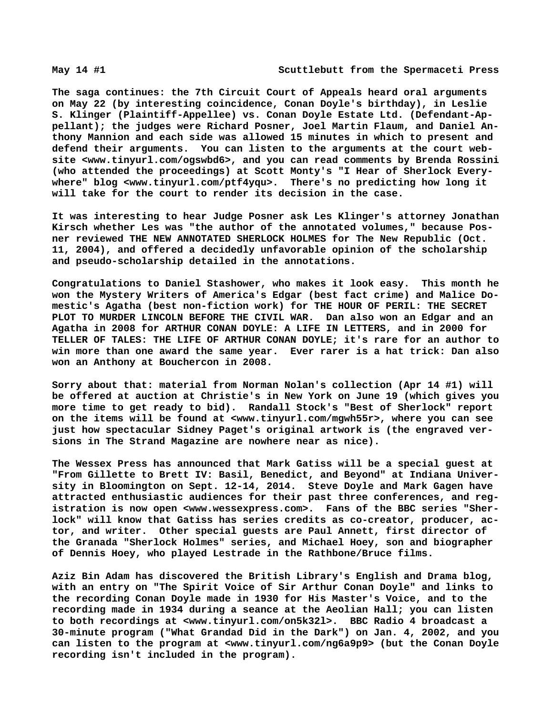**The saga continues: the 7th Circuit Court of Appeals heard oral arguments on May 22 (by interesting coincidence, Conan Doyle's birthday), in Leslie S. Klinger (Plaintiff-Appellee) vs. Conan Doyle Estate Ltd. (Defendant-Appellant); the judges were Richard Posner, Joel Martin Flaum, and Daniel Anthony Mannion and each side was allowed 15 minutes in which to present and defend their arguments. You can listen to the arguments at the court website [<www.tinyurl.com/ogswbd6>, a](http://www.tinyurl.com/ogswbd6)nd you can read comments by Brenda Rossini (who attended the proceedings) at Scott Monty's "I Hear of Sherlock Everywhere" blog [<www.tinyurl.com/ptf4yqu>.](http://www.tinyurl.com/ptf4yqu) There's no predicting how long it will take for the court to render its decision in the case.**

**It was interesting to hear Judge Posner ask Les Klinger's attorney Jonathan Kirsch whether Les was "the author of the annotated volumes," because Posner reviewed THE NEW ANNOTATED SHERLOCK HOLMES for The New Republic (Oct. 11, 2004), and offered a decidedly unfavorable opinion of the scholarship and pseudo-scholarship detailed in the annotations.**

**Congratulations to Daniel Stashower, who makes it look easy. This month he won the Mystery Writers of America's Edgar (best fact crime) and Malice Domestic's Agatha (best non-fiction work) for THE HOUR OF PERIL: THE SECRET PLOT TO MURDER LINCOLN BEFORE THE CIVIL WAR. Dan also won an Edgar and an Agatha in 2008 for ARTHUR CONAN DOYLE: A LIFE IN LETTERS, and in 2000 for TELLER OF TALES: THE LIFE OF ARTHUR CONAN DOYLE; it's rare for an author to win more than one award the same year. Ever rarer is a hat trick: Dan also won an Anthony at Bouchercon in 2008.**

**Sorry about that: material from Norman Nolan's collection (Apr 14 #1) will be offered at auction at Christie's in New York on June 19 (which gives you more time to get ready to bid). Randall Stock's "Best of Sherlock" report on the items will be found at [<www.tinyurl.com/mgwh55r>, w](http://www.tinyurl.com/mgwh55r)here you can see just how spectacular Sidney Paget's original artwork is (the engraved versions in The Strand Magazine are nowhere near as nice).**

**The Wessex Press has announced that Mark Gatiss will be a special guest at "From Gillette to Brett IV: Basil, Benedict, and Beyond" at Indiana University in Bloomington on Sept. 12-14, 2014. Steve Doyle and Mark Gagen have attracted enthusiastic audiences for their past three conferences, and reg-**istration is now open [<www.wessexpress.com>.](http://www.wessexpress.com) Fans of the BBC series "Sher**lock" will know that Gatiss has series credits as co-creator, producer, actor, and writer. Other special guests are Paul Annett, first director of the Granada "Sherlock Holmes" series, and Michael Hoey, son and biographer of Dennis Hoey, who played Lestrade in the Rathbone/Bruce films.**

**Aziz Bin Adam has discovered the British Library's English and Drama blog, with an entry on "The Spirit Voice of Sir Arthur Conan Doyle" and links to the recording Conan Doyle made in 1930 for His Master's Voice, and to the recording made in 1934 during a seance at the Aeolian Hall; you can listen to both recordings at [<www.tinyurl.com/on5k32l>.](http://www.tinyurl.com/on5k32l) BBC Radio 4 broadcast a 30-minute program ("What Grandad Did in the Dark") on Jan. 4, 2002, and you can listen to the program at <[www.tinyurl.com/ng6a9p9> \(](http://www.tinyurl.com/ng6a9p9)but the Conan Doyle recording isn't included in the program).**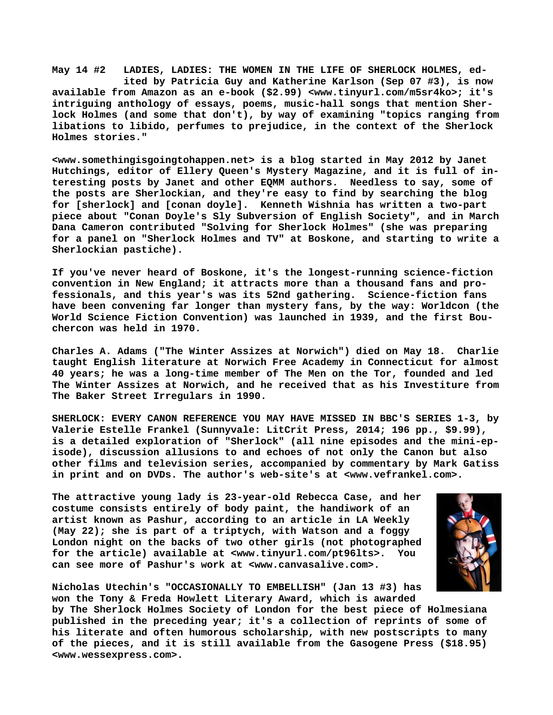**May 14 #2 LADIES, LADIES: THE WOMEN IN THE LIFE OF SHERLOCK HOLMES, ed ited by Patricia Guy and Katherine Karlson (Sep 07 #3), is now available from Amazon as an e-book (\$2.99) [<www.tinyurl.com/m5sr4ko>; i](http://www.tinyurl.com/m5sr4ko)t's intriguing anthology of essays, poems, music-hall songs that mention Sherlock Holmes (and some that don't), by way of examining "topics ranging from libations to libido, perfumes to prejudice, in the context of the Sherlock Holmes stories."**

**[<www.somethingisgoingtohappen.net> i](http://www.somethingisgoingtohappen.net)s a blog started in May 2012 by Janet Hutchings, editor of Ellery Queen's Mystery Magazine, and it is full of interesting posts by Janet and other EQMM authors. Needless to say, some of the posts are Sherlockian, and they're easy to find by searching the blog for [sherlock] and [conan doyle]. Kenneth Wishnia has written a two-part piece about "Conan Doyle's Sly Subversion of English Society", and in March Dana Cameron contributed "Solving for Sherlock Holmes" (she was preparing for a panel on "Sherlock Holmes and TV" at Boskone, and starting to write a Sherlockian pastiche).**

**If you've never heard of Boskone, it's the longest-running science-fiction convention in New England; it attracts more than a thousand fans and professionals, and this year's was its 52nd gathering. Science-fiction fans have been convening far longer than mystery fans, by the way: Worldcon (the World Science Fiction Convention) was launched in 1939, and the first Bouchercon was held in 1970.**

**Charles A. Adams ("The Winter Assizes at Norwich") died on May 18. Charlie taught English literature at Norwich Free Academy in Connecticut for almost 40 years; he was a long-time member of The Men on the Tor, founded and led The Winter Assizes at Norwich, and he received that as his Investiture from The Baker Street Irregulars in 1990.**

**SHERLOCK: EVERY CANON REFERENCE YOU MAY HAVE MISSED IN BBC'S SERIES 1-3, by Valerie Estelle Frankel (Sunnyvale: LitCrit Press, 2014; 196 pp., \$9.99), is a detailed exploration of "Sherlock" (all nine episodes and the mini-episode), discussion allusions to and echoes of not only the Canon but also other films and television series, accompanied by commentary by Mark Gatiss in print and on DVDs. The author's web-site's at <[www.vefrankel.com>.](http://www.vefrankel.com)**

**The attractive young lady is 23-year-old Rebecca Case, and her costume consists entirely of body paint, the handiwork of an artist known as Pashur, according to an article in LA Weekly (May 22); she is part of a triptych, with Watson and a foggy London night on the backs of two other girls (not photographed for the article) available at [<www.tinyurl.com/pt96lts>.](http://www.tinyurl.com/pt96lts) You can see more of Pashur's work at [<www.canvasalive.com>.](http://www.canvasalive.com)**



**Nicholas Utechin's "OCCASIONALLY TO EMBELLISH" (Jan 13 #3) has won the Tony & Freda Howlett Literary Award, which is awarded**

**by The Sherlock Holmes Society of London for the best piece of Holmesiana published in the preceding year; it's a collection of reprints of some of his literate and often humorous scholarship, with new postscripts to many of the pieces, and it is still available from the Gasogene Press (\$18.95) [<www.wessexpress.com>.](http://www.wessexpress.com)**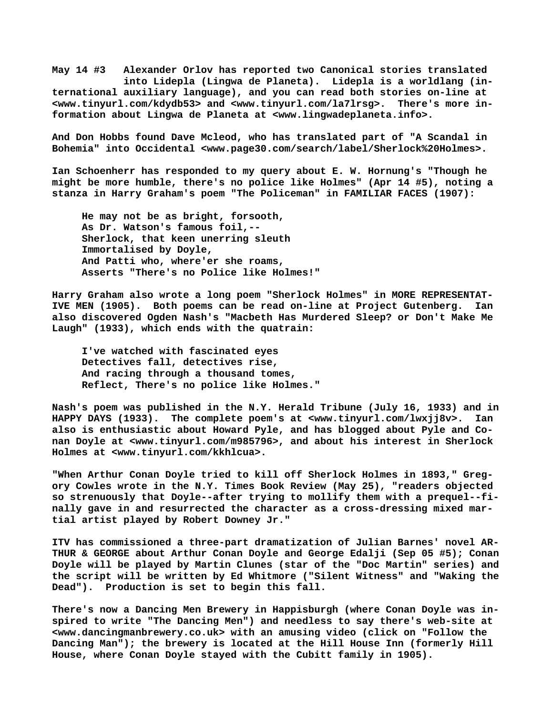**May 14 #3 Alexander Orlov has reported two Canonical stories translated into Lidepla (Lingwa de Planeta). Lidepla is a worldlang (international auxiliary language), and you can read both stories on-line at [<www.tinyurl.com/kdydb53> a](http://www.tinyurl.com/kdydb53)nd [<www.tinyurl.com/la7lrsg>.](http://www.tinyurl.com/la7lrsg) There's more information about Lingwa de Planeta at [<www.lingwadeplaneta.info>.](http://www.lingwadeplaneta.info)**

**And Don Hobbs found Dave Mcleod, who has translated part of "A Scandal in Bohemia" into Occidental [<www.page30.com/search/label/Sherlock%20Holmes>.](http://www.page30.com/search/label/Sherlock%20Holmes)**

**Ian Schoenherr has responded to my query about E. W. Hornung's "Though he might be more humble, there's no police like Holmes" (Apr 14 #5), noting a stanza in Harry Graham's poem "The Policeman" in FAMILIAR FACES (1907):**

 **He may not be as bright, forsooth, As Dr. Watson's famous foil,-- Sherlock, that keen unerring sleuth Immortalised by Doyle, And Patti who, where'er she roams, Asserts "There's no Police like Holmes!"**

**Harry Graham also wrote a long poem "Sherlock Holmes" in MORE REPRESENTAT-IVE MEN (1905). Both poems can be read on-line at Project Gutenberg. Ian also discovered Ogden Nash's "Macbeth Has Murdered Sleep? or Don't Make Me Laugh" (1933), which ends with the quatrain:**

 **I've watched with fascinated eyes Detectives fall, detectives rise, And racing through a thousand tomes, Reflect, There's no police like Holmes."**

**Nash's poem was published in the N.Y. Herald Tribune (July 16, 1933) and in HAPPY DAYS (1933). The complete poem's at [<www.tinyurl.com/lwxjj8v>.](http://www.tinyurl.com/lwxjj8v) Ian also is enthusiastic about Howard Pyle, and has blogged about Pyle and Conan Doyle at [<www.tinyurl.com/m985796>, a](http://www.tinyurl.com/m985796)nd about his interest in Sherlock Holmes at [<www.tinyurl.com/kkhlcua>.](http://www.tinyurl.com/kkhlcua)**

**"When Arthur Conan Doyle tried to kill off Sherlock Holmes in 1893," Gregory Cowles wrote in the N.Y. Times Book Review (May 25), "readers objected so strenuously that Doyle--after trying to mollify them with a prequel--finally gave in and resurrected the character as a cross-dressing mixed martial artist played by Robert Downey Jr."**

**ITV has commissioned a three-part dramatization of Julian Barnes' novel AR-THUR & GEORGE about Arthur Conan Doyle and George Edalji (Sep 05 #5); Conan Doyle will be played by Martin Clunes (star of the "Doc Martin" series) and the script will be written by Ed Whitmore ("Silent Witness" and "Waking the Dead"). Production is set to begin this fall.**

**There's now a Dancing Men Brewery in Happisburgh (where Conan Doyle was inspired to write "The Dancing Men") and needless to say there's web-site at [<www.dancingmanbrewery.co.uk> w](http://www.dancingmanbrewery.co.uk)ith an amusing video (click on "Follow the Dancing Man"); the brewery is located at the Hill House Inn (formerly Hill House, where Conan Doyle stayed with the Cubitt family in 1905).**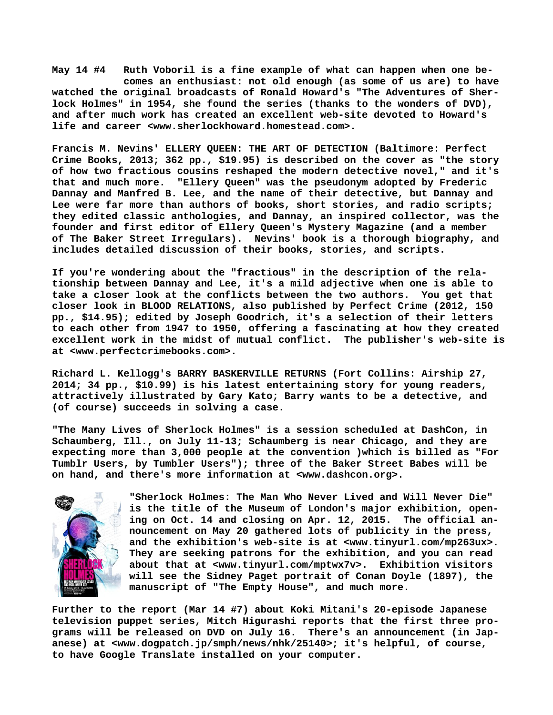**May 14 #4 Ruth Voboril is a fine example of what can happen when one be comes an enthusiast: not old enough (as some of us are) to have watched the original broadcasts of Ronald Howard's "The Adventures of Sherlock Holmes" in 1954, she found the series (thanks to the wonders of DVD), and after much work has created an excellent web-site devoted to Howard's life and career <[www.sherlockhoward.homestead.com>.](http://www.sherlockhoward.homestead.com)**

**Francis M. Nevins' ELLERY QUEEN: THE ART OF DETECTION (Baltimore: Perfect Crime Books, 2013; 362 pp., \$19.95) is described on the cover as "the story of how two fractious cousins reshaped the modern detective novel," and it's that and much more. "Ellery Queen" was the pseudonym adopted by Frederic Dannay and Manfred B. Lee, and the name of their detective, but Dannay and Lee were far more than authors of books, short stories, and radio scripts; they edited classic anthologies, and Dannay, an inspired collector, was the founder and first editor of Ellery Queen's Mystery Magazine (and a member of The Baker Street Irregulars). Nevins' book is a thorough biography, and includes detailed discussion of their books, stories, and scripts.**

**If you're wondering about the "fractious" in the description of the relationship between Dannay and Lee, it's a mild adjective when one is able to take a closer look at the conflicts between the two authors. You get that closer look in BLOOD RELATIONS, also published by Perfect Crime (2012, 150 pp., \$14.95); edited by Joseph Goodrich, it's a selection of their letters to each other from 1947 to 1950, offering a fascinating at how they created excellent work in the midst of mutual conflict. The publisher's web-site is at [<www.perfectcrimebooks.com>.](http://www.perfectcrimebooks.com)**

**Richard L. Kellogg's BARRY BASKERVILLE RETURNS (Fort Collins: Airship 27, 2014; 34 pp., \$10.99) is his latest entertaining story for young readers, attractively illustrated by Gary Kato; Barry wants to be a detective, and (of course) succeeds in solving a case.**

**"The Many Lives of Sherlock Holmes" is a session scheduled at DashCon, in Schaumberg, Ill., on July 11-13; Schaumberg is near Chicago, and they are expecting more than 3,000 people at the convention )which is billed as "For Tumblr Users, by Tumbler Users"); three of the Baker Street Babes will be on hand, and there's more information at <[www.dashcon.org>.](http://www.dashcon.org)**



**"Sherlock Holmes: The Man Who Never Lived and Will Never Die" is the title of the Museum of London's major exhibition, opening on Oct. 14 and closing on Apr. 12, 2015. The official announcement on May 20 gathered lots of publicity in the press, and the exhibition's web-site is at [<www.tinyurl.com/mp263ux>.](http://www.tinyurl.com/mp263ux) They are seeking patrons for the exhibition, and you can read about that at [<www.tinyurl.com/mptwx7v>.](http://www.tinyurl.com/mptwx7v) Exhibition visitors will see the Sidney Paget portrait of Conan Doyle (1897), the manuscript of "The Empty House", and much more.**

**Further to the report (Mar 14 #7) about Koki Mitani's 20-episode Japanese television puppet series, Mitch Higurashi reports that the first three programs will be released on DVD on July 16. There's an announcement (in Japanese) at [<www.dogpatch.jp/smph/news/nhk/25140>; i](http://www.dogpatch.jp/smph/news/nhk/25140)t's helpful, of course, to have Google Translate installed on your computer.**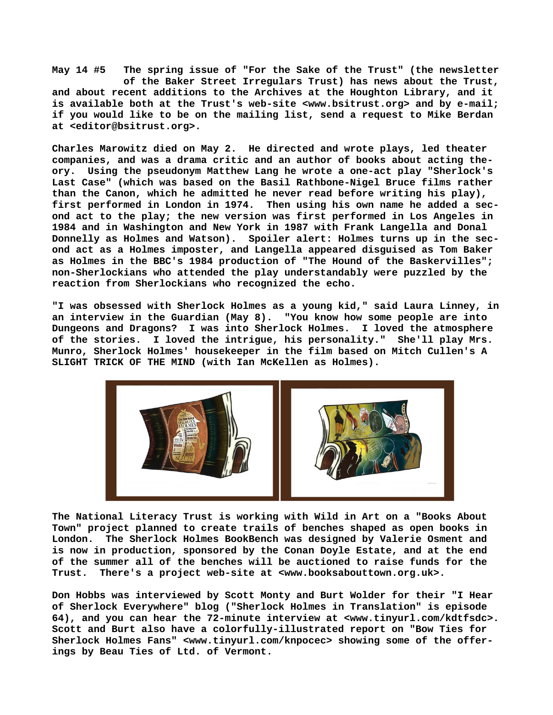**May 14 #5 The spring issue of "For the Sake of the Trust" (the newsletter of the Baker Street Irregulars Trust) has news about the Trust, and about recent additions to the Archives at the Houghton Library, and it is available both at the Trust's web-site [<www.bsitrust.org> a](http://www.bsitrust.org)nd by e-mail; if you would like to be on the mailing list, send a request to Mike Berdan at [<editor@bsitrust.org>.](mailto:editor@bsitrust.org)**

**Charles Marowitz died on May 2. He directed and wrote plays, led theater companies, and was a drama critic and an author of books about acting theory. Using the pseudonym Matthew Lang he wrote a one-act play "Sherlock's Last Case" (which was based on the Basil Rathbone-Nigel Bruce films rather than the Canon, which he admitted he never read before writing his play), first performed in London in 1974. Then using his own name he added a second act to the play; the new version was first performed in Los Angeles in 1984 and in Washington and New York in 1987 with Frank Langella and Donal Donnelly as Holmes and Watson). Spoiler alert: Holmes turns up in the second act as a Holmes imposter, and Langella appeared disguised as Tom Baker as Holmes in the BBC's 1984 production of "The Hound of the Baskervilles"; non-Sherlockians who attended the play understandably were puzzled by the reaction from Sherlockians who recognized the echo.**

**"I was obsessed with Sherlock Holmes as a young kid," said Laura Linney, in an interview in the Guardian (May 8). "You know how some people are into Dungeons and Dragons? I was into Sherlock Holmes. I loved the atmosphere of the stories. I loved the intrigue, his personality." She'll play Mrs. Munro, Sherlock Holmes' housekeeper in the film based on Mitch Cullen's A SLIGHT TRICK OF THE MIND (with Ian McKellen as Holmes).**



**The National Literacy Trust is working with Wild in Art on a "Books About Town" project planned to create trails of benches shaped as open books in** The Sherlock Holmes BookBench was designed by Valerie Osment and **is now in production, sponsored by the Conan Doyle Estate, and at the end of the summer all of the benches will be auctioned to raise funds for the Trust. There's a project web-site at [<www.booksabouttown.org.uk>.](http://www.booksabouttown.org.uk)**

**Don Hobbs was interviewed by Scott Monty and Burt Wolder for their "I Hear of Sherlock Everywhere" blog ("Sherlock Holmes in Translation" is episode 64), and you can hear the 72-minute interview at <[www.tinyurl.com/kdtfsdc>.](http://www.tinyurl.com/kdtfsdc) Scott and Burt also have a colorfully-illustrated report on "Bow Ties for Sherlock Holmes Fans" [<www.tinyurl.com/knpocec> s](http://www.tinyurl.com/knpocec)howing some of the offerings by Beau Ties of Ltd. of Vermont.**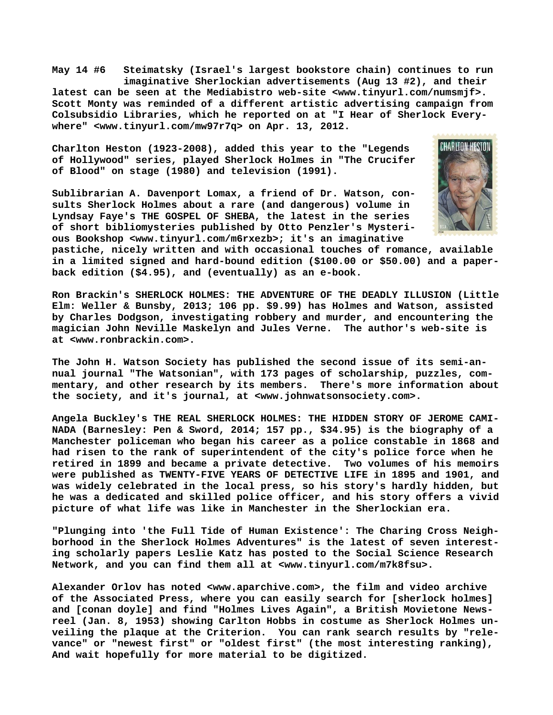**May 14 #6 Steimatsky (Israel's largest bookstore chain) continues to run imaginative Sherlockian advertisements (Aug 13 #2), and their latest can be seen at the Mediabistro web-site [<www.tinyurl.com/numsmjf>.](http://www.tinyurl.com/numsmjf)  Scott Monty was reminded of a different artistic advertising campaign from Colsubsidio Libraries, which he reported on at "I Hear of Sherlock Everywhere" [<www.tinyurl.com/mw97r7q> o](http://www.tinyurl.com/mw97r7q)n Apr. 13, 2012.**

**Charlton Heston (1923-2008), added this year to the "Legends of Hollywood" series, played Sherlock Holmes in "The Crucifer of Blood" on stage (1980) and television (1991).**

**Sublibrarian A. Davenport Lomax, a friend of Dr. Watson, consults Sherlock Holmes about a rare (and dangerous) volume in Lyndsay Faye's THE GOSPEL OF SHEBA, the latest in the series of short bibliomysteries published by Otto Penzler's Mysterious Bookshop [<www.tinyurl.com/m6rxezb>; i](http://www.tinyurl.com/m6rxezb)t's an imaginative**



**pastiche, nicely written and with occasional touches of romance, available in a limited signed and hard-bound edition (\$100.00 or \$50.00) and a paperback edition (\$4.95), and (eventually) as an e-book.**

**Ron Brackin's SHERLOCK HOLMES: THE ADVENTURE OF THE DEADLY ILLUSION (Little Elm: Weller & Bunsby, 2013; 106 pp. \$9.99) has Holmes and Watson, assisted by Charles Dodgson, investigating robbery and murder, and encountering the magician John Neville Maskelyn and Jules Verne. The author's web-site is at [<www.ronbrackin.com>.](http://www.ronbrackin.com)**

**The John H. Watson Society has published the second issue of its semi-annual journal "The Watsonian", with 173 pages of scholarship, puzzles, commentary, and other research by its members. There's more information about the society, and it's journal, at <[www.johnwatsonsociety.com>.](http://www.johnwatsonsociety.com)**

**Angela Buckley's THE REAL SHERLOCK HOLMES: THE HIDDEN STORY OF JEROME CAMI-NADA (Barnesley: Pen & Sword, 2014; 157 pp., \$34.95) is the biography of a Manchester policeman who began his career as a police constable in 1868 and had risen to the rank of superintendent of the city's police force when he retired in 1899 and became a private detective. Two volumes of his memoirs were published as TWENTY-FIVE YEARS OF DETECTIVE LIFE in 1895 and 1901, and was widely celebrated in the local press, so his story's hardly hidden, but he was a dedicated and skilled police officer, and his story offers a vivid picture of what life was like in Manchester in the Sherlockian era.**

**"Plunging into 'the Full Tide of Human Existence': The Charing Cross Neighborhood in the Sherlock Holmes Adventures" is the latest of seven interesting scholarly papers Leslie Katz has posted to the Social Science Research Network, and you can find them all at [<www.tinyurl.com/m7k8fsu>.](http://www.tinyurl.com/m7k8fsu)**

**Alexander Orlov has noted <[www.aparchive.com>, t](http://www.aparchive.com)he film and video archive of the Associated Press, where you can easily search for [sherlock holmes] and [conan doyle] and find "Holmes Lives Again", a British Movietone Newsreel (Jan. 8, 1953) showing Carlton Hobbs in costume as Sherlock Holmes unveiling the plaque at the Criterion. You can rank search results by "relevance" or "newest first" or "oldest first" (the most interesting ranking), And wait hopefully for more material to be digitized.**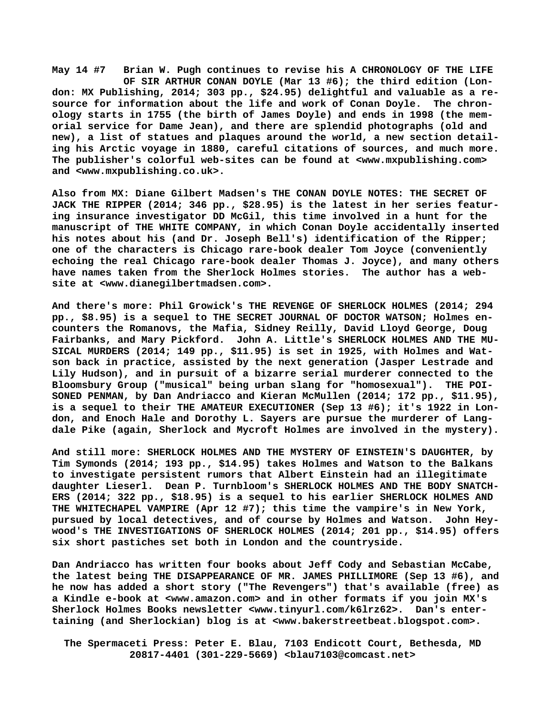**May 14 #7 Brian W. Pugh continues to revise his A CHRONOLOGY OF THE LIFE OF SIR ARTHUR CONAN DOYLE (Mar 13 #6); the third edition (London: MX Publishing, 2014; 303 pp., \$24.95) delightful and valuable as a resource for information about the life and work of Conan Doyle. The chronology starts in 1755 (the birth of James Doyle) and ends in 1998 (the memorial service for Dame Jean), and there are splendid photographs (old and new), a list of statues and plaques around the world, a new section detailing his Arctic voyage in 1880, careful citations of sources, and much more. The publisher's colorful web-sites can be found at <[www.mxpublishing.com>](http://www.mxpublishing.com) and <[www.mxpublishing.co.uk>.](http://www.mxpublishing.co.uk)**

**Also from MX: Diane Gilbert Madsen's THE CONAN DOYLE NOTES: THE SECRET OF JACK THE RIPPER (2014; 346 pp., \$28.95) is the latest in her series featuring insurance investigator DD McGil, this time involved in a hunt for the manuscript of THE WHITE COMPANY, in which Conan Doyle accidentally inserted his notes about his (and Dr. Joseph Bell's) identification of the Ripper; one of the characters is Chicago rare-book dealer Tom Joyce (conveniently echoing the real Chicago rare-book dealer Thomas J. Joyce), and many others have names taken from the Sherlock Holmes stories. The author has a website at [<www.dianegilbertmadsen.com>.](http://www.dianegilbertmadsen.com)**

**And there's more: Phil Growick's THE REVENGE OF SHERLOCK HOLMES (2014; 294 pp., \$8.95) is a sequel to THE SECRET JOURNAL OF DOCTOR WATSON; Holmes encounters the Romanovs, the Mafia, Sidney Reilly, David Lloyd George, Doug Fairbanks, and Mary Pickford. John A. Little's SHERLOCK HOLMES AND THE MU-SICAL MURDERS (2014; 149 pp., \$11.95) is set in 1925, with Holmes and Watson back in practice, assisted by the next generation (Jasper Lestrade and Lily Hudson), and in pursuit of a bizarre serial murderer connected to the Bloomsbury Group ("musical" being urban slang for "homosexual"). THE POI-SONED PENMAN, by Dan Andriacco and Kieran McMullen (2014; 172 pp., \$11.95), is a sequel to their THE AMATEUR EXECUTIONER (Sep 13 #6); it's 1922 in London, and Enoch Hale and Dorothy L. Sayers are pursue the murderer of Langdale Pike (again, Sherlock and Mycroft Holmes are involved in the mystery).**

**And still more: SHERLOCK HOLMES AND THE MYSTERY OF EINSTEIN'S DAUGHTER, by Tim Symonds (2014; 193 pp., \$14.95) takes Holmes and Watson to the Balkans to investigate persistent rumors that Albert Einstein had an illegitimate daughter Lieserl. Dean P. Turnbloom's SHERLOCK HOLMES AND THE BODY SNATCH-ERS (2014; 322 pp., \$18.95) is a sequel to his earlier SHERLOCK HOLMES AND THE WHITECHAPEL VAMPIRE (Apr 12 #7); this time the vampire's in New York, pursued by local detectives, and of course by Holmes and Watson. John Heywood's THE INVESTIGATIONS OF SHERLOCK HOLMES (2014; 201 pp., \$14.95) offers six short pastiches set both in London and the countryside.**

**Dan Andriacco has written four books about Jeff Cody and Sebastian McCabe, the latest being THE DISAPPEARANCE OF MR. JAMES PHILLIMORE (Sep 13 #6), and he now has added a short story ("The Revengers") that's available (free) as a Kindle e-book at <[www.amazon.com> a](http://www.amazon.com)nd in other formats if you join MX's Sherlock Holmes Books newsletter [<www.tinyurl.com/k6lrz62>.](http://www.tinyurl.com/k6lrz62) Dan's entertaining (and Sherlockian) blog is at [<www.bakerstreetbeat.blogspot.com>.](http://www.bakerstreetbeat.blogspot.com)**

 **The Spermaceti Press: Peter E. Blau, 7103 Endicott Court, Bethesda, MD 20817-4401 (301-229-5669) <[blau7103@comcast.net>](mailto:blau7103@comcast.net)**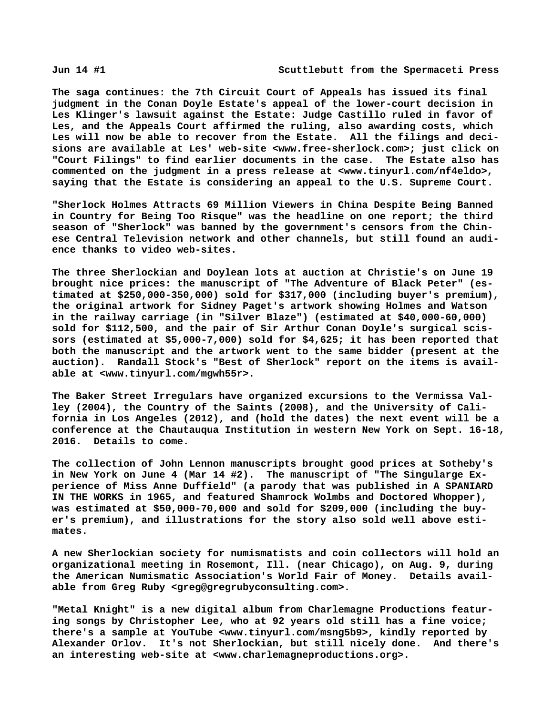**The saga continues: the 7th Circuit Court of Appeals has issued its final judgment in the Conan Doyle Estate's appeal of the lower-court decision in Les Klinger's lawsuit against the Estate: Judge Castillo ruled in favor of Les, and the Appeals Court affirmed the ruling, also awarding costs, which Les will now be able to recover from the Estate. All the filings and decisions are available at Les' web-site [<www.free-sherlock.com>; j](http://www.free-sherlock.com)ust click on "Court Filings" to find earlier documents in the case. The Estate also has commented on the judgment in a press release at [<www.tinyurl.com/nf4eldo>,](http://www.tinyurl.com/nf4eldo) saying that the Estate is considering an appeal to the U.S. Supreme Court.**

**"Sherlock Holmes Attracts 69 Million Viewers in China Despite Being Banned in Country for Being Too Risque" was the headline on one report; the third season of "Sherlock" was banned by the government's censors from the Chinese Central Television network and other channels, but still found an audience thanks to video web-sites.**

**The three Sherlockian and Doylean lots at auction at Christie's on June 19 brought nice prices: the manuscript of "The Adventure of Black Peter" (estimated at \$250,000-350,000) sold for \$317,000 (including buyer's premium), the original artwork for Sidney Paget's artwork showing Holmes and Watson in the railway carriage (in "Silver Blaze") (estimated at \$40,000-60,000) sold for \$112,500, and the pair of Sir Arthur Conan Doyle's surgical scissors (estimated at \$5,000-7,000) sold for \$4,625; it has been reported that both the manuscript and the artwork went to the same bidder (present at the auction). Randall Stock's "Best of Sherlock" report on the items is available at [<www.tinyurl.com/mgwh55r>.](http://www.tinyurl.com/mgwh55r)**

**The Baker Street Irregulars have organized excursions to the Vermissa Valley (2004), the Country of the Saints (2008), and the University of California in Los Angeles (2012), and (hold the dates) the next event will be a conference at the Chautauqua Institution in western New York on Sept. 16-18, 2016. Details to come.**

**The collection of John Lennon manuscripts brought good prices at Sotheby's in New York on June 4 (Mar 14 #2). The manuscript of "The Singularge Experience of Miss Anne Duffield" (a parody that was published in A SPANIARD IN THE WORKS in 1965, and featured Shamrock Wolmbs and Doctored Whopper), was estimated at \$50,000-70,000 and sold for \$209,000 (including the buyer's premium), and illustrations for the story also sold well above estimates.**

**A new Sherlockian society for numismatists and coin collectors will hold an organizational meeting in Rosemont, Ill. (near Chicago), on Aug. 9, during the American Numismatic Association's World Fair of Money. Details available from Greg Ruby [<greg@gregrubyconsulting.com>.](mailto:greg@gregrubyconsulting.com)**

**"Metal Knight" is a new digital album from Charlemagne Productions featuring songs by Christopher Lee, who at 92 years old still has a fine voice; there's a sample at YouTube [<www.tinyurl.com/msng5b9>, k](http://www.tinyurl.com/msng5b9)indly reported by Alexander Orlov. It's not Sherlockian, but still nicely done. And there's an interesting web-site at [<www.charlemagneproductions.org>.](http://www.charlemagneproductions.org)**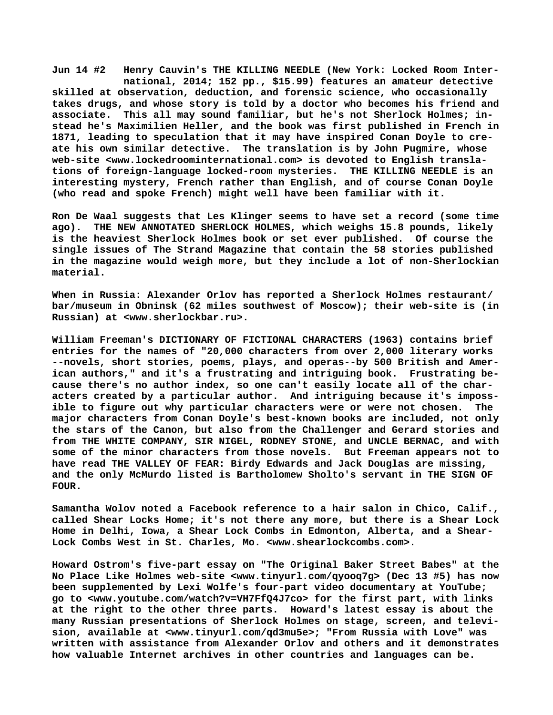**Jun 14 #2 Henry Cauvin's THE KILLING NEEDLE (New York: Locked Room Inter national, 2014; 152 pp., \$15.99) features an amateur detective skilled at observation, deduction, and forensic science, who occasionally takes drugs, and whose story is told by a doctor who becomes his friend and associate. This all may sound familiar, but he's not Sherlock Holmes; instead he's Maximilien Heller, and the book was first published in French in 1871, leading to speculation that it may have inspired Conan Doyle to create his own similar detective. The translation is by John Pugmire, whose web-site <[www.lockedroominternational.com> i](http://www.lockedroominternational.com)s devoted to English translations of foreign-language locked-room mysteries. THE KILLING NEEDLE is an interesting mystery, French rather than English, and of course Conan Doyle (who read and spoke French) might well have been familiar with it.**

**Ron De Waal suggests that Les Klinger seems to have set a record (some time ago). THE NEW ANNOTATED SHERLOCK HOLMES, which weighs 15.8 pounds, likely is the heaviest Sherlock Holmes book or set ever published. Of course the single issues of The Strand Magazine that contain the 58 stories published in the magazine would weigh more, but they include a lot of non-Sherlockian material.**

**When in Russia: Alexander Orlov has reported a Sherlock Holmes restaurant/ bar/museum in Obninsk (62 miles southwest of Moscow); their web-site is (in Russian) at [<www.sherlockbar.ru>.](http://www.sherlockbar.ru)**

**William Freeman's DICTIONARY OF FICTIONAL CHARACTERS (1963) contains brief entries for the names of "20,000 characters from over 2,000 literary works --novels, short stories, poems, plays, and operas--by 500 British and American authors," and it's a frustrating and intriguing book. Frustrating because there's no author index, so one can't easily locate all of the characters created by a particular author. And intriguing because it's impossible to figure out why particular characters were or were not chosen. The major characters from Conan Doyle's best-known books are included, not only the stars of the Canon, but also from the Challenger and Gerard stories and from THE WHITE COMPANY, SIR NIGEL, RODNEY STONE, and UNCLE BERNAC, and with some of the minor characters from those novels. But Freeman appears not to have read THE VALLEY OF FEAR: Birdy Edwards and Jack Douglas are missing, and the only McMurdo listed is Bartholomew Sholto's servant in THE SIGN OF FOUR.**

**Samantha Wolov noted a Facebook reference to a hair salon in Chico, Calif., called Shear Locks Home; it's not there any more, but there is a Shear Lock Home in Delhi, Iowa, a Shear Lock Combs in Edmonton, Alberta, and a Shear-Lock Combs West in St. Charles, Mo. <[www.shearlockcombs.com>.](http://www.shearlockcombs.com)**

**Howard Ostrom's five-part essay on "The Original Baker Street Babes" at the No Place Like Holmes web-site [<www.tinyurl.com/qyooq7g> \(](http://www.tinyurl.com/qyooq7g)Dec 13 #5) has now been supplemented by Lexi Wolfe's four-part video documentary at YouTube; go to <[www.youtube.com/watch?v=VH7FfQ4J7co> f](http://www.youtube.com/watch?v=VH7FfQ4J7co)or the first part, with links at the right to the other three parts. Howard's latest essay is about the many Russian presentations of Sherlock Holmes on stage, screen, and television, available at <[www.tinyurl.com/qd3mu5e>; "](http://www.tinyurl.com/qd3mu5e)From Russia with Love" was written with assistance from Alexander Orlov and others and it demonstrates how valuable Internet archives in other countries and languages can be.**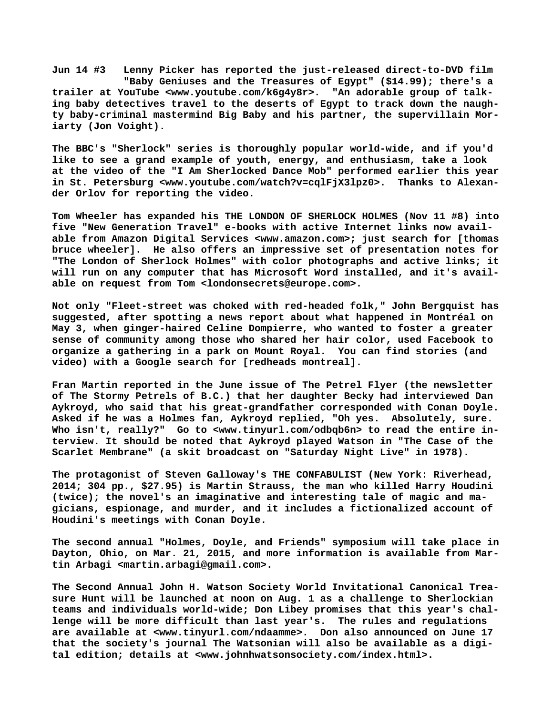**Jun 14 #3 Lenny Picker has reported the just-released direct-to-DVD film "Baby Geniuses and the Treasures of Egypt" (\$14.99); there's a trailer at YouTube <[www.youtube.com/k6g4y8r>.](http://www.youtube.com/k6g4y8r) "An adorable group of talking baby detectives travel to the deserts of Egypt to track down the naughty baby-criminal mastermind Big Baby and his partner, the supervillain Moriarty (Jon Voight).**

**The BBC's "Sherlock" series is thoroughly popular world-wide, and if you'd like to see a grand example of youth, energy, and enthusiasm, take a look at the video of the "I Am Sherlocked Dance Mob" performed earlier this year** in St. Petersburg [<www.youtube.com/watch?v=cqlFjX3lpz0>.](http://www.youtube.com/watch?v=cqlFjX3lpz0) Thanks to Alexan**der Orlov for reporting the video.**

**Tom Wheeler has expanded his THE LONDON OF SHERLOCK HOLMES (Nov 11 #8) into five "New Generation Travel" e-books with active Internet links now available from Amazon Digital Services <[www.amazon.com>; j](http://www.amazon.com)ust search for [thomas bruce wheeler]. He also offers an impressive set of presentation notes for "The London of Sherlock Holmes" with color photographs and active links; it will run on any computer that has Microsoft Word installed, and it's available on request from Tom [<londonsecrets@europe.com>.](mailto:londonsecrets@europe.com)**

**Not only "Fleet-street was choked with red-headed folk," John Bergquist has suggested, after spotting a news report about what happened in Montréal on May 3, when ginger-haired Celine Dompierre, who wanted to foster a greater sense of community among those who shared her hair color, used Facebook to organize a gathering in a park on Mount Royal. You can find stories (and video) with a Google search for [redheads montreal].**

**Fran Martin reported in the June issue of The Petrel Flyer (the newsletter of The Stormy Petrels of B.C.) that her daughter Becky had interviewed Dan Aykroyd, who said that his great-grandfather corresponded with Conan Doyle. Asked if he was a Holmes fan, Aykroyd replied, "Oh yes. Absolutely, sure. Who isn't, really?" Go to [<www.tinyurl.com/odbqb6n> t](http://www.tinyurl.com/odbqb6n)o read the entire interview. It should be noted that Aykroyd played Watson in "The Case of the Scarlet Membrane" (a skit broadcast on "Saturday Night Live" in 1978).**

**The protagonist of Steven Galloway's THE CONFABULIST (New York: Riverhead, 2014; 304 pp., \$27.95) is Martin Strauss, the man who killed Harry Houdini (twice); the novel's an imaginative and interesting tale of magic and magicians, espionage, and murder, and it includes a fictionalized account of Houdini's meetings with Conan Doyle.**

**The second annual "Holmes, Doyle, and Friends" symposium will take place in Dayton, Ohio, on Mar. 21, 2015, and more information is available from Martin Arbagi <[martin.arbagi@gmail.com>.](mailto:martin.arbagi@gmail.com)**

**The Second Annual John H. Watson Society World Invitational Canonical Treasure Hunt will be launched at noon on Aug. 1 as a challenge to Sherlockian teams and individuals world-wide; Don Libey promises that this year's challenge will be more difficult than last year's. The rules and regulations are available at [<www.tinyurl.com/ndaamme>.](http://www.tinyurl.com/ndaamme) Don also announced on June 17 that the society's journal The Watsonian will also be available as a digital edition; details at <[www.johnhwatsonsociety.com/index.html>.](http://www.johnhwatsonsociety.com/index.html)**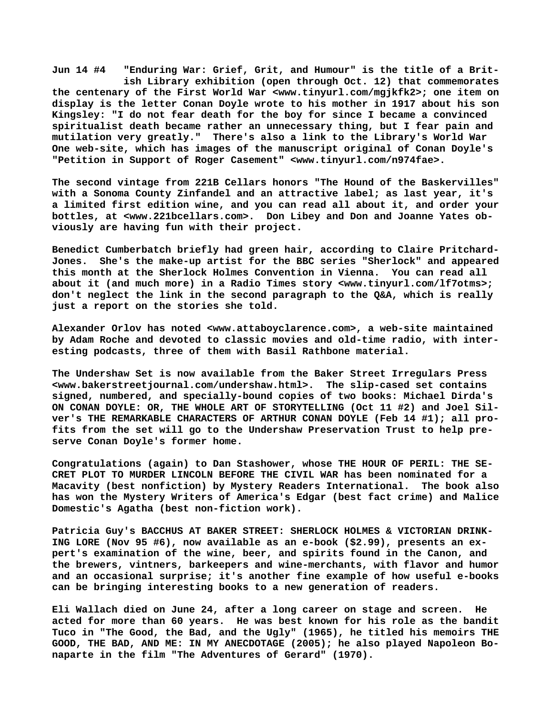**Jun 14 #4 "Enduring War: Grief, Grit, and Humour" is the title of a Brit ish Library exhibition (open through Oct. 12) that commemorates the centenary of the First World War [<www.tinyurl.com/mgjkfk2>; o](http://www.tinyurl.com/mgjkfk2)ne item on display is the letter Conan Doyle wrote to his mother in 1917 about his son Kingsley: "I do not fear death for the boy for since I became a convinced spiritualist death became rather an unnecessary thing, but I fear pain and mutilation very greatly." There's also a link to the Library's World War One web-site, which has images of the manuscript original of Conan Doyle's "Petition in Support of Roger Casement" [<www.tinyurl.com/n974fae>.](http://www.tinyurl.com/n974fae)**

**The second vintage from 221B Cellars honors "The Hound of the Baskervilles" with a Sonoma County Zinfandel and an attractive label; as last year, it's a limited first edition wine, and you can read all about it, and order your bottles, at [<www.221bcellars.com>.](http://www.221bcellars.com) Don Libey and Don and Joanne Yates obviously are having fun with their project.**

**Benedict Cumberbatch briefly had green hair, according to Claire Pritchard-Jones. She's the make-up artist for the BBC series "Sherlock" and appeared this month at the Sherlock Holmes Convention in Vienna. You can read all about it (and much more) in a Radio Times story [<www.tinyurl.com/lf7otms>;](http://www.tinyurl.com/lf7otms) don't neglect the link in the second paragraph to the Q&A, which is really just a report on the stories she told.**

**Alexander Orlov has noted <[www.attaboyclarence.com>, a](http://www.attaboyclarence.com) web-site maintained by Adam Roche and devoted to classic movies and old-time radio, with interesting podcasts, three of them with Basil Rathbone material.**

**The Undershaw Set is now available from the Baker Street Irregulars Press [<www.bakerstreetjournal.com/undershaw.html>.](http://www.bakerstreetjournal.com/undershaw.html) The slip-cased set contains signed, numbered, and specially-bound copies of two books: Michael Dirda's ON CONAN DOYLE: OR, THE WHOLE ART OF STORYTELLING (Oct 11 #2) and Joel Silver's THE REMARKABLE CHARACTERS OF ARTHUR CONAN DOYLE (Feb 14 #1); all profits from the set will go to the Undershaw Preservation Trust to help preserve Conan Doyle's former home.**

**Congratulations (again) to Dan Stashower, whose THE HOUR OF PERIL: THE SE-CRET PLOT TO MURDER LINCOLN BEFORE THE CIVIL WAR has been nominated for a Macavity (best nonfiction) by Mystery Readers International. The book also has won the Mystery Writers of America's Edgar (best fact crime) and Malice Domestic's Agatha (best non-fiction work).**

**Patricia Guy's BACCHUS AT BAKER STREET: SHERLOCK HOLMES & VICTORIAN DRINK-ING LORE (Nov 95 #6), now available as an e-book (\$2.99), presents an expert's examination of the wine, beer, and spirits found in the Canon, and the brewers, vintners, barkeepers and wine-merchants, with flavor and humor and an occasional surprise; it's another fine example of how useful e-books can be bringing interesting books to a new generation of readers.**

**Eli Wallach died on June 24, after a long career on stage and screen. He acted for more than 60 years. He was best known for his role as the bandit Tuco in "The Good, the Bad, and the Ugly" (1965), he titled his memoirs THE GOOD, THE BAD, AND ME: IN MY ANECDOTAGE (2005); he also played Napoleon Bonaparte in the film "The Adventures of Gerard" (1970).**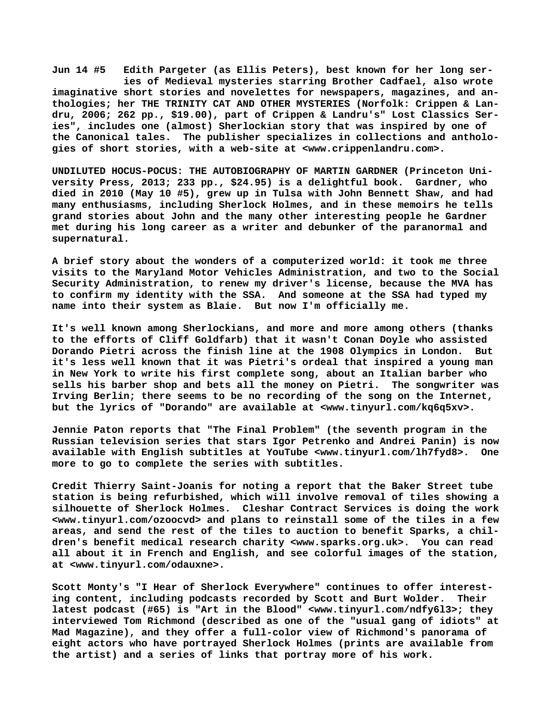**Jun 14 #5 Edith Pargeter (as Ellis Peters), best known for her long ser ies of Medieval mysteries starring Brother Cadfael, also wrote imaginative short stories and novelettes for newspapers, magazines, and anthologies; her THE TRINITY CAT AND OTHER MYSTERIES (Norfolk: Crippen & Landru, 2006; 262 pp., \$19.00), part of Crippen & Landru's" Lost Classics Series", includes one (almost) Sherlockian story that was inspired by one of the Canonical tales. The publisher specializes in collections and anthologies of short stories, with a web-site at [<www.crippenlandru.com>.](http://www.crippenlandru.com)**

**UNDILUTED HOCUS-POCUS: THE AUTOBIOGRAPHY OF MARTIN GARDNER (Princeton University Press, 2013; 233 pp., \$24.95) is a delightful book. Gardner, who died in 2010 (May 10 #5), grew up in Tulsa with John Bennett Shaw, and had many enthusiasms, including Sherlock Holmes, and in these memoirs he tells grand stories about John and the many other interesting people he Gardner met during his long career as a writer and debunker of the paranormal and supernatural.**

**A brief story about the wonders of a computerized world: it took me three visits to the Maryland Motor Vehicles Administration, and two to the Social Security Administration, to renew my driver's license, because the MVA has to confirm my identity with the SSA. And someone at the SSA had typed my name into their system as Blaie. But now I'm officially me.**

**It's well known among Sherlockians, and more and more among others (thanks to the efforts of Cliff Goldfarb) that it wasn't Conan Doyle who assisted Dorando Pietri across the finish line at the 1908 Olympics in London. But it's less well known that it was Pietri's ordeal that inspired a young man in New York to write his first complete song, about an Italian barber who sells his barber shop and bets all the money on Pietri. The songwriter was Irving Berlin; there seems to be no recording of the song on the Internet, but the lyrics of "Dorando" are available at [<www.tinyurl.com/kq6q5xv>.](http://www.tinyurl.com/kq6q5xv)**

**Jennie Paton reports that "The Final Problem" (the seventh program in the Russian television series that stars Igor Petrenko and Andrei Panin) is now available with English subtitles at YouTube <[www.tinyurl.com/lh7fyd8>.](http://www.tinyurl.com/lh7fyd8) One more to go to complete the series with subtitles.**

**Credit Thierry Saint-Joanis for noting a report that the Baker Street tube station is being refurbished, which will involve removal of tiles showing a silhouette of Sherlock Holmes. Cleshar Contract Services is doing the work [<www.tinyurl.com/ozoocvd> a](http://www.tinyurl.com/ozoocvd)nd plans to reinstall some of the tiles in a few areas, and send the rest of the tiles to auction to benefit Sparks, a children's benefit medical research charity [<www.sparks.org.uk>.](http://www.sparks.org.uk) You can read all about it in French and English, and see colorful images of the station, at [<www.tinyurl.com/odauxne>.](http://www.tinyurl.com/odauxne)**

**Scott Monty's "I Hear of Sherlock Everywhere" continues to offer interesting content, including podcasts recorded by Scott and Burt Wolder. Their latest podcast (#65) is "Art in the Blood" [<www.tinyurl.com/ndfy6l3>; t](http://www.tinyurl.com/ndfy6l3)hey interviewed Tom Richmond (described as one of the "usual gang of idiots" at Mad Magazine), and they offer a full-color view of Richmond's panorama of eight actors who have portrayed Sherlock Holmes (prints are available from the artist) and a series of links that portray more of his work.**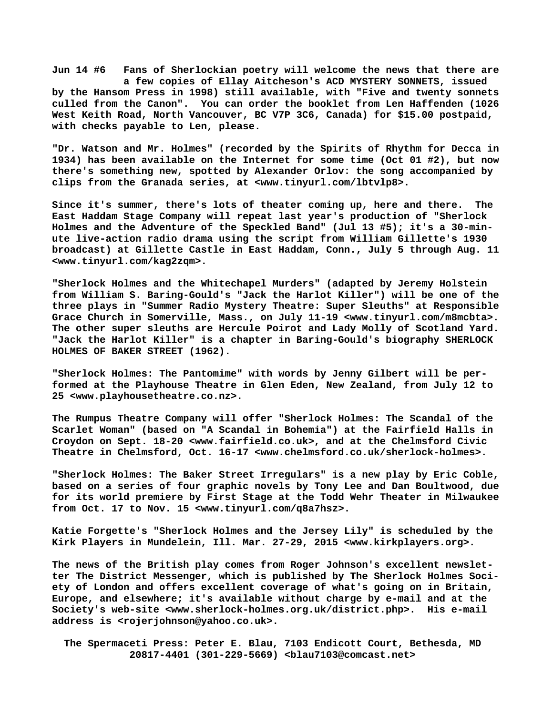**Jun 14 #6 Fans of Sherlockian poetry will welcome the news that there are a few copies of Ellay Aitcheson's ACD MYSTERY SONNETS, issued by the Hansom Press in 1998) still available, with "Five and twenty sonnets culled from the Canon". You can order the booklet from Len Haffenden (1026 West Keith Road, North Vancouver, BC V7P 3C6, Canada) for \$15.00 postpaid, with checks payable to Len, please.**

**"Dr. Watson and Mr. Holmes" (recorded by the Spirits of Rhythm for Decca in 1934) has been available on the Internet for some time (Oct 01 #2), but now there's something new, spotted by Alexander Orlov: the song accompanied by clips from the Granada series, at <[www.tinyurl.com/lbtvlp8>.](http://www.tinyurl.com/lbtvlp8)**

**Since it's summer, there's lots of theater coming up, here and there. The East Haddam Stage Company will repeat last year's production of "Sherlock Holmes and the Adventure of the Speckled Band" (Jul 13 #5); it's a 30-minute live-action radio drama using the script from William Gillette's 1930 broadcast) at Gillette Castle in East Haddam, Conn., July 5 through Aug. 11 [<www.tinyurl.com/kag2zqm>.](http://www.tinyurl.com/kag2zqm)**

**"Sherlock Holmes and the Whitechapel Murders" (adapted by Jeremy Holstein from William S. Baring-Gould's "Jack the Harlot Killer") will be one of the three plays in "Summer Radio Mystery Theatre: Super Sleuths" at Responsible Grace Church in Somerville, Mass., on July 11-19 <[www.tinyurl.com/m8mcbta>.](http://www.tinyurl.com/m8mcbta)  The other super sleuths are Hercule Poirot and Lady Molly of Scotland Yard. "Jack the Harlot Killer" is a chapter in Baring-Gould's biography SHERLOCK HOLMES OF BAKER STREET (1962).**

**"Sherlock Holmes: The Pantomime" with words by Jenny Gilbert will be performed at the Playhouse Theatre in Glen Eden, New Zealand, from July 12 to 25 [<www.playhousetheatre.co.nz>.](http://www.playhousetheatre.co.nz)**

**The Rumpus Theatre Company will offer "Sherlock Holmes: The Scandal of the Scarlet Woman" (based on "A Scandal in Bohemia") at the Fairfield Halls in Croydon on Sept. 18-20 [<www.fairfield.co.uk>, a](http://www.fairfield.co.uk)nd at the Chelmsford Civic Theatre in Chelmsford, Oct. 16-17 <[www.chelmsford.co.uk/sherlock-holmes>.](http://www.chelmsford.co.uk/sherlock-holmes)**

**"Sherlock Holmes: The Baker Street Irregulars" is a new play by Eric Coble, based on a series of four graphic novels by Tony Lee and Dan Boultwood, due for its world premiere by First Stage at the Todd Wehr Theater in Milwaukee from Oct. 17 to Nov. 15 <[www.tinyurl.com/q8a7hsz>.](http://www.tinyurl.com/q8a7hsz)**

**Katie Forgette's "Sherlock Holmes and the Jersey Lily" is scheduled by the Kirk Players in Mundelein, Ill. Mar. 27-29, 2015 <[www.kirkplayers.org>.](http://www.kirkplayers.org)**

**The news of the British play comes from Roger Johnson's excellent newsletter The District Messenger, which is published by The Sherlock Holmes Society of London and offers excellent coverage of what's going on in Britain, Europe, and elsewhere; it's available without charge by e-mail and at the Society's web-site <[www.sherlock-holmes.org.uk/district.php>.](http://www.sherlock-holmes.org.uk/district.php) His e-mail address is <[rojerjohnson@yahoo.co.uk>.](mailto:rojerjohnson@yahoo.co.uk)**

 **The Spermaceti Press: Peter E. Blau, 7103 Endicott Court, Bethesda, MD 20817-4401 (301-229-5669) <[blau7103@comcast.net>](mailto:blau7103@comcast.net)**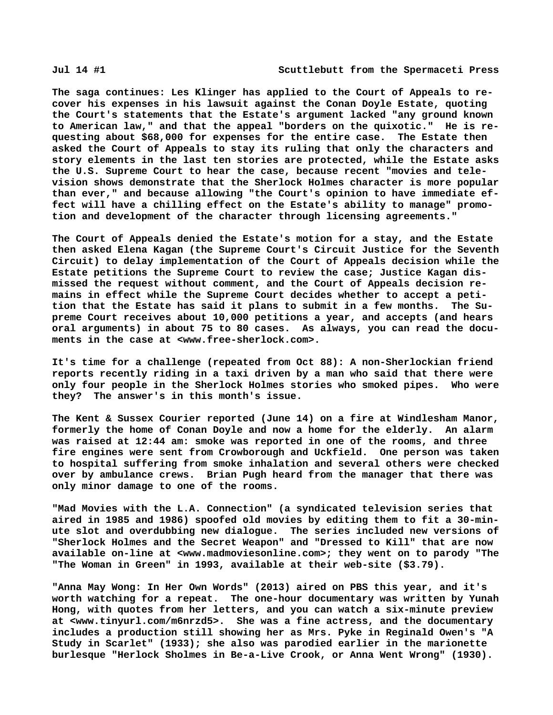**The saga continues: Les Klinger has applied to the Court of Appeals to recover his expenses in his lawsuit against the Conan Doyle Estate, quoting the Court's statements that the Estate's argument lacked "any ground known to American law," and that the appeal "borders on the quixotic." He is requesting about \$68,000 for expenses for the entire case. The Estate then asked the Court of Appeals to stay its ruling that only the characters and story elements in the last ten stories are protected, while the Estate asks the U.S. Supreme Court to hear the case, because recent "movies and television shows demonstrate that the Sherlock Holmes character is more popular than ever," and because allowing "the Court's opinion to have immediate effect will have a chilling effect on the Estate's ability to manage" promotion and development of the character through licensing agreements."**

**The Court of Appeals denied the Estate's motion for a stay, and the Estate then asked Elena Kagan (the Supreme Court's Circuit Justice for the Seventh Circuit) to delay implementation of the Court of Appeals decision while the Estate petitions the Supreme Court to review the case; Justice Kagan dismissed the request without comment, and the Court of Appeals decision remains in effect while the Supreme Court decides whether to accept a petition that the Estate has said it plans to submit in a few months. The Supreme Court receives about 10,000 petitions a year, and accepts (and hears oral arguments) in about 75 to 80 cases. As always, you can read the documents in the case at <[www.free-sherlock.com>.](http://www.free-sherlock.com)**

**It's time for a challenge (repeated from Oct 88): A non-Sherlockian friend reports recently riding in a taxi driven by a man who said that there were only four people in the Sherlock Holmes stories who smoked pipes. Who were they? The answer's in this month's issue.**

**The Kent & Sussex Courier reported (June 14) on a fire at Windlesham Manor, formerly the home of Conan Doyle and now a home for the elderly. An alarm was raised at 12:44 am: smoke was reported in one of the rooms, and three fire engines were sent from Crowborough and Uckfield. One person was taken to hospital suffering from smoke inhalation and several others were checked over by ambulance crews. Brian Pugh heard from the manager that there was only minor damage to one of the rooms.**

**"Mad Movies with the L.A. Connection" (a syndicated television series that aired in 1985 and 1986) spoofed old movies by editing them to fit a 30-minute slot and overdubbing new dialogue. The series included new versions of "Sherlock Holmes and the Secret Weapon" and "Dressed to Kill" that are now available on-line at <[www.madmoviesonline.com>; t](http://www.madmoviesonline.com)hey went on to parody "The "The Woman in Green" in 1993, available at their web-site (\$3.79).**

**"Anna May Wong: In Her Own Words" (2013) aired on PBS this year, and it's worth watching for a repeat. The one-hour documentary was written by Yunah Hong, with quotes from her letters, and you can watch a six-minute preview at [<www.tinyurl.com/m6nrzd5>.](http://www.tinyurl.com/m6nrzd5) She was a fine actress, and the documentary includes a production still showing her as Mrs. Pyke in Reginald Owen's "A Study in Scarlet" (1933); she also was parodied earlier in the marionette burlesque "Herlock Sholmes in Be-a-Live Crook, or Anna Went Wrong" (1930).**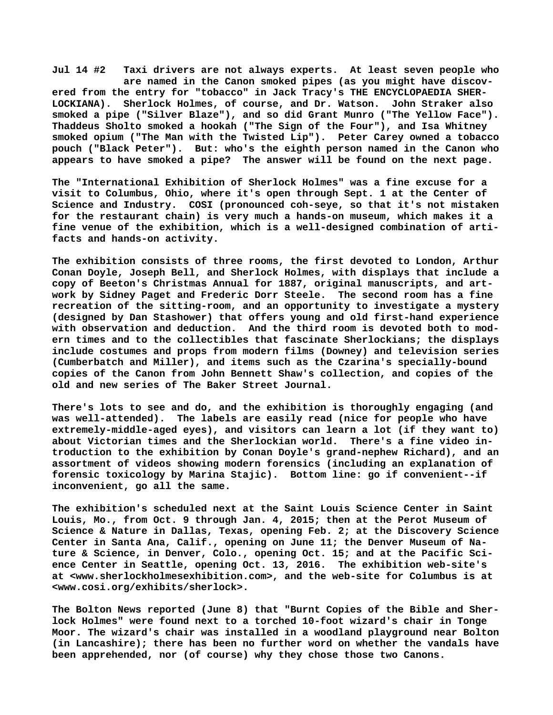**Jul 14 #2 Taxi drivers are not always experts. At least seven people who are named in the Canon smoked pipes (as you might have discovered from the entry for "tobacco" in Jack Tracy's THE ENCYCLOPAEDIA SHER-LOCKIANA). Sherlock Holmes, of course, and Dr. Watson. John Straker also smoked a pipe ("Silver Blaze"), and so did Grant Munro ("The Yellow Face"). Thaddeus Sholto smoked a hookah ("The Sign of the Four"), and Isa Whitney smoked opium ("The Man with the Twisted Lip"). Peter Carey owned a tobacco pouch ("Black Peter"). But: who's the eighth person named in the Canon who appears to have smoked a pipe? The answer will be found on the next page.**

**The "International Exhibition of Sherlock Holmes" was a fine excuse for a visit to Columbus, Ohio, where it's open through Sept. 1 at the Center of Science and Industry. COSI (pronounced coh-seye, so that it's not mistaken for the restaurant chain) is very much a hands-on museum, which makes it a fine venue of the exhibition, which is a well-designed combination of artifacts and hands-on activity.**

**The exhibition consists of three rooms, the first devoted to London, Arthur Conan Doyle, Joseph Bell, and Sherlock Holmes, with displays that include a copy of Beeton's Christmas Annual for 1887, original manuscripts, and artwork by Sidney Paget and Frederic Dorr Steele. The second room has a fine recreation of the sitting-room, and an opportunity to investigate a mystery (designed by Dan Stashower) that offers young and old first-hand experience with observation and deduction. And the third room is devoted both to modern times and to the collectibles that fascinate Sherlockians; the displays include costumes and props from modern films (Downey) and television series (Cumberbatch and Miller), and items such as the Czarina's specially-bound copies of the Canon from John Bennett Shaw's collection, and copies of the old and new series of The Baker Street Journal.**

**There's lots to see and do, and the exhibition is thoroughly engaging (and was well-attended). The labels are easily read (nice for people who have extremely-middle-aged eyes), and visitors can learn a lot (if they want to) about Victorian times and the Sherlockian world. There's a fine video introduction to the exhibition by Conan Doyle's grand-nephew Richard), and an assortment of videos showing modern forensics (including an explanation of forensic toxicology by Marina Stajic). Bottom line: go if convenient--if inconvenient, go all the same.**

**The exhibition's scheduled next at the Saint Louis Science Center in Saint Louis, Mo., from Oct. 9 through Jan. 4, 2015; then at the Perot Museum of Science & Nature in Dallas, Texas, opening Feb. 2; at the Discovery Science Center in Santa Ana, Calif., opening on June 11; the Denver Museum of Nature & Science, in Denver, Colo., opening Oct. 15; and at the Pacific Science Center in Seattle, opening Oct. 13, 2016. The exhibition web-site's at [<www.sherlockholmesexhibition.com>, a](http://www.sherlockholmesexhibition.com)nd the web-site for Columbus is at [<www.cosi.org/exhibits/sherlock>.](http://www.cosi.org/exhibits/sherlock)**

**The Bolton News reported (June 8) that "Burnt Copies of the Bible and Sherlock Holmes" were found next to a torched 10-foot wizard's chair in Tonge Moor. The wizard's chair was installed in a woodland playground near Bolton (in Lancashire); there has been no further word on whether the vandals have been apprehended, nor (of course) why they chose those two Canons.**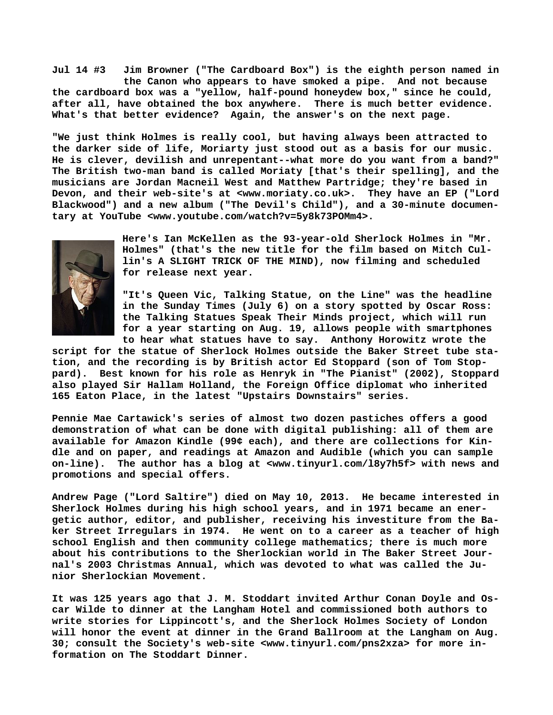**Jul 14 #3 Jim Browner ("The Cardboard Box") is the eighth person named in the Canon who appears to have smoked a pipe. And not because the cardboard box was a "yellow, half-pound honeydew box," since he could, after all, have obtained the box anywhere. There is much better evidence. What's that better evidence? Again, the answer's on the next page.**

**"We just think Holmes is really cool, but having always been attracted to the darker side of life, Moriarty just stood out as a basis for our music. He is clever, devilish and unrepentant--what more do you want from a band?" The British two-man band is called Moriaty [that's their spelling], and the musicians are Jordan Macneil West and Matthew Partridge; they're based in Devon, and their web-site's at <[www.moriaty.co.uk>.](http://www.moriaty.co.uk) They have an EP ("Lord Blackwood") and a new album ("The Devil's Child"), and a 30-minute documentary at YouTube <[www.youtube.com/watch?v=5y8k73POMm4>.](http://www.youtube.com/watch?v=5y8k73POMm4)**



**Here's Ian McKellen as the 93-year-old Sherlock Holmes in "Mr. Holmes" (that's the new title for the film based on Mitch Cullin's A SLIGHT TRICK OF THE MIND), now filming and scheduled for release next year.**

**"It's Queen Vic, Talking Statue, on the Line" was the headline in the Sunday Times (July 6) on a story spotted by Oscar Ross: the Talking Statues Speak Their Minds project, which will run for a year starting on Aug. 19, allows people with smartphones to hear what statues have to say. Anthony Horowitz wrote the**

**script for the statue of Sherlock Holmes outside the Baker Street tube station, and the recording is by British actor Ed Stoppard (son of Tom Stoppard). Best known for his role as Henryk in "The Pianist" (2002), Stoppard also played Sir Hallam Holland, the Foreign Office diplomat who inherited 165 Eaton Place, in the latest "Upstairs Downstairs" series.**

**Pennie Mae Cartawick's series of almost two dozen pastiches offers a good demonstration of what can be done with digital publishing: all of them are available for Amazon Kindle (99¢ each), and there are collections for Kindle and on paper, and readings at Amazon and Audible (which you can sample on-line). The author has a blog at <[www.tinyurl.com/l8y7h5f> w](http://www.tinyurl.com/l8y7h5f)ith news and promotions and special offers.**

**Andrew Page ("Lord Saltire") died on May 10, 2013. He became interested in Sherlock Holmes during his high school years, and in 1971 became an energetic author, editor, and publisher, receiving his investiture from the Baker Street Irregulars in 1974. He went on to a career as a teacher of high school English and then community college mathematics; there is much more about his contributions to the Sherlockian world in The Baker Street Journal's 2003 Christmas Annual, which was devoted to what was called the Junior Sherlockian Movement.**

**It was 125 years ago that J. M. Stoddart invited Arthur Conan Doyle and Oscar Wilde to dinner at the Langham Hotel and commissioned both authors to write stories for Lippincott's, and the Sherlock Holmes Society of London will honor the event at dinner in the Grand Ballroom at the Langham on Aug. 30; consult the Society's web-site [<www.tinyurl.com/pns2xza> f](http://www.tinyurl.com/pns2xza)or more information on The Stoddart Dinner.**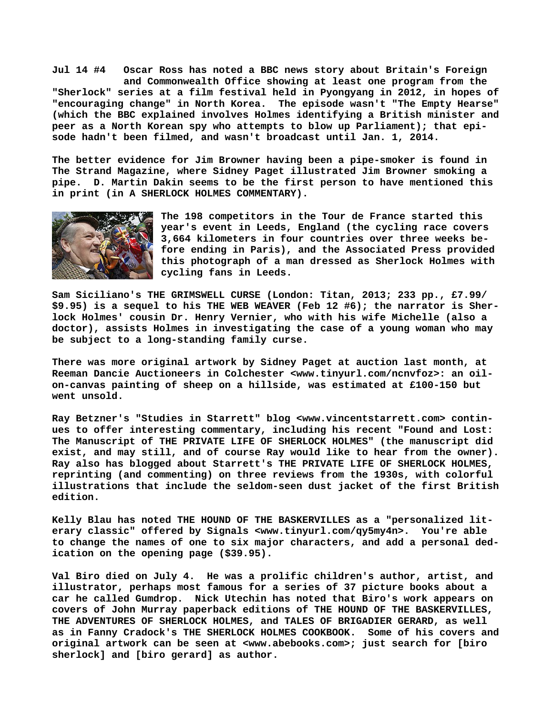**Jul 14 #4 Oscar Ross has noted a BBC news story about Britain's Foreign and Commonwealth Office showing at least one program from the "Sherlock" series at a film festival held in Pyongyang in 2012, in hopes of "encouraging change" in North Korea. The episode wasn't "The Empty Hearse" (which the BBC explained involves Holmes identifying a British minister and peer as a North Korean spy who attempts to blow up Parliament); that episode hadn't been filmed, and wasn't broadcast until Jan. 1, 2014.**

**The better evidence for Jim Browner having been a pipe-smoker is found in The Strand Magazine, where Sidney Paget illustrated Jim Browner smoking a pipe. D. Martin Dakin seems to be the first person to have mentioned this in print (in A SHERLOCK HOLMES COMMENTARY).**



**The 198 competitors in the Tour de France started this year's event in Leeds, England (the cycling race covers 3,664 kilometers in four countries over three weeks before ending in Paris), and the Associated Press provided this photograph of a man dressed as Sherlock Holmes with cycling fans in Leeds.**

**Sam Siciliano's THE GRIMSWELL CURSE (London: Titan, 2013; 233 pp., £7.99/ \$9.95) is a sequel to his THE WEB WEAVER (Feb 12 #6); the narrator is Sherlock Holmes' cousin Dr. Henry Vernier, who with his wife Michelle (also a doctor), assists Holmes in investigating the case of a young woman who may be subject to a long-standing family curse.**

**There was more original artwork by Sidney Paget at auction last month, at Reeman Dancie Auctioneers in Colchester [<www.tinyurl.com/ncnvfoz>: a](http://www.tinyurl.com/ncnvfoz>:)n oilon-canvas painting of sheep on a hillside, was estimated at £100-150 but went unsold.**

**Ray Betzner's "Studies in Starrett" blog <[www.vincentstarrett.com> c](http://www.vincentstarrett.com)ontinues to offer interesting commentary, including his recent "Found and Lost: The Manuscript of THE PRIVATE LIFE OF SHERLOCK HOLMES" (the manuscript did exist, and may still, and of course Ray would like to hear from the owner). Ray also has blogged about Starrett's THE PRIVATE LIFE OF SHERLOCK HOLMES, reprinting (and commenting) on three reviews from the 1930s, with colorful illustrations that include the seldom-seen dust jacket of the first British edition.**

**Kelly Blau has noted THE HOUND OF THE BASKERVILLES as a "personalized literary classic" offered by Signals <[www.tinyurl.com/qy5my4n>.](http://www.tinyurl.com/qy5my4n) You're able to change the names of one to six major characters, and add a personal dedication on the opening page (\$39.95).**

**Val Biro died on July 4. He was a prolific children's author, artist, and illustrator, perhaps most famous for a series of 37 picture books about a car he called Gumdrop. Nick Utechin has noted that Biro's work appears on covers of John Murray paperback editions of THE HOUND OF THE BASKERVILLES, THE ADVENTURES OF SHERLOCK HOLMES, and TALES OF BRIGADIER GERARD, as well as in Fanny Cradock's THE SHERLOCK HOLMES COOKBOOK. Some of his covers and original artwork can be seen at [<www.abebooks.com>; j](http://www.abebooks.com)ust search for [biro sherlock] and [biro gerard] as author.**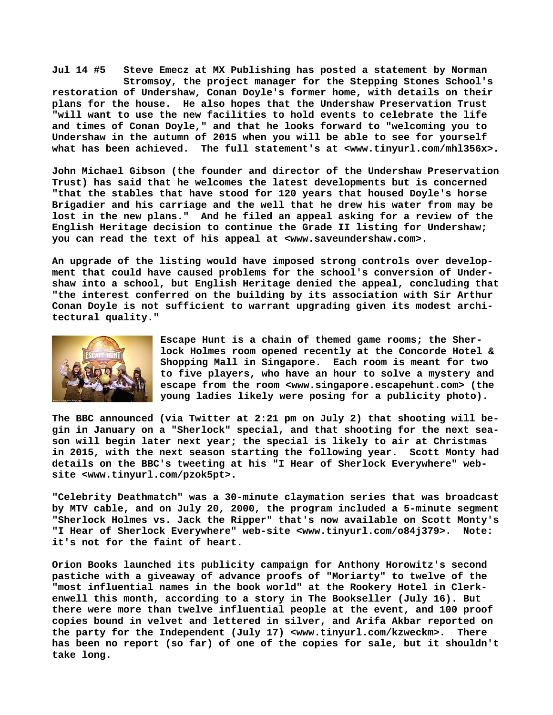**Jul 14 #5 Steve Emecz at MX Publishing has posted a statement by Norman Stromsoy, the project manager for the Stepping Stones School's restoration of Undershaw, Conan Doyle's former home, with details on their plans for the house. He also hopes that the Undershaw Preservation Trust "will want to use the new facilities to hold events to celebrate the life and times of Conan Doyle," and that he looks forward to "welcoming you to Undershaw in the autumn of 2015 when you will be able to see for yourself what has been achieved. The full statement's at <[www.tinyurl.com/mhl356x>.](http://www.tinyurl.com/mhl356x)**

**John Michael Gibson (the founder and director of the Undershaw Preservation Trust) has said that he welcomes the latest developments but is concerned "that the stables that have stood for 120 years that housed Doyle's horse Brigadier and his carriage and the well that he drew his water from may be lost in the new plans." And he filed an appeal asking for a review of the English Heritage decision to continue the Grade II listing for Undershaw; you can read the text of his appeal at <[www.saveundershaw.com>.](http://www.saveundershaw.com)**

**An upgrade of the listing would have imposed strong controls over development that could have caused problems for the school's conversion of Undershaw into a school, but English Heritage denied the appeal, concluding that "the interest conferred on the building by its association with Sir Arthur Conan Doyle is not sufficient to warrant upgrading given its modest architectural quality."**



**Escape Hunt is a chain of themed game rooms; the Sherlock Holmes room opened recently at the Concorde Hotel & Shopping Mall in Singapore. Each room is meant for two to five players, who have an hour to solve a mystery and escape from the room <[www.singapore.escapehunt.com> \(](http://www.singapore.escapehunt.com)the young ladies likely were posing for a publicity photo).**

**The BBC announced (via Twitter at 2:21 pm on July 2) that shooting will begin in January on a "Sherlock" special, and that shooting for the next season will begin later next year; the special is likely to air at Christmas in 2015, with the next season starting the following year. Scott Monty had details on the BBC's tweeting at his "I Hear of Sherlock Everywhere" website [<www.tinyurl.com/pzok5pt>.](http://www.tinyurl.com/pzok5pt)**

**"Celebrity Deathmatch" was a 30-minute claymation series that was broadcast by MTV cable, and on July 20, 2000, the program included a 5-minute segment "Sherlock Holmes vs. Jack the Ripper" that's now available on Scott Monty's "I Hear of Sherlock Everywhere" web-site <[www.tinyurl.com/o84j379>.](http://www.tinyurl.com/o84j379) Note: it's not for the faint of heart.**

**Orion Books launched its publicity campaign for Anthony Horowitz's second pastiche with a giveaway of advance proofs of "Moriarty" to twelve of the "most influential names in the book world" at the Rookery Hotel in Clerkenwell this month, according to a story in The Bookseller (July 16). But there were more than twelve influential people at the event, and 100 proof copies bound in velvet and lettered in silver, and Arifa Akbar reported on the party for the Independent (July 17) [<www.tinyurl.com/kzweckm>.](http://www.tinyurl.com/kzweckm) There has been no report (so far) of one of the copies for sale, but it shouldn't take long.**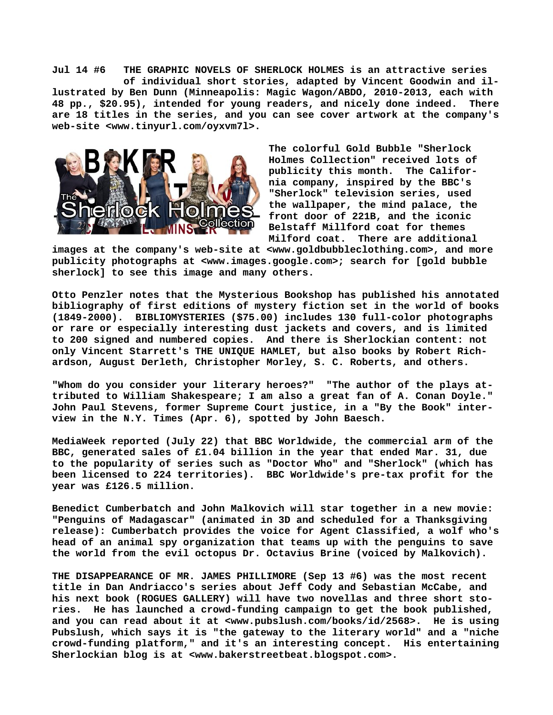**Jul 14 #6 THE GRAPHIC NOVELS OF SHERLOCK HOLMES is an attractive series of individual short stories, adapted by Vincent Goodwin and illustrated by Ben Dunn (Minneapolis: Magic Wagon/ABDO, 2010-2013, each with 48 pp., \$20.95), intended for young readers, and nicely done indeed. There are 18 titles in the series, and you can see cover artwork at the company's web-site <[www.tinyurl.com/oyxvm7l>.](http://www.tinyurl.com/oyxvm7l)**



**The colorful Gold Bubble "Sherlock Holmes Collection" received lots of publicity this month. The California company, inspired by the BBC's "Sherlock" television series, used the wallpaper, the mind palace, the front door of 221B, and the iconic Belstaff Millford coat for themes Milford coat. There are additional**

**images at the company's web-site at <[www.goldbubbleclothing.com>, a](http://www.goldbubbleclothing.com)nd more publicity photographs at [<www.images.google.com>; s](http://www.images.google.com)earch for [gold bubble sherlock] to see this image and many others.**

**Otto Penzler notes that the Mysterious Bookshop has published his annotated bibliography of first editions of mystery fiction set in the world of books (1849-2000). BIBLIOMYSTERIES (\$75.00) includes 130 full-color photographs or rare or especially interesting dust jackets and covers, and is limited to 200 signed and numbered copies. And there is Sherlockian content: not only Vincent Starrett's THE UNIQUE HAMLET, but also books by Robert Richardson, August Derleth, Christopher Morley, S. C. Roberts, and others.**

**"Whom do you consider your literary heroes?" "The author of the plays attributed to William Shakespeare; I am also a great fan of A. Conan Doyle." John Paul Stevens, former Supreme Court justice, in a "By the Book" interview in the N.Y. Times (Apr. 6), spotted by John Baesch.**

**MediaWeek reported (July 22) that BBC Worldwide, the commercial arm of the BBC, generated sales of £1.04 billion in the year that ended Mar. 31, due to the popularity of series such as "Doctor Who" and "Sherlock" (which has been licensed to 224 territories). BBC Worldwide's pre-tax profit for the year was £126.5 million.**

**Benedict Cumberbatch and John Malkovich will star together in a new movie: "Penguins of Madagascar" (animated in 3D and scheduled for a Thanksgiving release): Cumberbatch provides the voice for Agent Classified, a wolf who's head of an animal spy organization that teams up with the penguins to save the world from the evil octopus Dr. Octavius Brine (voiced by Malkovich).**

**THE DISAPPEARANCE OF MR. JAMES PHILLIMORE (Sep 13 #6) was the most recent title in Dan Andriacco's series about Jeff Cody and Sebastian McCabe, and his next book (ROGUES GALLERY) will have two novellas and three short stories. He has launched a crowd-funding campaign to get the book published, and you can read about it at <[www.pubslush.com/books/id/2568>.](http://www.pubslush.com/books/id/2568) He is using Pubslush, which says it is "the gateway to the literary world" and a "niche crowd-funding platform," and it's an interesting concept. His entertaining Sherlockian blog is at [<www.bakerstreetbeat.blogspot.com>.](http://www.bakerstreetbeat.blogspot.com)**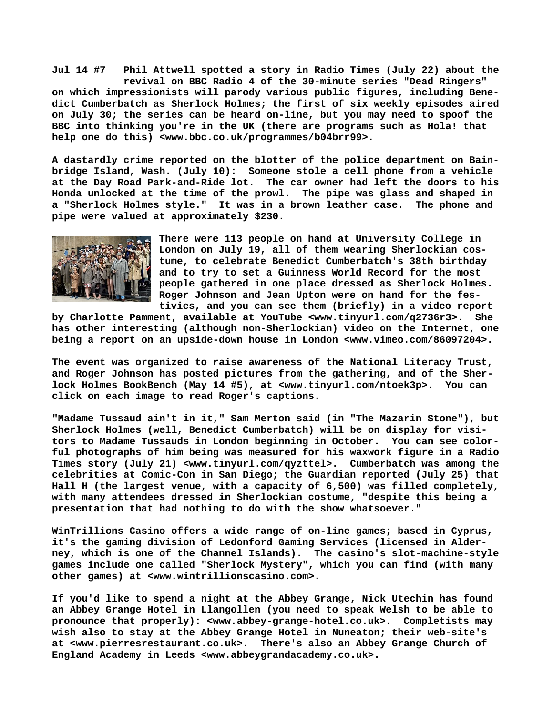**Jul 14 #7 Phil Attwell spotted a story in Radio Times (July 22) about the revival on BBC Radio 4 of the 30-minute series "Dead Ringers" on which impressionists will parody various public figures, including Benedict Cumberbatch as Sherlock Holmes; the first of six weekly episodes aired on July 30; the series can be heard on-line, but you may need to spoof the BBC into thinking you're in the UK (there are programs such as Hola! that help one do this) [<www.bbc.co.uk/programmes/b04brr99>.](http://www.bbc.co.uk/programmes/b04brr99)**

**A dastardly crime reported on the blotter of the police department on Bainbridge Island, Wash. (July 10): Someone stole a cell phone from a vehicle at the Day Road Park-and-Ride lot. The car owner had left the doors to his Honda unlocked at the time of the prowl. The pipe was glass and shaped in a "Sherlock Holmes style." It was in a brown leather case. The phone and pipe were valued at approximately \$230.**



**There were 113 people on hand at University College in London on July 19, all of them wearing Sherlockian costume, to celebrate Benedict Cumberbatch's 38th birthday and to try to set a Guinness World Record for the most people gathered in one place dressed as Sherlock Holmes. Roger Johnson and Jean Upton were on hand for the festivies, and you can see them (briefly) in a video report**

**by Charlotte Pamment, available at YouTube [<www.tinyurl.com/q2736r3>.](http://www.tinyurl.com/q2736r3) She has other interesting (although non-Sherlockian) video on the Internet, one being a report on an upside-down house in London <[www.vimeo.com/86097204>.](http://www.vimeo.com/86097204)**

**The event was organized to raise awareness of the National Literacy Trust, and Roger Johnson has posted pictures from the gathering, and of the Sherlock Holmes BookBench (May 14 #5), at [<www.tinyurl.com/ntoek3p>.](http://www.tinyurl.com/ntoek3p) You can click on each image to read Roger's captions.**

**"Madame Tussaud ain't in it," Sam Merton said (in "The Mazarin Stone"), but Sherlock Holmes (well, Benedict Cumberbatch) will be on display for visitors to Madame Tussauds in London beginning in October. You can see colorful photographs of him being was measured for his waxwork figure in a Radio Times story (July 21) [<www.tinyurl.com/qyzttel>.](http://www.tinyurl.com/qyzttel) Cumberbatch was among the celebrities at Comic-Con in San Diego; the Guardian reported (July 25) that Hall H (the largest venue, with a capacity of 6,500) was filled completely, with many attendees dressed in Sherlockian costume, "despite this being a presentation that had nothing to do with the show whatsoever."**

**WinTrillions Casino offers a wide range of on-line games; based in Cyprus, it's the gaming division of Ledonford Gaming Services (licensed in Alderney, which is one of the Channel Islands). The casino's slot-machine-style games include one called "Sherlock Mystery", which you can find (with many other games) at <[www.wintrillionscasino.com>.](http://www.wintrillionscasino.com)**

**If you'd like to spend a night at the Abbey Grange, Nick Utechin has found an Abbey Grange Hotel in Llangollen (you need to speak Welsh to be able to pronounce that properly): <[www.abbey-grange-hotel.co.uk>.](http://www.abbey-grange-hotel.co.uk) Completists may wish also to stay at the Abbey Grange Hotel in Nuneaton; their web-site's at [<www.pierresrestaurant.co.uk>.](http://www.pierresrestaurant.co.uk) There's also an Abbey Grange Church of England Academy in Leeds [<www.abbeygrandacademy.co.uk>.](http://www.abbeygrandacademy.co.uk)**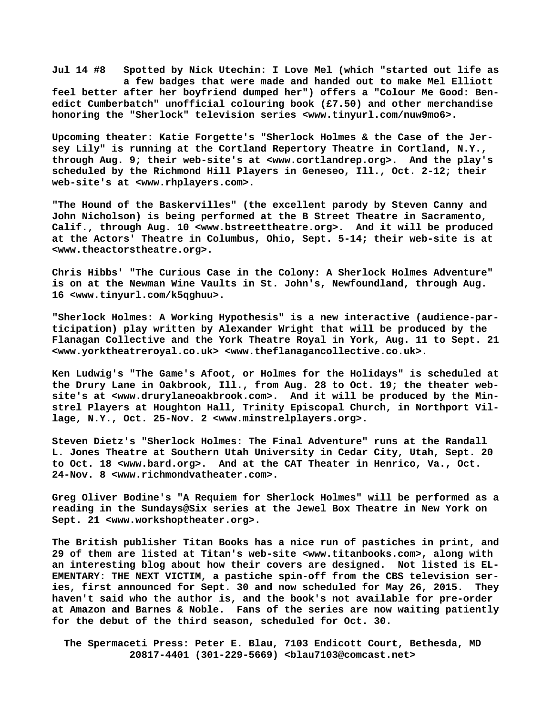**Jul 14 #8 Spotted by Nick Utechin: I Love Mel (which "started out life as a few badges that were made and handed out to make Mel Elliott feel better after her boyfriend dumped her") offers a "Colour Me Good: Benedict Cumberbatch" unofficial colouring book (£7.50) and other merchandise honoring the "Sherlock" television series [<www.tinyurl.com/nuw9mo6>.](http://www.tinyurl.com/nuw9mo6)**

**Upcoming theater: Katie Forgette's "Sherlock Holmes & the Case of the Jersey Lily" is running at the Cortland Repertory Theatre in Cortland, N.Y., through Aug. 9; their web-site's at <[www.cortlandrep.org>.](http://www.cortlandrep.org) And the play's scheduled by the Richmond Hill Players in Geneseo, Ill., Oct. 2-12; their web-site's at <[www.rhplayers.com>.](http://www.rhplayers.com)**

**"The Hound of the Baskervilles" (the excellent parody by Steven Canny and John Nicholson) is being performed at the B Street Theatre in Sacramento, Calif., through Aug. 10 <[www.bstreettheatre.org>.](http://www.bstreettheatre.org) And it will be produced at the Actors' Theatre in Columbus, Ohio, Sept. 5-14; their web-site is at [<www.theactorstheatre.org>.](http://www.theactorstheatre.org)** 

**Chris Hibbs' "The Curious Case in the Colony: A Sherlock Holmes Adventure" is on at the Newman Wine Vaults in St. John's, Newfoundland, through Aug. 16 [<www.tinyurl.com/k5qghuu>.](http://www.tinyurl.com/k5qghuu)**

**"Sherlock Holmes: A Working Hypothesis" is a new interactive (audience-participation) play written by Alexander Wright that will be produced by the Flanagan Collective and the York Theatre Royal in York, Aug. 11 to Sept. 21 [<www.yorktheatreroyal.co.uk> <](http://www.yorktheatreroyal.co.uk)[www.theflanagancollective.co.uk>.](http://www.theflanagancollective.co.uk)**

**Ken Ludwig's "The Game's Afoot, or Holmes for the Holidays" is scheduled at the Drury Lane in Oakbrook, Ill., from Aug. 28 to Oct. 19; the theater website's at [<www.drurylaneoakbrook.com>.](http://www.drurylaneoakbrook.com) And it will be produced by the Minstrel Players at Houghton Hall, Trinity Episcopal Church, in Northport Village, N.Y., Oct. 25-Nov. 2 [<www.minstrelplayers.org>.](http://www.minstrelplayers.org)**

**Steven Dietz's "Sherlock Holmes: The Final Adventure" runs at the Randall L. Jones Theatre at Southern Utah University in Cedar City, Utah, Sept. 20 to Oct. 18 <[www.bard.org>.](http://www.bard.org) And at the CAT Theater in Henrico, Va., Oct. 24-Nov. 8 [<www.richmondvatheater.com>.](http://www.richmondvatheater.com)**

**Greg Oliver Bodine's "A Requiem for Sherlock Holmes" will be performed as a reading in the Sundays@Six series at the Jewel Box Theatre in New York on Sept. 21 <[www.workshoptheater.org>.](http://www.workshoptheater.org)**

**The British publisher Titan Books has a nice run of pastiches in print, and 29 of them are listed at Titan's web-site [<www.titanbooks.com>, a](http://www.titanbooks.com)long with an interesting blog about how their covers are designed. Not listed is EL-EMENTARY: THE NEXT VICTIM, a pastiche spin-off from the CBS television series, first announced for Sept. 30 and now scheduled for May 26, 2015. They haven't said who the author is, and the book's not available for pre-order at Amazon and Barnes & Noble. Fans of the series are now waiting patiently for the debut of the third season, scheduled for Oct. 30.** 

 **The Spermaceti Press: Peter E. Blau, 7103 Endicott Court, Bethesda, MD 20817-4401 (301-229-5669) <[blau7103@comcast.net>](mailto:blau7103@comcast.net)**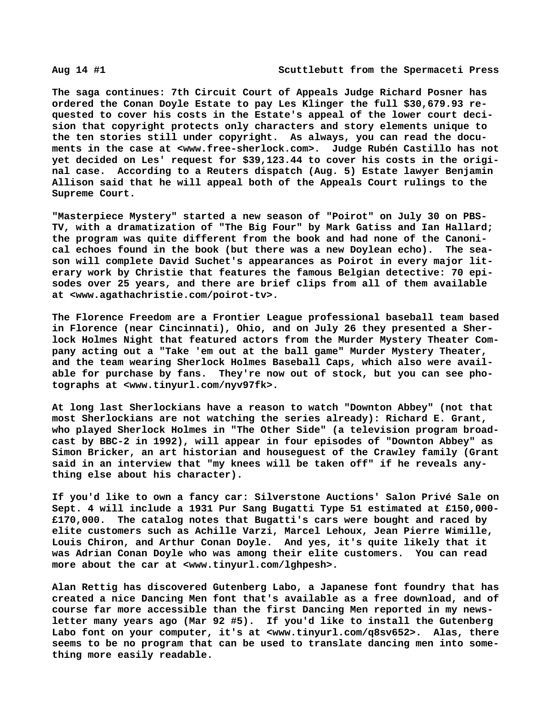**The saga continues: 7th Circuit Court of Appeals Judge Richard Posner has ordered the Conan Doyle Estate to pay Les Klinger the full \$30,679.93 requested to cover his costs in the Estate's appeal of the lower court decision that copyright protects only characters and story elements unique to the ten stories still under copyright. As always, you can read the documents in the case at <[www.free-sherlock.com>.](http://www.free-sherlock.com) Judge Rubén Castillo has not yet decided on Les' request for \$39,123.44 to cover his costs in the original case. According to a Reuters dispatch (Aug. 5) Estate lawyer Benjamin Allison said that he will appeal both of the Appeals Court rulings to the Supreme Court.**

**"Masterpiece Mystery" started a new season of "Poirot" on July 30 on PBS-TV, with a dramatization of "The Big Four" by Mark Gatiss and Ian Hallard; the program was quite different from the book and had none of the Canonical echoes found in the book (but there was a new Doylean echo). The season will complete David Suchet's appearances as Poirot in every major literary work by Christie that features the famous Belgian detective: 70 episodes over 25 years, and there are brief clips from all of them available at [<www.agathachristie.com/poirot-tv>.](http://www.agathachristie.com/poirot-tv)**

**The Florence Freedom are a Frontier League professional baseball team based in Florence (near Cincinnati), Ohio, and on July 26 they presented a Sherlock Holmes Night that featured actors from the Murder Mystery Theater Company acting out a "Take 'em out at the ball game" Murder Mystery Theater, and the team wearing Sherlock Holmes Baseball Caps, which also were available for purchase by fans. They're now out of stock, but you can see photographs at [<www.tinyurl.com/nyv97fk>.](http://www.tinyurl.com/nyv97fk)**

**At long last Sherlockians have a reason to watch "Downton Abbey" (not that most Sherlockians are not watching the series already): Richard E. Grant, who played Sherlock Holmes in "The Other Side" (a television program broadcast by BBC-2 in 1992), will appear in four episodes of "Downton Abbey" as Simon Bricker, an art historian and houseguest of the Crawley family (Grant said in an interview that "my knees will be taken off" if he reveals anything else about his character).**

**If you'd like to own a fancy car: Silverstone Auctions' Salon Privé Sale on Sept. 4 will include a 1931 Pur Sang Bugatti Type 51 estimated at £150,000- £170,000. The catalog notes that Bugatti's cars were bought and raced by elite customers such as Achille Varzi, Marcel Lehoux, Jean Pierre Wimille, Louis Chiron, and Arthur Conan Doyle. And yes, it's quite likely that it was Adrian Conan Doyle who was among their elite customers. You can read more about the car at [<www.tinyurl.com/lghpesh>.](http://www.tinyurl.com/lghpesh)**

**Alan Rettig has discovered Gutenberg Labo, a Japanese font foundry that has created a nice Dancing Men font that's available as a free download, and of course far more accessible than the first Dancing Men reported in my newsletter many years ago (Mar 92 #5). If you'd like to install the Gutenberg Labo font on your computer, it's at <[www.tinyurl.com/q8sv652>.](http://www.tinyurl.com/q8sv652) Alas, there seems to be no program that can be used to translate dancing men into something more easily readable.**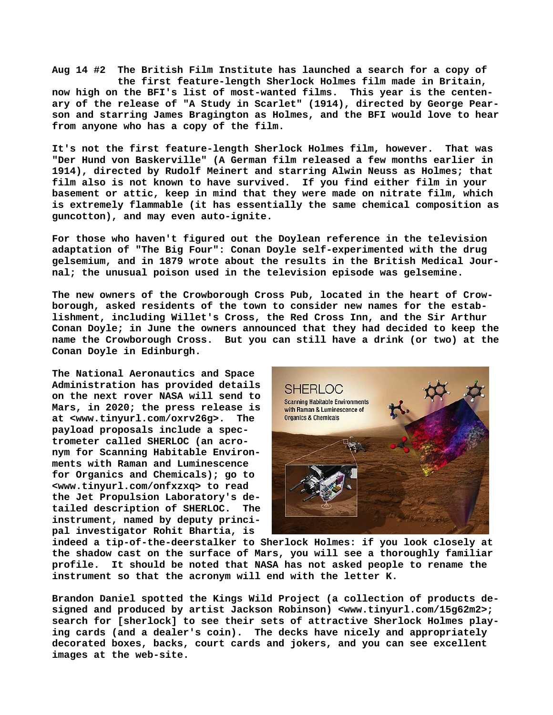**Aug 14 #2 The British Film Institute has launched a search for a copy of the first feature-length Sherlock Holmes film made in Britain, now high on the BFI's list of most-wanted films. This year is the centenary of the release of "A Study in Scarlet" (1914), directed by George Pearson and starring James Bragington as Holmes, and the BFI would love to hear from anyone who has a copy of the film.**

**It's not the first feature-length Sherlock Holmes film, however. That was "Der Hund von Baskerville" (A German film released a few months earlier in 1914), directed by Rudolf Meinert and starring Alwin Neuss as Holmes; that film also is not known to have survived. If you find either film in your basement or attic, keep in mind that they were made on nitrate film, which is extremely flammable (it has essentially the same chemical composition as guncotton), and may even auto-ignite.**

**For those who haven't figured out the Doylean reference in the television adaptation of "The Big Four": Conan Doyle self-experimented with the drug gelsemium, and in 1879 wrote about the results in the British Medical Journal; the unusual poison used in the television episode was gelsemine.**

**The new owners of the Crowborough Cross Pub, located in the heart of Crowborough, asked residents of the town to consider new names for the establishment, including Willet's Cross, the Red Cross Inn, and the Sir Arthur Conan Doyle; in June the owners announced that they had decided to keep the name the Crowborough Cross. But you can still have a drink (or two) at the Conan Doyle in Edinburgh.**

**The National Aeronautics and Space Administration has provided details on the next rover NASA will send to Mars, in 2020; the press release is at [<www.tinyurl.com/oxrv26g>.](http://www.tinyurl.com/oxrv26g) The payload proposals include a spectrometer called SHERLOC (an acronym for Scanning Habitable Environments with Raman and Luminescence for Organics and Chemicals); go to [<www.tinyurl.com/onfxzxq> t](http://www.tinyurl.com/onfxzxq)o read the Jet Propulsion Laboratory's detailed description of SHERLOC. The instrument, named by deputy principal investigator Rohit Bhartia, is**



**indeed a tip-of-the-deerstalker to Sherlock Holmes: if you look closely at the shadow cast on the surface of Mars, you will see a thoroughly familiar profile. It should be noted that NASA has not asked people to rename the instrument so that the acronym will end with the letter K.**

**Brandon Daniel spotted the Kings Wild Project (a collection of products designed and produced by artist Jackson Robinson) [<www.tinyurl.com/15g62m2>;](http://www.tinyurl.com/15g62m2) search for [sherlock] to see their sets of attractive Sherlock Holmes playing cards (and a dealer's coin). The decks have nicely and appropriately decorated boxes, backs, court cards and jokers, and you can see excellent images at the web-site.**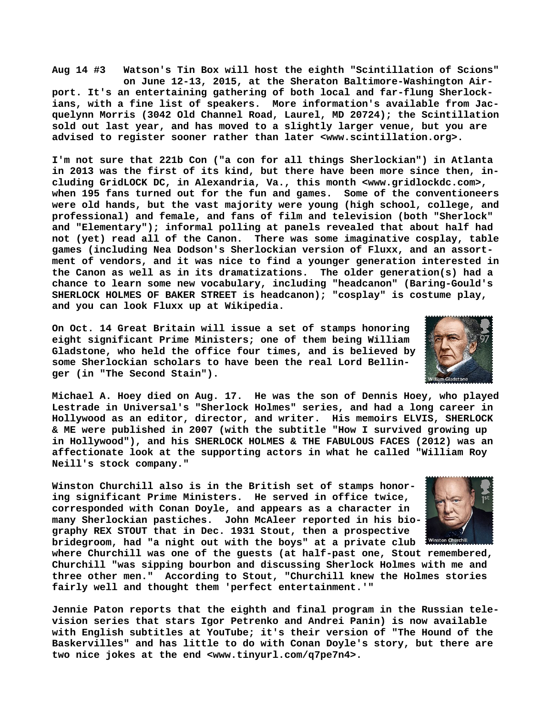**Aug 14 #3 Watson's Tin Box will host the eighth "Scintillation of Scions" on June 12-13, 2015, at the Sheraton Baltimore-Washington Air-**

**port. It's an entertaining gathering of both local and far-flung Sherlockians, with a fine list of speakers. More information's available from Jacquelynn Morris (3042 Old Channel Road, Laurel, MD 20724); the Scintillation sold out last year, and has moved to a slightly larger venue, but you are advised to register sooner rather than later [<www.scintillation.org>.](http://www.scintillation.org)**

**I'm not sure that 221b Con ("a con for all things Sherlockian") in Atlanta in 2013 was the first of its kind, but there have been more since then, including GridLOCK DC, in Alexandria, Va., this month <[www.gridlockdc.com>,](http://www.gridlockdc.com)  when 195 fans turned out for the fun and games. Some of the conventioneers were old hands, but the vast majority were young (high school, college, and professional) and female, and fans of film and television (both "Sherlock" and "Elementary"); informal polling at panels revealed that about half had not (yet) read all of the Canon. There was some imaginative cosplay, table games (including Nea Dodson's Sherlockian version of Fluxx, and an assortment of vendors, and it was nice to find a younger generation interested in the Canon as well as in its dramatizations. The older generation(s) had a chance to learn some new vocabulary, including "headcanon" (Baring-Gould's SHERLOCK HOLMES OF BAKER STREET is headcanon); "cosplay" is costume play, and you can look Fluxx up at Wikipedia.**

**On Oct. 14 Great Britain will issue a set of stamps honoring eight significant Prime Ministers; one of them being William Gladstone, who held the office four times, and is believed by some Sherlockian scholars to have been the real Lord Bellinger (in "The Second Stain").**



**Winston Churchill also is in the British set of stamps honoring significant Prime Ministers. He served in office twice, corresponded with Conan Doyle, and appears as a character in many Sherlockian pastiches. John McAleer reported in his biography REX STOUT that in Dec. 1931 Stout, then a prospective bridegroom, had "a night out with the boys" at a private club**



**where Churchill was one of the guests (at half-past one, Stout remembered, Churchill "was sipping bourbon and discussing Sherlock Holmes with me and three other men." According to Stout, "Churchill knew the Holmes stories fairly well and thought them 'perfect entertainment.'"**

**Jennie Paton reports that the eighth and final program in the Russian television series that stars Igor Petrenko and Andrei Panin) is now available with English subtitles at YouTube; it's their version of "The Hound of the Baskervilles" and has little to do with Conan Doyle's story, but there are two nice jokes at the end <[www.tinyurl.com/q7pe7n4>.](http://www.tinyurl.com/q7pe7n4)**

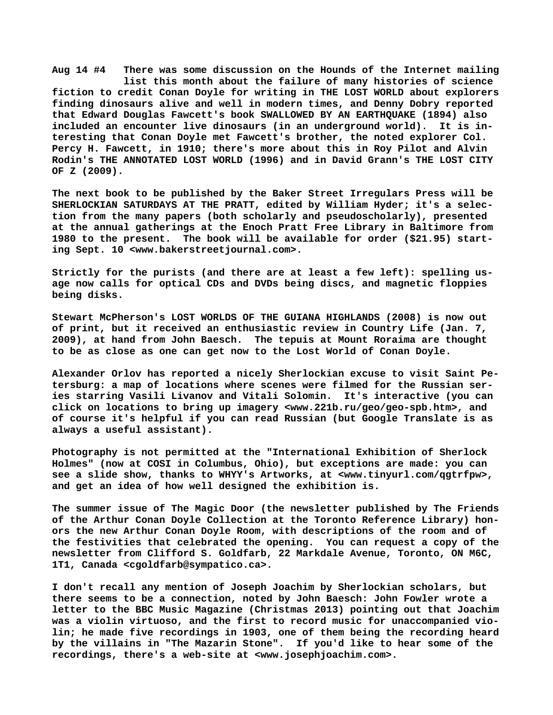**Aug 14 #4 There was some discussion on the Hounds of the Internet mailing list this month about the failure of many histories of science fiction to credit Conan Doyle for writing in THE LOST WORLD about explorers finding dinosaurs alive and well in modern times, and Denny Dobry reported that Edward Douglas Fawcett's book SWALLOWED BY AN EARTHQUAKE (1894) also included an encounter live dinosaurs (in an underground world). It is interesting that Conan Doyle met Fawcett's brother, the noted explorer Col. Percy H. Fawcett, in 1910; there's more about this in Roy Pilot and Alvin Rodin's THE ANNOTATED LOST WORLD (1996) and in David Grann's THE LOST CITY OF Z (2009).**

**The next book to be published by the Baker Street Irregulars Press will be SHERLOCKIAN SATURDAYS AT THE PRATT, edited by William Hyder; it's a selection from the many papers (both scholarly and pseudoscholarly), presented at the annual gatherings at the Enoch Pratt Free Library in Baltimore from 1980 to the present. The book will be available for order (\$21.95) starting Sept. 10 [<www.bakerstreetjournal.com>.](http://www.bakerstreetjournal.com)**

**Strictly for the purists (and there are at least a few left): spelling usage now calls for optical CDs and DVDs being discs, and magnetic floppies being disks.**

**Stewart McPherson's LOST WORLDS OF THE GUIANA HIGHLANDS (2008) is now out of print, but it received an enthusiastic review in Country Life (Jan. 7, 2009), at hand from John Baesch. The tepuis at Mount Roraima are thought to be as close as one can get now to the Lost World of Conan Doyle.**

**Alexander Orlov has reported a nicely Sherlockian excuse to visit Saint Petersburg: a map of locations where scenes were filmed for the Russian series starring Vasili Livanov and Vitali Solomin. It's interactive (you can click on locations to bring up imagery <[www.221b.ru/geo/geo-spb.htm>, a](http://www.221b.ru/geo/geo-spb.htm)nd of course it's helpful if you can read Russian (but Google Translate is as always a useful assistant).**

**Photography is not permitted at the "International Exhibition of Sherlock Holmes" (now at COSI in Columbus, Ohio), but exceptions are made: you can see a slide show, thanks to WHYY's Artworks, at [<www.tinyurl.com/qgtrfpw>,](http://www.tinyurl.com/qgtrfpw) and get an idea of how well designed the exhibition is.**

**The summer issue of The Magic Door (the newsletter published by The Friends of the Arthur Conan Doyle Collection at the Toronto Reference Library) honors the new Arthur Conan Doyle Room, with descriptions of the room and of the festivities that celebrated the opening. You can request a copy of the newsletter from Clifford S. Goldfarb, 22 Markdale Avenue, Toronto, ON M6C, 1T1, Canada [<cgoldfarb@sympatico.ca>.](mailto:cgoldfarb@sympatico.ca)**

**I don't recall any mention of Joseph Joachim by Sherlockian scholars, but there seems to be a connection, noted by John Baesch: John Fowler wrote a letter to the BBC Music Magazine (Christmas 2013) pointing out that Joachim was a violin virtuoso, and the first to record music for unaccompanied violin; he made five recordings in 1903, one of them being the recording heard by the villains in "The Mazarin Stone". If you'd like to hear some of the recordings, there's a web-site at <[www.josephjoachim.com>.](http://www.josephjoachim.com)**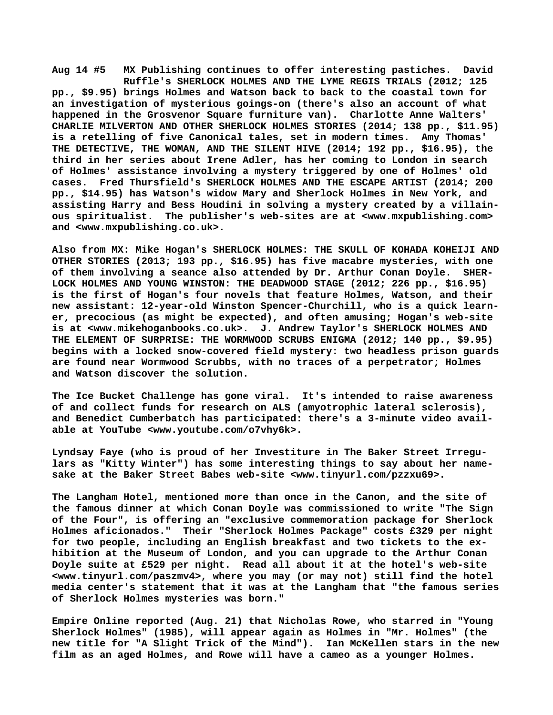**Aug 14 #5 MX Publishing continues to offer interesting pastiches. David Ruffle's SHERLOCK HOLMES AND THE LYME REGIS TRIALS (2012; 125 pp., \$9.95) brings Holmes and Watson back to back to the coastal town for an investigation of mysterious goings-on (there's also an account of what happened in the Grosvenor Square furniture van). Charlotte Anne Walters' CHARLIE MILVERTON AND OTHER SHERLOCK HOLMES STORIES (2014; 138 pp., \$11.95) is a retelling of five Canonical tales, set in modern times. Amy Thomas' THE DETECTIVE, THE WOMAN, AND THE SILENT HIVE (2014; 192 pp., \$16.95), the third in her series about Irene Adler, has her coming to London in search of Holmes' assistance involving a mystery triggered by one of Holmes' old cases. Fred Thursfield's SHERLOCK HOLMES AND THE ESCAPE ARTIST (2014; 200 pp., \$14.95) has Watson's widow Mary and Sherlock Holmes in New York, and assisting Harry and Bess Houdini in solving a mystery created by a villainous spiritualist. The publisher's web-sites are at [<www.mxpublishing.com>](http://www.mxpublishing.com) and <[www.mxpublishing.co.uk>.](http://www.mxpublishing.co.uk)**

**Also from MX: Mike Hogan's SHERLOCK HOLMES: THE SKULL OF KOHADA KOHEIJI AND OTHER STORIES (2013; 193 pp., \$16.95) has five macabre mysteries, with one of them involving a seance also attended by Dr. Arthur Conan Doyle. SHER-LOCK HOLMES AND YOUNG WINSTON: THE DEADWOOD STAGE (2012; 226 pp., \$16.95) is the first of Hogan's four novels that feature Holmes, Watson, and their new assistant: 12-year-old Winston Spencer-Churchill, who is a quick learner, precocious (as might be expected), and often amusing; Hogan's web-site is at <[www.mikehoganbooks.co.uk>.](http://www.mikehoganbooks.co.uk) J. Andrew Taylor's SHERLOCK HOLMES AND THE ELEMENT OF SURPRISE: THE WORMWOOD SCRUBS ENIGMA (2012; 140 pp., \$9.95) begins with a locked snow-covered field mystery: two headless prison guards are found near Wormwood Scrubbs, with no traces of a perpetrator; Holmes and Watson discover the solution.**

**The Ice Bucket Challenge has gone viral. It's intended to raise awareness of and collect funds for research on ALS (amyotrophic lateral sclerosis), and Benedict Cumberbatch has participated: there's a 3-minute video available at YouTube <[www.youtube.com/o7vhy6k>.](http://www.youtube.com/o7vhy6k)**

**Lyndsay Faye (who is proud of her Investiture in The Baker Street Irregulars as "Kitty Winter") has some interesting things to say about her namesake at the Baker Street Babes web-site [<www.tinyurl.com/pzzxu69>.](http://www.tinyurl.com/pzzxu69)**

**The Langham Hotel, mentioned more than once in the Canon, and the site of the famous dinner at which Conan Doyle was commissioned to write "The Sign of the Four", is offering an "exclusive commemoration package for Sherlock Holmes aficionados." Their "Sherlock Holmes Package" costs £329 per night for two people, including an English breakfast and two tickets to the exhibition at the Museum of London, and you can upgrade to the Arthur Conan Doyle suite at £529 per night. Read all about it at the hotel's web-site [<www.tinyurl.com/paszmv4>, w](http://www.tinyurl.com/paszmv4)here you may (or may not) still find the hotel media center's statement that it was at the Langham that "the famous series of Sherlock Holmes mysteries was born."**

**Empire Online reported (Aug. 21) that Nicholas Rowe, who starred in "Young Sherlock Holmes" (1985), will appear again as Holmes in "Mr. Holmes" (the new title for "A Slight Trick of the Mind"). Ian McKellen stars in the new film as an aged Holmes, and Rowe will have a cameo as a younger Holmes.**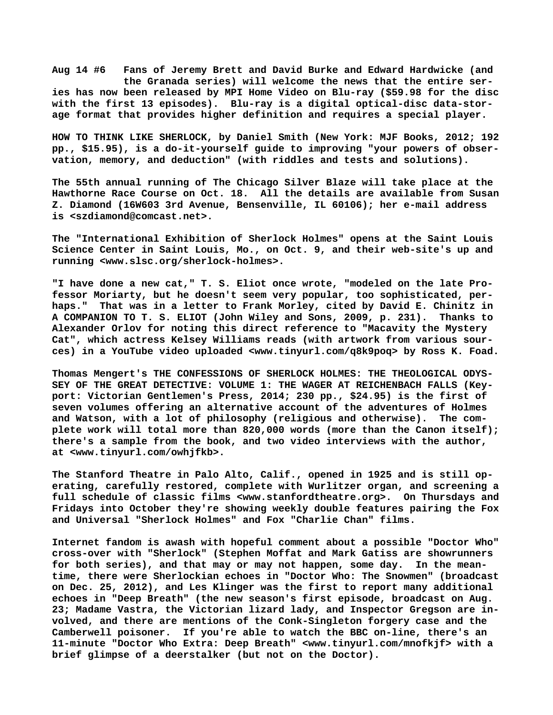**Aug 14 #6 Fans of Jeremy Brett and David Burke and Edward Hardwicke (and the Granada series) will welcome the news that the entire series has now been released by MPI Home Video on Blu-ray (\$59.98 for the disc with the first 13 episodes). Blu-ray is a digital optical-disc data-storage format that provides higher definition and requires a special player.**

**HOW TO THINK LIKE SHERLOCK, by Daniel Smith (New York: MJF Books, 2012; 192 pp., \$15.95), is a do-it-yourself guide to improving "your powers of observation, memory, and deduction" (with riddles and tests and solutions).**

**The 55th annual running of The Chicago Silver Blaze will take place at the Hawthorne Race Course on Oct. 18. All the details are available from Susan Z. Diamond (16W603 3rd Avenue, Bensenville, IL 60106); her e-mail address is [<szdiamond@comcast.net>.](mailto:szdiamond@comcast.net)**

**The "International Exhibition of Sherlock Holmes" opens at the Saint Louis Science Center in Saint Louis, Mo., on Oct. 9, and their web-site's up and running [<www.slsc.org/sherlock-holmes>.](http://www.slsc.org/sherlock-holmes)**

**"I have done a new cat," T. S. Eliot once wrote, "modeled on the late Professor Moriarty, but he doesn't seem very popular, too sophisticated, perhaps." That was in a letter to Frank Morley, cited by David E. Chinitz in A COMPANION TO T. S. ELIOT (John Wiley and Sons, 2009, p. 231). Thanks to Alexander Orlov for noting this direct reference to "Macavity the Mystery Cat", which actress Kelsey Williams reads (with artwork from various sources) in a YouTube video uploaded [<www.tinyurl.com/q8k9poq> b](http://www.tinyurl.com/q8k9poq)y Ross K. Foad.**

**Thomas Mengert's THE CONFESSIONS OF SHERLOCK HOLMES: THE THEOLOGICAL ODYS-SEY OF THE GREAT DETECTIVE: VOLUME 1: THE WAGER AT REICHENBACH FALLS (Keyport: Victorian Gentlemen's Press, 2014; 230 pp., \$24.95) is the first of seven volumes offering an alternative account of the adventures of Holmes and Watson, with a lot of philosophy (religious and otherwise). The complete work will total more than 820,000 words (more than the Canon itself); there's a sample from the book, and two video interviews with the author, at [<www.tinyurl.com/owhjfkb>.](http://www.tinyurl.com/owhjfkb)**

**The Stanford Theatre in Palo Alto, Calif., opened in 1925 and is still operating, carefully restored, complete with Wurlitzer organ, and screening a full schedule of classic films <[www.stanfordtheatre.org>.](http://www.stanfordtheatre.org) On Thursdays and Fridays into October they're showing weekly double features pairing the Fox and Universal "Sherlock Holmes" and Fox "Charlie Chan" films.**

**Internet fandom is awash with hopeful comment about a possible "Doctor Who" cross-over with "Sherlock" (Stephen Moffat and Mark Gatiss are showrunners for both series), and that may or may not happen, some day. In the meantime, there were Sherlockian echoes in "Doctor Who: The Snowmen" (broadcast on Dec. 25, 2012), and Les Klinger was the first to report many additional echoes in "Deep Breath" (the new season's first episode, broadcast on Aug. 23; Madame Vastra, the Victorian lizard lady, and Inspector Gregson are involved, and there are mentions of the Conk-Singleton forgery case and the Camberwell poisoner. If you're able to watch the BBC on-line, there's an 11-minute "Doctor Who Extra: Deep Breath" [<www.tinyurl.com/mnofkjf> w](http://www.tinyurl.com/mnofkjf)ith a brief glimpse of a deerstalker (but not on the Doctor).**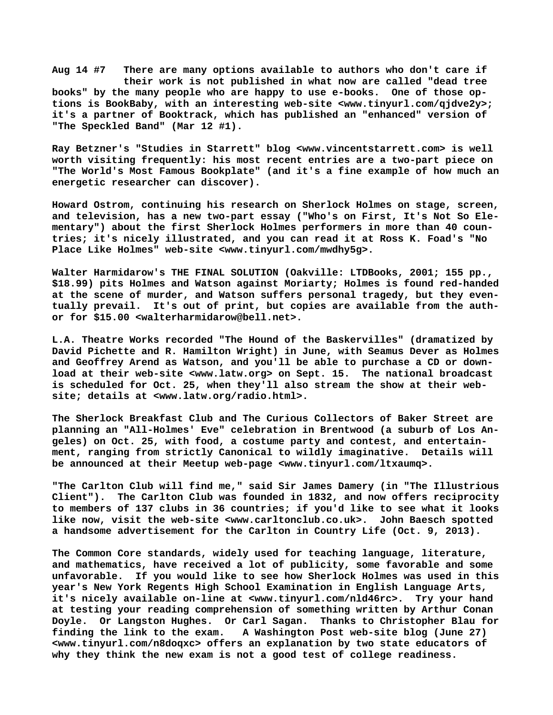**Aug 14 #7 There are many options available to authors who don't care if their work is not published in what now are called "dead tree books" by the many people who are happy to use e-books. One of those options is BookBaby, with an interesting web-site [<www.tinyurl.com/qjdve2y>;](http://www.tinyurl.com/qjdve2y) it's a partner of Booktrack, which has published an "enhanced" version of "The Speckled Band" (Mar 12 #1).**

**Ray Betzner's "Studies in Starrett" blog <[www.vincentstarrett.com> i](http://www.vincentstarrett.com)s well worth visiting frequently: his most recent entries are a two-part piece on "The World's Most Famous Bookplate" (and it's a fine example of how much an energetic researcher can discover).**

**Howard Ostrom, continuing his research on Sherlock Holmes on stage, screen, and television, has a new two-part essay ("Who's on First, It's Not So Elementary") about the first Sherlock Holmes performers in more than 40 countries; it's nicely illustrated, and you can read it at Ross K. Foad's "No Place Like Holmes" web-site [<www.tinyurl.com/mwdhy5g>.](http://www.tinyurl.com/mwdhy5g)**

**Walter Harmidarow's THE FINAL SOLUTION (Oakville: LTDBooks, 2001; 155 pp., \$18.99) pits Holmes and Watson against Moriarty; Holmes is found red-handed at the scene of murder, and Watson suffers personal tragedy, but they eventually prevail. It's out of print, but copies are available from the author for \$15.00 <[walterharmidarow@bell.net>.](mailto:walterharmidarow@bell.net)**

**L.A. Theatre Works recorded "The Hound of the Baskervilles" (dramatized by David Pichette and R. Hamilton Wright) in June, with Seamus Dever as Holmes and Geoffrey Arend as Watson, and you'll be able to purchase a CD or download at their web-site [<www.latw.org> o](http://www.latw.org)n Sept. 15. The national broadcast is scheduled for Oct. 25, when they'll also stream the show at their website; details at [<www.latw.org/radio.html>.](http://www.latw.org/radio.html)**

**The Sherlock Breakfast Club and The Curious Collectors of Baker Street are planning an "All-Holmes' Eve" celebration in Brentwood (a suburb of Los Angeles) on Oct. 25, with food, a costume party and contest, and entertainment, ranging from strictly Canonical to wildly imaginative. Details will be announced at their Meetup web-page [<www.tinyurl.com/ltxaumq>.](http://www.tinyurl.com/ltxaumq)**

**"The Carlton Club will find me," said Sir James Damery (in "The Illustrious Client"). The Carlton Club was founded in 1832, and now offers reciprocity to members of 137 clubs in 36 countries; if you'd like to see what it looks like now, visit the web-site <[www.carltonclub.co.uk>.](http://www.carltonclub.co.uk) John Baesch spotted a handsome advertisement for the Carlton in Country Life (Oct. 9, 2013).**

**The Common Core standards, widely used for teaching language, literature, and mathematics, have received a lot of publicity, some favorable and some unfavorable. If you would like to see how Sherlock Holmes was used in this year's New York Regents High School Examination in English Language Arts, it's nicely available on-line at [<www.tinyurl.com/nld46rc>.](http://www.tinyurl.com/nld46rc) Try your hand at testing your reading comprehension of something written by Arthur Conan Doyle. Or Langston Hughes. Or Carl Sagan. Thanks to Christopher Blau for finding the link to the exam. A Washington Post web-site blog (June 27) [<www.tinyurl.com/n8doqxc> o](http://www.tinyurl.com/n8doqxc)ffers an explanation by two state educators of why they think the new exam is not a good test of college readiness.**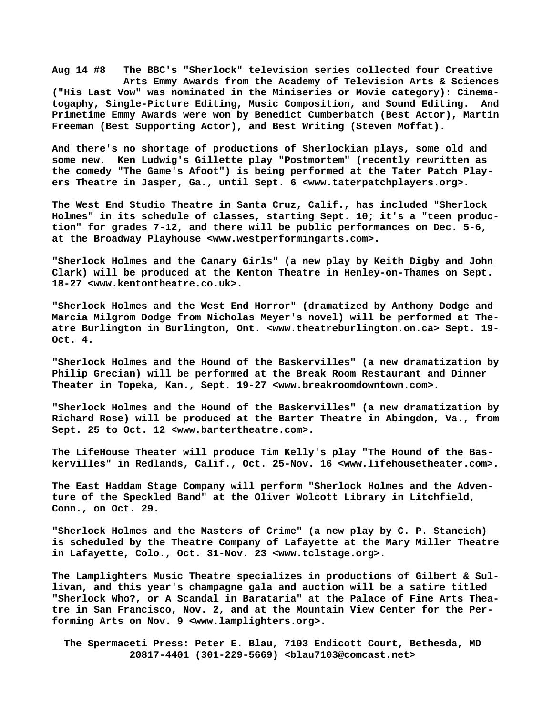**Aug 14 #8 The BBC's "Sherlock" television series collected four Creative Arts Emmy Awards from the Academy of Television Arts & Sciences ("His Last Vow" was nominated in the Miniseries or Movie category): Cinematogaphy, Single-Picture Editing, Music Composition, and Sound Editing. And Primetime Emmy Awards were won by Benedict Cumberbatch (Best Actor), Martin Freeman (Best Supporting Actor), and Best Writing (Steven Moffat).**

**And there's no shortage of productions of Sherlockian plays, some old and some new. Ken Ludwig's Gillette play "Postmortem" (recently rewritten as the comedy "The Game's Afoot") is being performed at the Tater Patch Players Theatre in Jasper, Ga., until Sept. 6 [<www.taterpatchplayers.org>.](http://www.taterpatchplayers.org)**

**The West End Studio Theatre in Santa Cruz, Calif., has included "Sherlock Holmes" in its schedule of classes, starting Sept. 10; it's a "teen production" for grades 7-12, and there will be public performances on Dec. 5-6, at the Broadway Playhouse <[www.westperformingarts.com>.](http://www.westperformingarts.com)**

**"Sherlock Holmes and the Canary Girls" (a new play by Keith Digby and John Clark) will be produced at the Kenton Theatre in Henley-on-Thames on Sept. 18-27 <[www.kentontheatre.co.uk>.](http://www.kentontheatre.co.uk)**

**"Sherlock Holmes and the West End Horror" (dramatized by Anthony Dodge and Marcia Milgrom Dodge from Nicholas Meyer's novel) will be performed at Theatre Burlington in Burlington, Ont. <[www.theatreburlington.on.ca> S](http://www.theatreburlington.on.ca)ept. 19- Oct. 4.**

**"Sherlock Holmes and the Hound of the Baskervilles" (a new dramatization by Philip Grecian) will be performed at the Break Room Restaurant and Dinner Theater in Topeka, Kan., Sept. 19-27 [<www.breakroomdowntown.com>.](http://www.breakroomdowntown.com)**

**"Sherlock Holmes and the Hound of the Baskervilles" (a new dramatization by Richard Rose) will be produced at the Barter Theatre in Abingdon, Va., from Sept. 25 to Oct. 12 [<www.bartertheatre.com>.](http://www.bartertheatre.com)**

**The LifeHouse Theater will produce Tim Kelly's play "The Hound of the Baskervilles" in Redlands, Calif., Oct. 25-Nov. 16 [<www.lifehousetheater.com>.](http://www.lifehousetheater.com)**

**The East Haddam Stage Company will perform "Sherlock Holmes and the Adventure of the Speckled Band" at the Oliver Wolcott Library in Litchfield, Conn., on Oct. 29.**

**"Sherlock Holmes and the Masters of Crime" (a new play by C. P. Stancich) is scheduled by the Theatre Company of Lafayette at the Mary Miller Theatre in Lafayette, Colo., Oct. 31-Nov. 23 [<www.tclstage.org>.](http://www.tclstage.org)**

**The Lamplighters Music Theatre specializes in productions of Gilbert & Sullivan, and this year's champagne gala and auction will be a satire titled "Sherlock Who?, or A Scandal in Barataria" at the Palace of Fine Arts Theatre in San Francisco, Nov. 2, and at the Mountain View Center for the Performing Arts on Nov. 9 [<www.lamplighters.org>.](http://www.lamplighters.org)**

 **The Spermaceti Press: Peter E. Blau, 7103 Endicott Court, Bethesda, MD 20817-4401 (301-229-5669) <[blau7103@comcast.net>](mailto:blau7103@comcast.net)**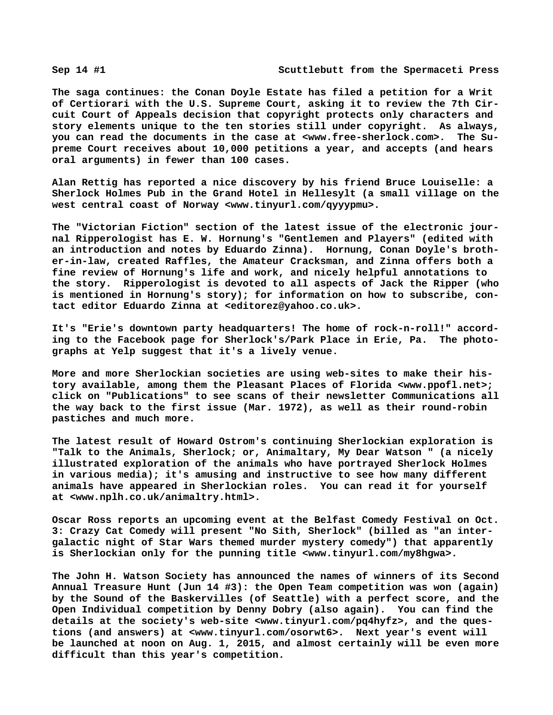**The saga continues: the Conan Doyle Estate has filed a petition for a Writ of Certiorari with the U.S. Supreme Court, asking it to review the 7th Circuit Court of Appeals decision that copyright protects only characters and story elements unique to the ten stories still under copyright. As always, you can read the documents in the case at [<www.free-sherlock.com>.](http://www.free-sherlock.com) The Supreme Court receives about 10,000 petitions a year, and accepts (and hears oral arguments) in fewer than 100 cases.**

**Alan Rettig has reported a nice discovery by his friend Bruce Louiselle: a Sherlock Holmes Pub in the Grand Hotel in Hellesylt (a small village on the west central coast of Norway <[www.tinyurl.com/qyyypmu>.](http://www.tinyurl.com/qyyypmu)**

**The "Victorian Fiction" section of the latest issue of the electronic journal Ripperologist has E. W. Hornung's "Gentlemen and Players" (edited with an introduction and notes by Eduardo Zinna). Hornung, Conan Doyle's brother-in-law, created Raffles, the Amateur Cracksman, and Zinna offers both a fine review of Hornung's life and work, and nicely helpful annotations to the story. Ripperologist is devoted to all aspects of Jack the Ripper (who is mentioned in Hornung's story); for information on how to subscribe, contact editor Eduardo Zinna at <[editorez@yahoo.co.uk>.](mailto:editorez@yahoo.co.uk)**

**It's "Erie's downtown party headquarters! The home of rock-n-roll!" according to the Facebook page for Sherlock's/Park Place in Erie, Pa. The photographs at Yelp suggest that it's a lively venue.**

**More and more Sherlockian societies are using web-sites to make their history available, among them the Pleasant Places of Florida [<www.ppofl.net>;](http://www.ppofl.net) click on "Publications" to see scans of their newsletter Communications all the way back to the first issue (Mar. 1972), as well as their round-robin pastiches and much more.**

**The latest result of Howard Ostrom's continuing Sherlockian exploration is "Talk to the Animals, Sherlock; or, Animaltary, My Dear Watson " (a nicely illustrated exploration of the animals who have portrayed Sherlock Holmes in various media); it's amusing and instructive to see how many different animals have appeared in Sherlockian roles. You can read it for yourself at [<www.nplh.co.uk/animaltry.html>.](http://www.nplh.co.uk/animaltry.html)**

**Oscar Ross reports an upcoming event at the Belfast Comedy Festival on Oct. 3: Crazy Cat Comedy will present "No Sith, Sherlock" (billed as "an intergalactic night of Star Wars themed murder mystery comedy") that apparently is Sherlockian only for the punning title [<www.tinyurl.com/my8hgwa>.](http://www.tinyurl.com/my8hgwa)**

**The John H. Watson Society has announced the names of winners of its Second Annual Treasure Hunt (Jun 14 #3): the Open Team competition was won (again) by the Sound of the Baskervilles (of Seattle) with a perfect score, and the Open Individual competition by Denny Dobry (also again). You can find the details at the society's web-site <[www.tinyurl.com/pq4hyfz>, a](http://www.tinyurl.com/pq4hyfz)nd the questions (and answers) at [<www.tinyurl.com/osorwt6>.](http://www.tinyurl.com/osorwt6) Next year's event will be launched at noon on Aug. 1, 2015, and almost certainly will be even more difficult than this year's competition.**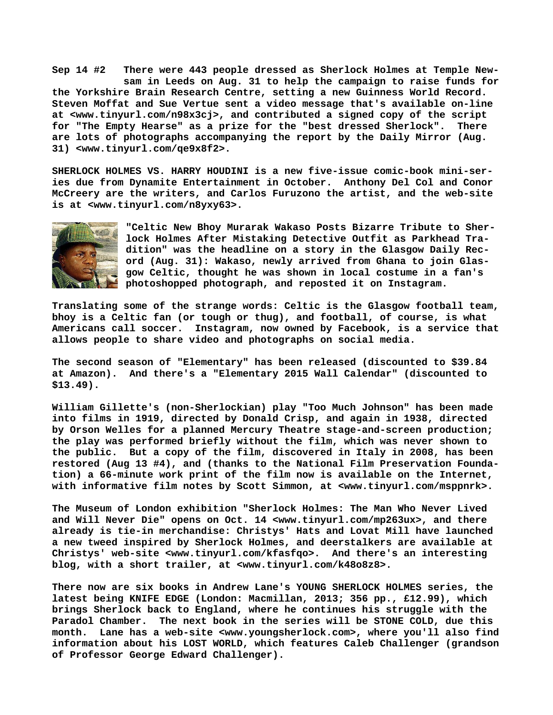**Sep 14 #2 There were 443 people dressed as Sherlock Holmes at Temple New sam in Leeds on Aug. 31 to help the campaign to raise funds for the Yorkshire Brain Research Centre, setting a new Guinness World Record. Steven Moffat and Sue Vertue sent a video message that's available on-line at [<www.tinyurl.com/n98x3cj>, a](http://www.tinyurl.com/n98x3cj)nd contributed a signed copy of the script for "The Empty Hearse" as a prize for the "best dressed Sherlock". There are lots of photographs accompanying the report by the Daily Mirror (Aug. 31) <[www.tinyurl.com/qe9x8f2>.](http://www.tinyurl.com/qe9x8f2)**

**SHERLOCK HOLMES VS. HARRY HOUDINI is a new five-issue comic-book mini-series due from Dynamite Entertainment in October. Anthony Del Col and Conor McCreery are the writers, and Carlos Furuzono the artist, and the web-site is at <[www.tinyurl.com/n8yxy63>.](http://www.tinyurl.com/n8yxy63)**



**"Celtic New Bhoy Murarak Wakaso Posts Bizarre Tribute to Sherlock Holmes After Mistaking Detective Outfit as Parkhead Tradition" was the headline on a story in the Glasgow Daily Record (Aug. 31): Wakaso, newly arrived from Ghana to join Glasgow Celtic, thought he was shown in local costume in a fan's photoshopped photograph, and reposted it on Instagram.**

**Translating some of the strange words: Celtic is the Glasgow football team, bhoy is a Celtic fan (or tough or thug), and football, of course, is what Americans call soccer. Instagram, now owned by Facebook, is a service that allows people to share video and photographs on social media.**

**The second season of "Elementary" has been released (discounted to \$39.84 at Amazon). And there's a "Elementary 2015 Wall Calendar" (discounted to \$13.49).**

**William Gillette's (non-Sherlockian) play "Too Much Johnson" has been made into films in 1919, directed by Donald Crisp, and again in 1938, directed by Orson Welles for a planned Mercury Theatre stage-and-screen production; the play was performed briefly without the film, which was never shown to the public. But a copy of the film, discovered in Italy in 2008, has been restored (Aug 13 #4), and (thanks to the National Film Preservation Foundation) a 66-minute work print of the film now is available on the Internet, with informative film notes by Scott Simmon, at [<www.tinyurl.com/msppnrk>.](http://www.tinyurl.com/msppnrk)**

**The Museum of London exhibition "Sherlock Holmes: The Man Who Never Lived and Will Never Die" opens on Oct. 14 [<www.tinyurl.com/mp263ux>,](http://www.tinyurl.com/mp263ux) and there already is tie-in merchandise: Christys' Hats and Lovat Mill have launched a new tweed inspired by Sherlock Holmes, and deerstalkers are available at Christys' web-site <[www.tinyurl.com/kfasfqo>.](http://www.tinyurl.com/kfasfqo) And there's an interesting blog, with a short trailer, at <[www.tinyurl.com/k48o8z8>.](http://www.tinyurl.com/k48o8z8)**

**There now are six books in Andrew Lane's YOUNG SHERLOCK HOLMES series, the latest being KNIFE EDGE (London: Macmillan, 2013; 356 pp., £12.99), which brings Sherlock back to England, where he continues his struggle with the Paradol Chamber. The next book in the series will be STONE COLD, due this month. Lane has a web-site [<www.youngsherlock.com>, w](http://www.youngsherlock.com)here you'll also find information about his LOST WORLD, which features Caleb Challenger (grandson of Professor George Edward Challenger).**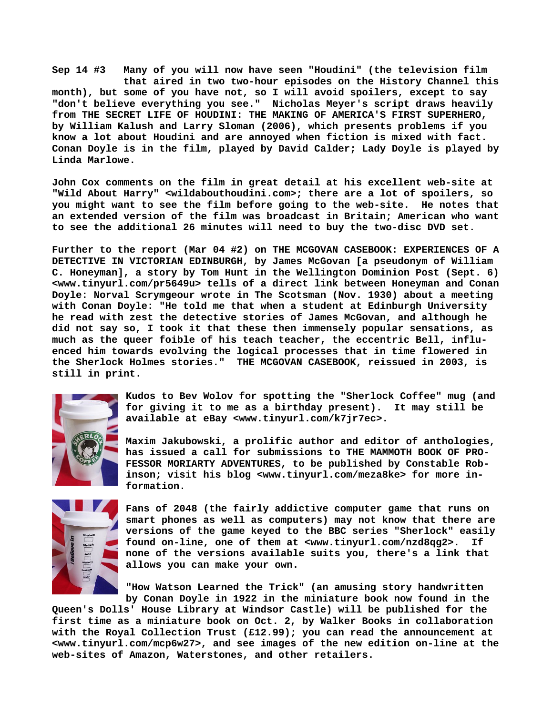**Sep 14 #3 Many of you will now have seen "Houdini" (the television film that aired in two two-hour episodes on the History Channel this month), but some of you have not, so I will avoid spoilers, except to say "don't believe everything you see." Nicholas Meyer's script draws heavily from THE SECRET LIFE OF HOUDINI: THE MAKING OF AMERICA'S FIRST SUPERHERO, by William Kalush and Larry Sloman (2006), which presents problems if you know a lot about Houdini and are annoyed when fiction is mixed with fact. Conan Doyle is in the film, played by David Calder; Lady Doyle is played by Linda Marlowe.**

**John Cox comments on the film in great detail at his excellent web-site at "Wild About Harry" <wildabouthoudini.com>; there are a lot of spoilers, so you might want to see the film before going to the web-site. He notes that an extended version of the film was broadcast in Britain; American who want to see the additional 26 minutes will need to buy the two-disc DVD set.**

**Further to the report (Mar 04 #2) on THE MCGOVAN CASEBOOK: EXPERIENCES OF A DETECTIVE IN VICTORIAN EDINBURGH, by James McGovan [a pseudonym of William C. Honeyman], a story by Tom Hunt in the Wellington Dominion Post (Sept. 6) [<www.tinyurl.com/pr5649u> t](http://www.tinyurl.com/pr5649u)ells of a direct link between Honeyman and Conan Doyle: Norval Scrymgeour wrote in The Scotsman (Nov. 1930) about a meeting with Conan Doyle: "He told me that when a student at Edinburgh University he read with zest the detective stories of James McGovan, and although he did not say so, I took it that these then immensely popular sensations, as much as the queer foible of his teach teacher, the eccentric Bell, influenced him towards evolving the logical processes that in time flowered in the Sherlock Holmes stories." THE MCGOVAN CASEBOOK, reissued in 2003, is still in print.**



**Kudos to Bev Wolov for spotting the "Sherlock Coffee" mug (and for giving it to me as a birthday present). It may still be available at eBay <[www.tinyurl.com/k7jr7ec>.](http://www.tinyurl.com/k7jr7ec)**

**Maxim Jakubowski, a prolific author and editor of anthologies, has issued a call for submissions to THE MAMMOTH BOOK OF PRO-FESSOR MORIARTY ADVENTURES, to be published by Constable Robinson; visit his blog [<www.tinyurl.com/meza8ke> f](http://www.tinyurl.com/meza8ke)or more information.**



**Fans of 2048 (the fairly addictive computer game that runs on smart phones as well as computers) may not know that there are versions of the game keyed to the BBC series "Sherlock" easily found on-line, one of them at <[www.tinyurl.com/nzd8qg2>.](http://www.tinyurl.com/nzd8qg2) If none of the versions available suits you, there's a link that allows you can make your own.**

**"How Watson Learned the Trick" (an amusing story handwritten by Conan Doyle in 1922 in the miniature book now found in the**

**Queen's Dolls' House Library at Windsor Castle) will be published for the first time as a miniature book on Oct. 2, by Walker Books in collaboration with the Royal Collection Trust (£12.99); you can read the announcement at [<www.tinyurl.com/mcp6w27>, a](http://www.tinyurl.com/mcp6w27)nd see images of the new edition on-line at the web-sites of Amazon, Waterstones, and other retailers.**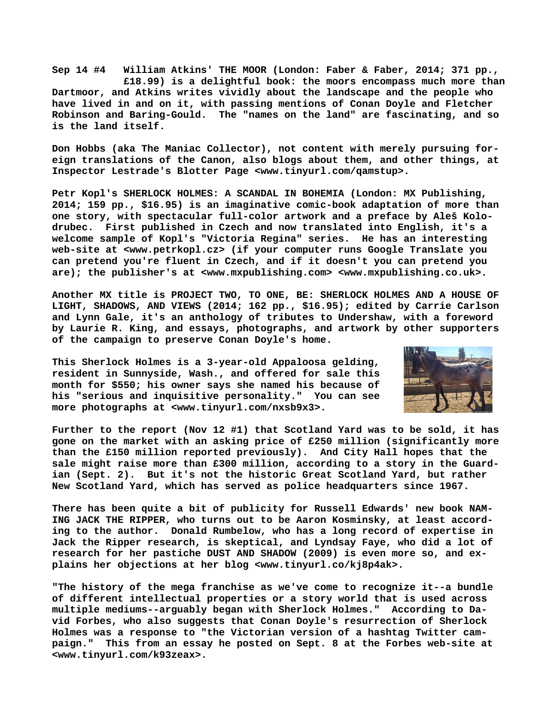**Sep 14 #4 William Atkins' THE MOOR (London: Faber & Faber, 2014; 371 pp., £18.99) is a delightful book: the moors encompass much more than Dartmoor, and Atkins writes vividly about the landscape and the people who have lived in and on it, with passing mentions of Conan Doyle and Fletcher Robinson and Baring-Gould. The "names on the land" are fascinating, and so is the land itself.**

**Don Hobbs (aka The Maniac Collector), not content with merely pursuing foreign translations of the Canon, also blogs about them, and other things, at Inspector Lestrade's Blotter Page <[www.tinyurl.com/qamstup>.](http://www.tinyurl.com/qamstup)**

**Petr Kopl's SHERLOCK HOLMES: A SCANDAL IN BOHEMIA (London: MX Publishing, 2014; 159 pp., \$16.95) is an imaginative comic-book adaptation of more than one story, with spectacular full-color artwork and a preface by Aleš Kolodrubec. First published in Czech and now translated into English, it's a welcome sample of Kopl's "Victoria Regina" series. He has an interesting web-site at [<www.petrkopl.cz> \(](http://www.petrkopl.cz)if your computer runs Google Translate you can pretend you're fluent in Czech, and if it doesn't you can pretend you are); the publisher's at [<www.mxpublishing.com> <](http://www.mxpublishing.com)[www.mxpublishing.co.uk>.](http://www.mxpublishing.co.uk)**

**Another MX title is PROJECT TWO, TO ONE, BE: SHERLOCK HOLMES AND A HOUSE OF LIGHT, SHADOWS, AND VIEWS (2014; 162 pp., \$16.95); edited by Carrie Carlson and Lynn Gale, it's an anthology of tributes to Undershaw, with a foreword by Laurie R. King, and essays, photographs, and artwork by other supporters of the campaign to preserve Conan Doyle's home.**

**This Sherlock Holmes is a 3-year-old Appaloosa gelding, resident in Sunnyside, Wash., and offered for sale this month for \$550; his owner says she named his because of his "serious and inquisitive personality." You can see more photographs at [<www.tinyurl.com/nxsb9x3>.](http://www.tinyurl.com/nxsb9x3)**



**Further to the report (Nov 12 #1) that Scotland Yard was to be sold, it has gone on the market with an asking price of £250 million (significantly more than the £150 million reported previously). And City Hall hopes that the sale might raise more than £300 million, according to a story in the Guardian (Sept. 2). But it's not the historic Great Scotland Yard, but rather New Scotland Yard, which has served as police headquarters since 1967.**

**There has been quite a bit of publicity for Russell Edwards' new book NAM-ING JACK THE RIPPER, who turns out to be Aaron Kosminsky, at least according to the author. Donald Rumbelow, who has a long record of expertise in Jack the Ripper research, is skeptical, and Lyndsay Faye, who did a lot of research for her pastiche DUST AND SHADOW (2009) is even more so, and explains her objections at her blog <[www.tinyurl.co/kj8p4ak>.](http://www.tinyurl.co/kj8p4ak)**

**"The history of the mega franchise as we've come to recognize it--a bundle of different intellectual properties or a story world that is used across multiple mediums--arguably began with Sherlock Holmes." According to David Forbes, who also suggests that Conan Doyle's resurrection of Sherlock Holmes was a response to "the Victorian version of a hashtag Twitter campaign." This from an essay he posted on Sept. 8 at the Forbes web-site at [<www.tinyurl.com/k93zeax>.](http://www.tinyurl.com/k93zeax)**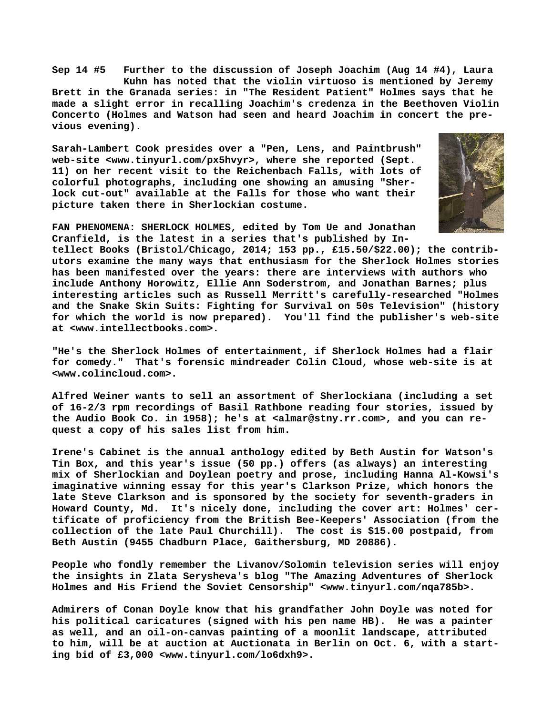**Sep 14 #5 Further to the discussion of Joseph Joachim (Aug 14 #4), Laura Kuhn has noted that the violin virtuoso is mentioned by Jeremy Brett in the Granada series: in "The Resident Patient" Holmes says that he made a slight error in recalling Joachim's credenza in the Beethoven Violin Concerto (Holmes and Watson had seen and heard Joachim in concert the previous evening).**

**Sarah-Lambert Cook presides over a "Pen, Lens, and Paintbrush" web-site <[www.tinyurl.com/px5hvyr>, w](http://www.tinyurl.com/px5hvyr)here she reported (Sept. 11) on her recent visit to the Reichenbach Falls, with lots of colorful photographs, including one showing an amusing "Sherlock cut-out" available at the Falls for those who want their picture taken there in Sherlockian costume.**



**FAN PHENOMENA: SHERLOCK HOLMES, edited by Tom Ue and Jonathan Cranfield, is the latest in a series that's published by In-**

**tellect Books (Bristol/Chicago, 2014; 153 pp., £15.50/\$22.00); the contributors examine the many ways that enthusiasm for the Sherlock Holmes stories has been manifested over the years: there are interviews with authors who include Anthony Horowitz, Ellie Ann Soderstrom, and Jonathan Barnes; plus interesting articles such as Russell Merritt's carefully-researched "Holmes and the Snake Skin Suits: Fighting for Survival on 50s Television" (history for which the world is now prepared). You'll find the publisher's web-site at [<www.intellectbooks.com>.](http://www.intellectbooks.com)**

**"He's the Sherlock Holmes of entertainment, if Sherlock Holmes had a flair for comedy." That's forensic mindreader Colin Cloud, whose web-site is at [<www.colincloud.com>.](http://www.colincloud.com)**

**Alfred Weiner wants to sell an assortment of Sherlockiana (including a set of 16-2/3 rpm recordings of Basil Rathbone reading four stories, issued by the Audio Book Co. in 1958); he's at [<almar@stny.rr.com>, a](mailto:almar@stny.rr.com)nd you can request a copy of his sales list from him.**

**Irene's Cabinet is the annual anthology edited by Beth Austin for Watson's Tin Box, and this year's issue (50 pp.) offers (as always) an interesting mix of Sherlockian and Doylean poetry and prose, including Hanna Al-Kowsi's imaginative winning essay for this year's Clarkson Prize, which honors the late Steve Clarkson and is sponsored by the society for seventh-graders in Howard County, Md. It's nicely done, including the cover art: Holmes' certificate of proficiency from the British Bee-Keepers' Association (from the collection of the late Paul Churchill). The cost is \$15.00 postpaid, from Beth Austin (9455 Chadburn Place, Gaithersburg, MD 20886).**

**People who fondly remember the Livanov/Solomin television series will enjoy the insights in Zlata Serysheva's blog "The Amazing Adventures of Sherlock Holmes and His Friend the Soviet Censorship" [<www.tinyurl.com/nqa785b>.](http://www.tinyurl.com/nqa785b)**

**Admirers of Conan Doyle know that his grandfather John Doyle was noted for his political caricatures (signed with his pen name HB). He was a painter as well, and an oil-on-canvas painting of a moonlit landscape, attributed to him, will be at auction at Auctionata in Berlin on Oct. 6, with a starting bid of £3,000 [<www.tinyurl.com/lo6dxh9>.](http://www.tinyurl.com/lo6dxh9)**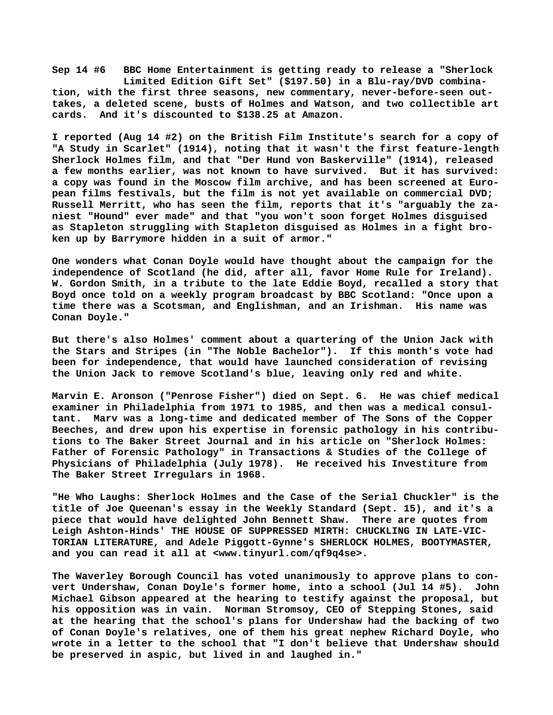**Sep 14 #6 BBC Home Entertainment is getting ready to release a "Sherlock Limited Edition Gift Set" (\$197.50) in a Blu-ray/DVD combination, with the first three seasons, new commentary, never-before-seen outtakes, a deleted scene, busts of Holmes and Watson, and two collectible art cards. And it's discounted to \$138.25 at Amazon.**

**I reported (Aug 14 #2) on the British Film Institute's search for a copy of "A Study in Scarlet" (1914), noting that it wasn't the first feature-length Sherlock Holmes film, and that "Der Hund von Baskerville" (1914), released a few months earlier, was not known to have survived. But it has survived: a copy was found in the Moscow film archive, and has been screened at European films festivals, but the film is not yet available on commercial DVD; Russell Merritt, who has seen the film, reports that it's "arguably the zaniest "Hound" ever made" and that "you won't soon forget Holmes disguised as Stapleton struggling with Stapleton disguised as Holmes in a fight broken up by Barrymore hidden in a suit of armor."**

**One wonders what Conan Doyle would have thought about the campaign for the independence of Scotland (he did, after all, favor Home Rule for Ireland). W. Gordon Smith, in a tribute to the late Eddie Boyd, recalled a story that Boyd once told on a weekly program broadcast by BBC Scotland: "Once upon a time there was a Scotsman, and Englishman, and an Irishman. His name was Conan Doyle."**

**But there's also Holmes' comment about a quartering of the Union Jack with the Stars and Stripes (in "The Noble Bachelor"). If this month's vote had been for independence, that would have launched consideration of revising the Union Jack to remove Scotland's blue, leaving only red and white.**

**Marvin E. Aronson ("Penrose Fisher") died on Sept. 6. He was chief medical examiner in Philadelphia from 1971 to 1985, and then was a medical consultant. Marv was a long-time and dedicated member of The Sons of the Copper Beeches, and drew upon his expertise in forensic pathology in his contributions to The Baker Street Journal and in his article on "Sherlock Holmes: Father of Forensic Pathology" in Transactions & Studies of the College of Physicians of Philadelphia (July 1978). He received his Investiture from The Baker Street Irregulars in 1968.**

**"He Who Laughs: Sherlock Holmes and the Case of the Serial Chuckler" is the title of Joe Queenan's essay in the Weekly Standard (Sept. 15), and it's a piece that would have delighted John Bennett Shaw. There are quotes from Leigh Ashton-Hinds' THE HOUSE OF SUPPRESSED MIRTH: CHUCKLING IN LATE-VIC-TORIAN LITERATURE, and Adele Piggott-Gynne's SHERLOCK HOLMES, BOOTYMASTER, and you can read it all at [<www.tinyurl.com/qf9q4se>.](http://www.tinyurl.com/qf9q4se)**

**The Waverley Borough Council has voted unanimously to approve plans to convert Undershaw, Conan Doyle's former home, into a school (Jul 14 #5). John Michael Gibson appeared at the hearing to testify against the proposal, but his opposition was in vain. Norman Stromsoy, CEO of Stepping Stones, said at the hearing that the school's plans for Undershaw had the backing of two of Conan Doyle's relatives, one of them his great nephew Richard Doyle, who wrote in a letter to the school that "I don't believe that Undershaw should be preserved in aspic, but lived in and laughed in."**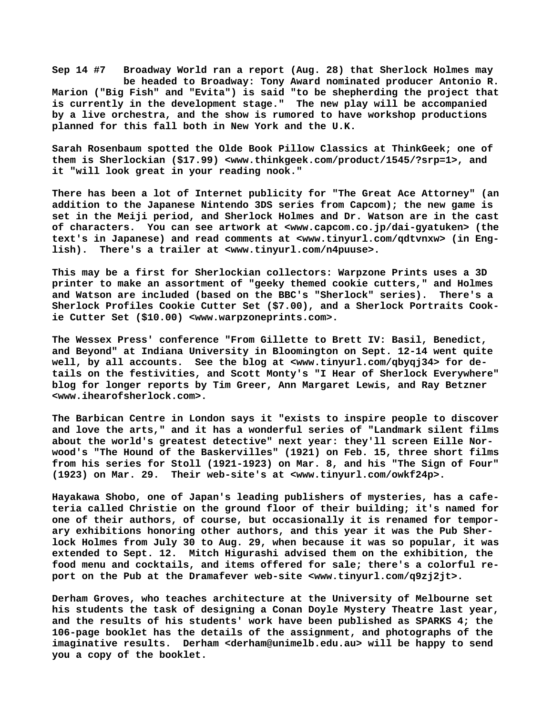**Sep 14 #7 Broadway World ran a report (Aug. 28) that Sherlock Holmes may be headed to Broadway: Tony Award nominated producer Antonio R. Marion ("Big Fish" and "Evita") is said "to be shepherding the project that is currently in the development stage." The new play will be accompanied by a live orchestra, and the show is rumored to have workshop productions planned for this fall both in New York and the U.K.**

**Sarah Rosenbaum spotted the Olde Book Pillow Classics at ThinkGeek; one of them is Sherlockian (\$17.99) <[www.thinkgeek.com/product/1545/?srp=1>, a](http://www.thinkgeek.com/product/1545/?srp=1)nd it "will look great in your reading nook."**

**There has been a lot of Internet publicity for "The Great Ace Attorney" (an addition to the Japanese Nintendo 3DS series from Capcom); the new game is set in the Meiji period, and Sherlock Holmes and Dr. Watson are in the cast of characters. You can see artwork at <[www.capcom.co.jp/dai-gyatuken> \(](http://www.capcom.co.jp/dai-gyatuken)the text's in Japanese) and read comments at <[www.tinyurl.com/qdtvnxw> \(](http://www.tinyurl.com/qdtvnxw)in English). There's a trailer at <[www.tinyurl.com/n4puuse>.](http://www.tinyurl.com/n4puuse)**

**This may be a first for Sherlockian collectors: Warpzone Prints uses a 3D printer to make an assortment of "geeky themed cookie cutters," and Holmes and Watson are included (based on the BBC's "Sherlock" series). There's a Sherlock Profiles Cookie Cutter Set (\$7.00), and a Sherlock Portraits Cookie Cutter Set (\$10.00) [<www.warpzoneprints.com>.](http://www.warpzoneprints.com)**

**The Wessex Press' conference "From Gillette to Brett IV: Basil, Benedict, and Beyond" at Indiana University in Bloomington on Sept. 12-14 went quite well, by all accounts. See the blog at [<www.tinyurl.com/qbyqj34> f](http://www.tinyurl.com/qbyqj34)or details on the festivities, and Scott Monty's "I Hear of Sherlock Everywhere" blog for longer reports by Tim Greer, Ann Margaret Lewis, and Ray Betzner [<www.ihearofsherlock.com>.](http://www.ihearofsherlock.com)**

**The Barbican Centre in London says it "exists to inspire people to discover and love the arts," and it has a wonderful series of "Landmark silent films about the world's greatest detective" next year: they'll screen Eille Norwood's "The Hound of the Baskervilles" (1921) on Feb. 15, three short films from his series for Stoll (1921-1923) on Mar. 8, and his "The Sign of Four" (1923) on Mar. 29. Their web-site's at [<www.tinyurl.com/owkf24p>.](http://www.tinyurl.com/owkf24p)**

**Hayakawa Shobo, one of Japan's leading publishers of mysteries, has a cafeteria called Christie on the ground floor of their building; it's named for one of their authors, of course, but occasionally it is renamed for temporary exhibitions honoring other authors, and this year it was the Pub Sherlock Holmes from July 30 to Aug. 29, when because it was so popular, it was extended to Sept. 12. Mitch Higurashi advised them on the exhibition, the food menu and cocktails, and items offered for sale; there's a colorful report on the Pub at the Dramafever web-site [<www.tinyurl.com/q9zj2jt>.](http://www.tinyurl.com/q9zj2jt)**

**Derham Groves, who teaches architecture at the University of Melbourne set his students the task of designing a Conan Doyle Mystery Theatre last year, and the results of his students' work have been published as SPARKS 4; the 106-page booklet has the details of the assignment, and photographs of the imaginative results. Derham <[derham@unimelb.edu.au> w](mailto:derham@unimelb.edu.au)ill be happy to send you a copy of the booklet.**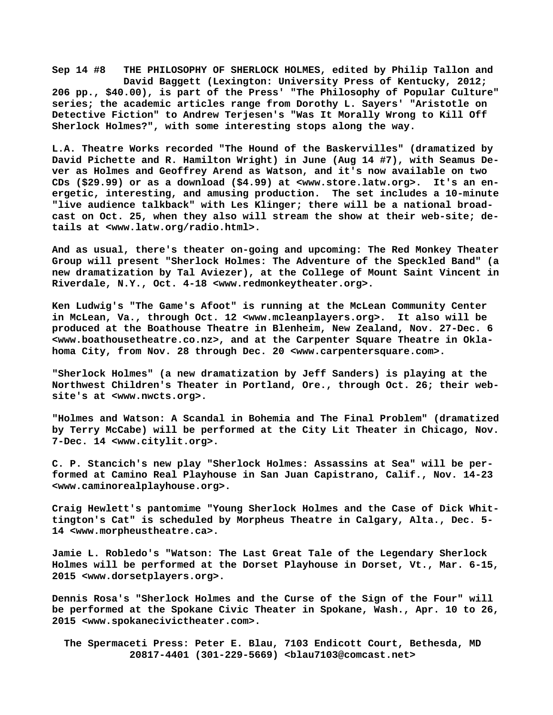**Sep 14 #8 THE PHILOSOPHY OF SHERLOCK HOLMES, edited by Philip Tallon and David Baggett (Lexington: University Press of Kentucky, 2012; 206 pp., \$40.00), is part of the Press' "The Philosophy of Popular Culture" series; the academic articles range from Dorothy L. Sayers' "Aristotle on Detective Fiction" to Andrew Terjesen's "Was It Morally Wrong to Kill Off Sherlock Holmes?", with some interesting stops along the way.**

**L.A. Theatre Works recorded "The Hound of the Baskervilles" (dramatized by David Pichette and R. Hamilton Wright) in June (Aug 14 #7), with Seamus Dever as Holmes and Geoffrey Arend as Watson, and it's now available on two CDs (\$29.99) or as a download (\$4.99) at <[www.store.latw.org>.](http://www.store.latw.org) It's an energetic, interesting, and amusing production. The set includes a 10-minute "live audience talkback" with Les Klinger; there will be a national broadcast on Oct. 25, when they also will stream the show at their web-site; details at <[www.latw.org/radio.html>.](http://www.latw.org/radio.html)**

**And as usual, there's theater on-going and upcoming: The Red Monkey Theater Group will present "Sherlock Holmes: The Adventure of the Speckled Band" (a new dramatization by Tal Aviezer), at the College of Mount Saint Vincent in Riverdale, N.Y., Oct. 4-18 [<www.redmonkeytheater.org>.](http://www.redmonkeytheater.org)**

**Ken Ludwig's "The Game's Afoot" is running at the McLean Community Center in McLean, Va., through Oct. 12 [<www.mcleanplayers.org>.](http://www.mcleanplayers.org) It also will be produced at the Boathouse Theatre in Blenheim, New Zealand, Nov. 27-Dec. 6 [<www.boathousetheatre.co.nz>, a](http://www.boathousetheatre.co.nz)nd at the Carpenter Square Theatre in Oklahoma City, from Nov. 28 through Dec. 20 [<www.carpentersquare.com>.](http://www.carpentersquare.com)**

**"Sherlock Holmes" (a new dramatization by Jeff Sanders) is playing at the Northwest Children's Theater in Portland, Ore., through Oct. 26; their website's at [<www.nwcts.org>.](http://www.nwcts.org)**

**"Holmes and Watson: A Scandal in Bohemia and The Final Problem" (dramatized by Terry McCabe) will be performed at the City Lit Theater in Chicago, Nov. 7-Dec. 14 [<www.citylit.org>.](http://www.citylit.org)**

**C. P. Stancich's new play "Sherlock Holmes: Assassins at Sea" will be performed at Camino Real Playhouse in San Juan Capistrano, Calif., Nov. 14-23 [<www.caminorealplayhouse.org>.](http://www.caminorealplayhouse.org)**

**Craig Hewlett's pantomime "Young Sherlock Holmes and the Case of Dick Whittington's Cat" is scheduled by Morpheus Theatre in Calgary, Alta., Dec. 5- 14 [<www.morpheustheatre.ca>.](http://www.morpheustheatre.ca)**

**Jamie L. Robledo's "Watson: The Last Great Tale of the Legendary Sherlock Holmes will be performed at the Dorset Playhouse in Dorset, Vt., Mar. 6-15, 2015 [<www.dorsetplayers.org>.](http://www.dorsetplayers.org)**

**Dennis Rosa's "Sherlock Holmes and the Curse of the Sign of the Four" will be performed at the Spokane Civic Theater in Spokane, Wash., Apr. 10 to 26, 2015 [<www.spokanecivictheater.com>.](http://www.spokanecivictheater.com)**

 **The Spermaceti Press: Peter E. Blau, 7103 Endicott Court, Bethesda, MD 20817-4401 (301-229-5669) <[blau7103@comcast.net>](mailto:blau7103@comcast.net)**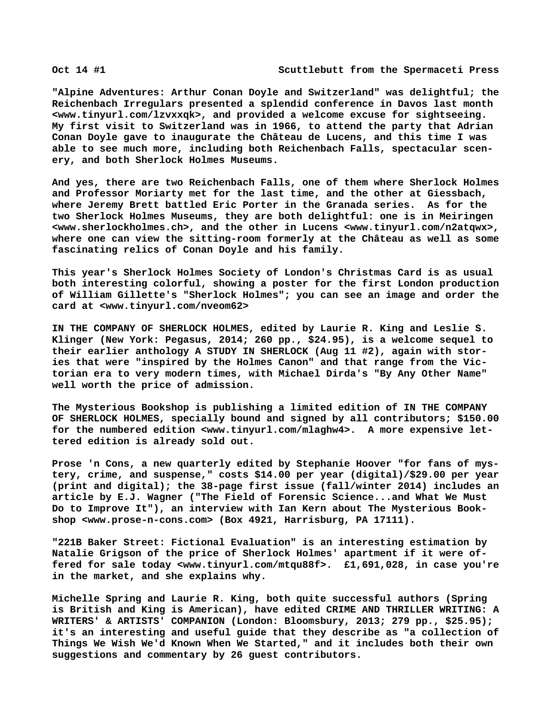**"Alpine Adventures: Arthur Conan Doyle and Switzerland" was delightful; the Reichenbach Irregulars presented a splendid conference in Davos last month [<www.tinyurl.com/lzvxxqk>, a](http://www.tinyurl.com/lzvxxqk)nd provided a welcome excuse for sightseeing. My first visit to Switzerland was in 1966, to attend the party that Adrian Conan Doyle gave to inaugurate the Château de Lucens, and this time I was able to see much more, including both Reichenbach Falls, spectacular scenery, and both Sherlock Holmes Museums.**

**And yes, there are two Reichenbach Falls, one of them where Sherlock Holmes and Professor Moriarty met for the last time, and the other at Giessbach, where Jeremy Brett battled Eric Porter in the Granada series. As for the two Sherlock Holmes Museums, they are both delightful: one is in Meiringen [<www.sherlockholmes.ch>, a](http://www.sherlockholmes.ch)nd the other in Lucens <[www.tinyurl.com/n2atqwx>,](http://www.tinyurl.com/n2atqwx) where one can view the sitting-room formerly at the Château as well as some fascinating relics of Conan Doyle and his family.**

**This year's Sherlock Holmes Society of London's Christmas Card is as usual both interesting colorful, showing a poster for the first London production of William Gillette's "Sherlock Holmes"; you can see an image and order the card at [<www.tinyurl.com/nveom62>](http://www.tinyurl.com/nveom62)**

**IN THE COMPANY OF SHERLOCK HOLMES, edited by Laurie R. King and Leslie S. Klinger (New York: Pegasus, 2014; 260 pp., \$24.95), is a welcome sequel to their earlier anthology A STUDY IN SHERLOCK (Aug 11 #2), again with stories that were "inspired by the Holmes Canon" and that range from the Victorian era to very modern times, with Michael Dirda's "By Any Other Name" well worth the price of admission.**

**The Mysterious Bookshop is publishing a limited edition of IN THE COMPANY OF SHERLOCK HOLMES, specially bound and signed by all contributors; \$150.00** for the numbered edition [<www.tinyurl.com/mlaghw4>.](http://www.tinyurl.com/mlaghw4) A more expensive let**tered edition is already sold out.**

**Prose 'n Cons, a new quarterly edited by Stephanie Hoover "for fans of mystery, crime, and suspense," costs \$14.00 per year (digital)/\$29.00 per year (print and digital); the 38-page first issue (fall/winter 2014) includes an article by E.J. Wagner ("The Field of Forensic Science...and What We Must Do to Improve It"), an interview with Ian Kern about The Mysterious Bookshop [<www.prose-n-cons.com> \(](http://www.prose-n-cons.com)Box 4921, Harrisburg, PA 17111).**

**"221B Baker Street: Fictional Evaluation" is an interesting estimation by Natalie Grigson of the price of Sherlock Holmes' apartment if it were offered for sale today <[www.tinyurl.com/mtqu88f>.](http://www.tinyurl.com/mtqu88f) £1,691,028, in case you're in the market, and she explains why.**

**Michelle Spring and Laurie R. King, both quite successful authors (Spring is British and King is American), have edited CRIME AND THRILLER WRITING: A WRITERS' & ARTISTS' COMPANION (London: Bloomsbury, 2013; 279 pp., \$25.95); it's an interesting and useful guide that they describe as "a collection of Things We Wish We'd Known When We Started," and it includes both their own suggestions and commentary by 26 guest contributors.**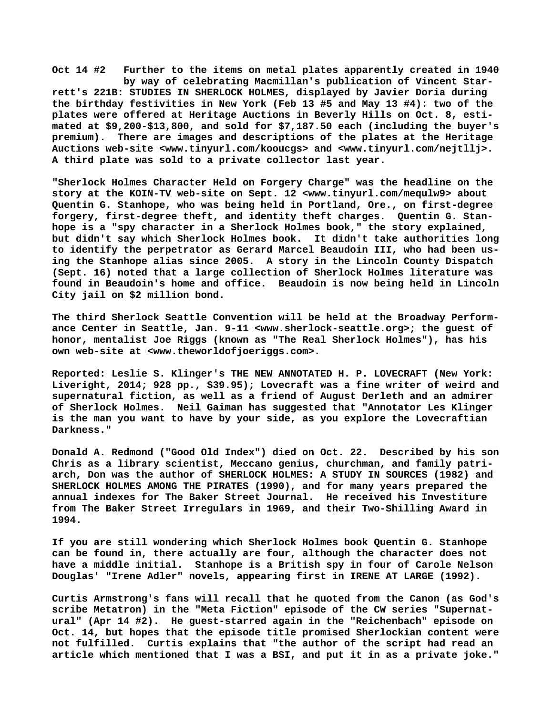**Oct 14 #2 Further to the items on metal plates apparently created in 1940 by way of celebrating Macmillan's publication of Vincent Starrett's 221B: STUDIES IN SHERLOCK HOLMES, displayed by Javier Doria during the birthday festivities in New York (Feb 13 #5 and May 13 #4): two of the plates were offered at Heritage Auctions in Beverly Hills on Oct. 8, estimated at \$9,200-\$13,800, and sold for \$7,187.50 each (including the buyer's premium). There are images and descriptions of the plates at the Heritage Auctions web-site [<www.tinyurl.com/kooucgs> a](http://www.tinyurl.com/kooucgs)nd [<www.tinyurl.com/nejtllj>.](http://www.tinyurl.com/nejtllj)  A third plate was sold to a private collector last year.**

**"Sherlock Holmes Character Held on Forgery Charge" was the headline on the story at the KOIN-TV web-site on Sept. 12 [<www.tinyurl.com/mequlw9> a](http://www.tinyurl.com/mequlw9)bout Quentin G. Stanhope, who was being held in Portland, Ore., on first-degree forgery, first-degree theft, and identity theft charges. Quentin G. Stanhope is a "spy character in a Sherlock Holmes book," the story explained, but didn't say which Sherlock Holmes book. It didn't take authorities long to identify the perpetrator as Gerard Marcel Beaudoin III, who had been using the Stanhope alias since 2005. A story in the Lincoln County Dispatch (Sept. 16) noted that a large collection of Sherlock Holmes literature was found in Beaudoin's home and office. Beaudoin is now being held in Lincoln City jail on \$2 million bond.**

**The third Sherlock Seattle Convention will be held at the Broadway Performance Center in Seattle, Jan. 9-11 <[www.sherlock-seattle.org>; t](http://www.sherlock-seattle.org)he guest of honor, mentalist Joe Riggs (known as "The Real Sherlock Holmes"), has his own web-site at <[www.theworldofjoeriggs.com>.](http://www.theworldofjoeriggs.com)**

**Reported: Leslie S. Klinger's THE NEW ANNOTATED H. P. LOVECRAFT (New York: Liveright, 2014; 928 pp., \$39.95); Lovecraft was a fine writer of weird and supernatural fiction, as well as a friend of August Derleth and an admirer of Sherlock Holmes. Neil Gaiman has suggested that "Annotator Les Klinger is the man you want to have by your side, as you explore the Lovecraftian Darkness."**

**Donald A. Redmond ("Good Old Index") died on Oct. 22. Described by his son Chris as a library scientist, Meccano genius, churchman, and family patriarch, Don was the author of SHERLOCK HOLMES: A STUDY IN SOURCES (1982) and SHERLOCK HOLMES AMONG THE PIRATES (1990), and for many years prepared the annual indexes for The Baker Street Journal. He received his Investiture from The Baker Street Irregulars in 1969, and their Two-Shilling Award in 1994.**

**If you are still wondering which Sherlock Holmes book Quentin G. Stanhope can be found in, there actually are four, although the character does not have a middle initial. Stanhope is a British spy in four of Carole Nelson Douglas' "Irene Adler" novels, appearing first in IRENE AT LARGE (1992).**

**Curtis Armstrong's fans will recall that he quoted from the Canon (as God's scribe Metatron) in the "Meta Fiction" episode of the CW series "Supernatural" (Apr 14 #2). He guest-starred again in the "Reichenbach" episode on Oct. 14, but hopes that the episode title promised Sherlockian content were not fulfilled. Curtis explains that "the author of the script had read an article which mentioned that I was a BSI, and put it in as a private joke."**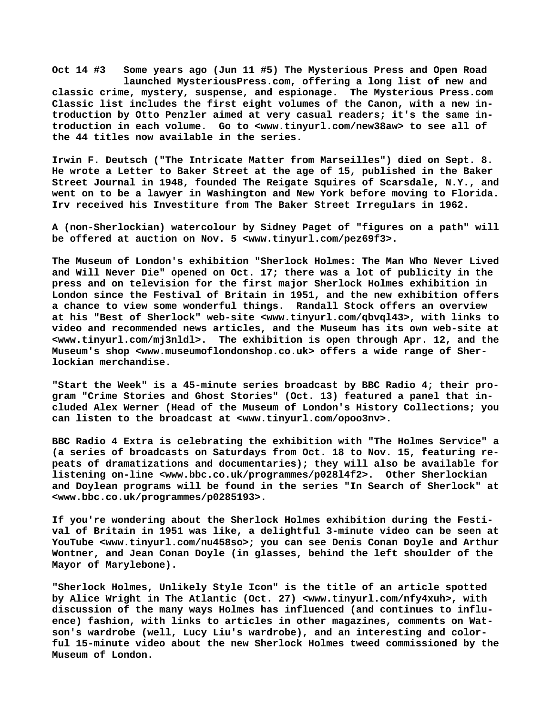**Oct 14 #3 Some years ago (Jun 11 #5) The Mysterious Press and Open Road launched MysteriousPress.com, offering a long list of new and classic crime, mystery, suspense, and espionage. The Mysterious Press.com Classic list includes the first eight volumes of the Canon, with a new introduction by Otto Penzler aimed at very casual readers; it's the same introduction in each volume. Go to <[www.tinyurl.com/new38aw> t](http://www.tinyurl.com/new38aw)o see all of the 44 titles now available in the series.**

**Irwin F. Deutsch ("The Intricate Matter from Marseilles") died on Sept. 8. He wrote a Letter to Baker Street at the age of 15, published in the Baker Street Journal in 1948, founded The Reigate Squires of Scarsdale, N.Y., and went on to be a lawyer in Washington and New York before moving to Florida. Irv received his Investiture from The Baker Street Irregulars in 1962.**

**A (non-Sherlockian) watercolour by Sidney Paget of "figures on a path" will be offered at auction on Nov. 5 [<www.tinyurl.com/pez69f3>.](http://www.tinyurl.com/pez69f3)**

**The Museum of London's exhibition "Sherlock Holmes: The Man Who Never Lived and Will Never Die" opened on Oct. 17; there was a lot of publicity in the press and on television for the first major Sherlock Holmes exhibition in London since the Festival of Britain in 1951, and the new exhibition offers a chance to view some wonderful things. Randall Stock offers an overview at his "Best of Sherlock" web-site [<www.tinyurl.com/qbvql43>, w](http://www.tinyurl.com/qbvql43)ith links to video and recommended news articles, and the Museum has its own web-site at [<www.tinyurl.com/mj3nldl>.](http://www.tinyurl.com/mj3nldl) The exhibition is open through Apr. 12, and the Museum's shop <[www.museumoflondonshop.co.uk> o](http://www.museumoflondonshop.co.uk)ffers a wide range of Sherlockian merchandise.**

**"Start the Week" is a 45-minute series broadcast by BBC Radio 4; their program "Crime Stories and Ghost Stories" (Oct. 13) featured a panel that included Alex Werner (Head of the Museum of London's History Collections; you can listen to the broadcast at <[www.tinyurl.com/opoo3nv>.](http://www.tinyurl.com/opoo3nv)**

**BBC Radio 4 Extra is celebrating the exhibition with "The Holmes Service" a (a series of broadcasts on Saturdays from Oct. 18 to Nov. 15, featuring repeats of dramatizations and documentaries); they will also be available for listening on-line [<www.bbc.co.uk/programmes/p028l4f2>.](http://www.bbc.co.uk/programmes/p028l4f2) Other Sherlockian and Doylean programs will be found in the series "In Search of Sherlock" at [<www.bbc.co.uk/programmes/p0285193>.](http://www.bbc.co.uk/programmes/p0285193)**

**If you're wondering about the Sherlock Holmes exhibition during the Festival of Britain in 1951 was like, a delightful 3-minute video can be seen at YouTube [<www.tinyurl.com/nu458so>; y](http://www.tinyurl.com/nu458so)ou can see Denis Conan Doyle and Arthur Wontner, and Jean Conan Doyle (in glasses, behind the left shoulder of the Mayor of Marylebone).**

**"Sherlock Holmes, Unlikely Style Icon" is the title of an article spotted by Alice Wright in The Atlantic (Oct. 27) [<www.tinyurl.com/nfy4xuh>, w](http://www.tinyurl.com/nfy4xuh)ith discussion of the many ways Holmes has influenced (and continues to influence) fashion, with links to articles in other magazines, comments on Watson's wardrobe (well, Lucy Liu's wardrobe), and an interesting and colorful 15-minute video about the new Sherlock Holmes tweed commissioned by the Museum of London.**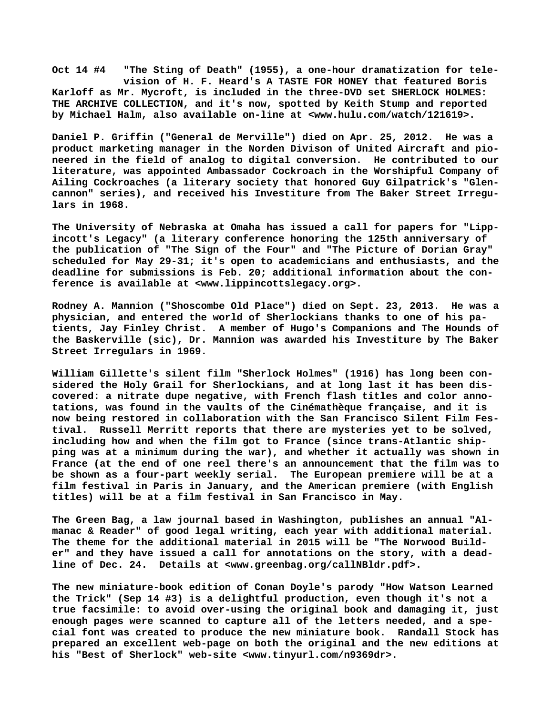**Oct 14 #4 "The Sting of Death" (1955), a one-hour dramatization for tele vision of H. F. Heard's A TASTE FOR HONEY that featured Boris Karloff as Mr. Mycroft, is included in the three-DVD set SHERLOCK HOLMES: THE ARCHIVE COLLECTION, and it's now, spotted by Keith Stump and reported by Michael Halm, also available on-line at [<www.hulu.com/watch/121619>.](http://www.hulu.com/watch/121619)**

**Daniel P. Griffin ("General de Merville") died on Apr. 25, 2012. He was a product marketing manager in the Norden Divison of United Aircraft and pioneered in the field of analog to digital conversion. He contributed to our literature, was appointed Ambassador Cockroach in the Worshipful Company of Ailing Cockroaches (a literary society that honored Guy Gilpatrick's "Glencannon" series), and received his Investiture from The Baker Street Irregulars in 1968.**

**The University of Nebraska at Omaha has issued a call for papers for "Lippincott's Legacy" (a literary conference honoring the 125th anniversary of the publication of "The Sign of the Four" and "The Picture of Dorian Gray" scheduled for May 29-31; it's open to academicians and enthusiasts, and the deadline for submissions is Feb. 20; additional information about the conference is available at <[www.lippincottslegacy.org>.](http://www.lippincottslegacy.org)**

**Rodney A. Mannion ("Shoscombe Old Place") died on Sept. 23, 2013. He was a physician, and entered the world of Sherlockians thanks to one of his patients, Jay Finley Christ. A member of Hugo's Companions and The Hounds of the Baskerville (sic), Dr. Mannion was awarded his Investiture by The Baker Street Irregulars in 1969.**

**William Gillette's silent film "Sherlock Holmes" (1916) has long been considered the Holy Grail for Sherlockians, and at long last it has been discovered: a nitrate dupe negative, with French flash titles and color annotations, was found in the vaults of the Cinémathèque française, and it is now being restored in collaboration with the San Francisco Silent Film Festival. Russell Merritt reports that there are mysteries yet to be solved, including how and when the film got to France (since trans-Atlantic shipping was at a minimum during the war), and whether it actually was shown in France (at the end of one reel there's an announcement that the film was to be shown as a four-part weekly serial. The European premiere will be at a film festival in Paris in January, and the American premiere (with English titles) will be at a film festival in San Francisco in May.**

**The Green Bag, a law journal based in Washington, publishes an annual "Almanac & Reader" of good legal writing, each year with additional material. The theme for the additional material in 2015 will be "The Norwood Builder" and they have issued a call for annotations on the story, with a deadline of Dec. 24. Details at <[www.greenbag.org/callNBldr.pdf>.](http://www.greenbag.org/callNBldr.pdf)**

**The new miniature-book edition of Conan Doyle's parody "How Watson Learned the Trick" (Sep 14 #3) is a delightful production, even though it's not a true facsimile: to avoid over-using the original book and damaging it, just enough pages were scanned to capture all of the letters needed, and a special font was created to produce the new miniature book. Randall Stock has prepared an excellent web-page on both the original and the new editions at his "Best of Sherlock" web-site <www.tinyurl.com/n9369dr>.**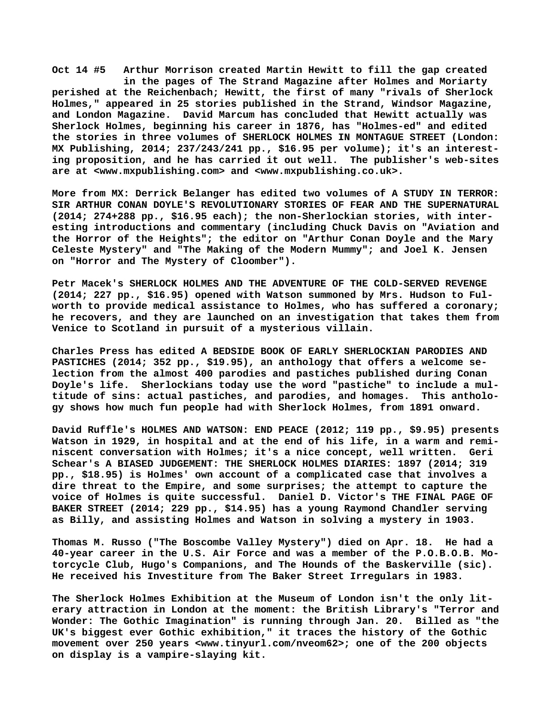**Oct 14 #5 Arthur Morrison created Martin Hewitt to fill the gap created in the pages of The Strand Magazine after Holmes and Moriarty perished at the Reichenbach; Hewitt, the first of many "rivals of Sherlock Holmes," appeared in 25 stories published in the Strand, Windsor Magazine, and London Magazine. David Marcum has concluded that Hewitt actually was Sherlock Holmes, beginning his career in 1876, has "Holmes-ed" and edited the stories in three volumes of SHERLOCK HOLMES IN MONTAGUE STREET (London: MX Publishing, 2014; 237/243/241 pp., \$16.95 per volume); it's an interesting proposition, and he has carried it out well. The publisher's web-sites are at [<www.mxpublishing.com> a](http://www.mxpublishing.com)nd <[www.mxpublishing.co.uk>.](http://www.mxpublishing.co.uk)**

**More from MX: Derrick Belanger has edited two volumes of A STUDY IN TERROR: SIR ARTHUR CONAN DOYLE'S REVOLUTIONARY STORIES OF FEAR AND THE SUPERNATURAL (2014; 274+288 pp., \$16.95 each); the non-Sherlockian stories, with interesting introductions and commentary (including Chuck Davis on "Aviation and the Horror of the Heights"; the editor on "Arthur Conan Doyle and the Mary Celeste Mystery" and "The Making of the Modern Mummy"; and Joel K. Jensen on "Horror and The Mystery of Cloomber").**

**Petr Macek's SHERLOCK HOLMES AND THE ADVENTURE OF THE COLD-SERVED REVENGE (2014; 227 pp., \$16.95) opened with Watson summoned by Mrs. Hudson to Fulworth to provide medical assistance to Holmes, who has suffered a coronary; he recovers, and they are launched on an investigation that takes them from Venice to Scotland in pursuit of a mysterious villain.**

**Charles Press has edited A BEDSIDE BOOK OF EARLY SHERLOCKIAN PARODIES AND PASTICHES (2014; 352 pp., \$19.95), an anthology that offers a welcome selection from the almost 400 parodies and pastiches published during Conan Doyle's life. Sherlockians today use the word "pastiche" to include a multitude of sins: actual pastiches, and parodies, and homages. This anthology shows how much fun people had with Sherlock Holmes, from 1891 onward.**

**David Ruffle's HOLMES AND WATSON: END PEACE (2012; 119 pp., \$9.95) presents Watson in 1929, in hospital and at the end of his life, in a warm and reminiscent conversation with Holmes; it's a nice concept, well written. Geri Schear's A BIASED JUDGEMENT: THE SHERLOCK HOLMES DIARIES: 1897 (2014; 319 pp., \$18.95) is Holmes' own account of a complicated case that involves a dire threat to the Empire, and some surprises; the attempt to capture the voice of Holmes is quite successful. Daniel D. Victor's THE FINAL PAGE OF BAKER STREET (2014; 229 pp., \$14.95) has a young Raymond Chandler serving as Billy, and assisting Holmes and Watson in solving a mystery in 1903.**

**Thomas M. Russo ("The Boscombe Valley Mystery") died on Apr. 18. He had a 40-year career in the U.S. Air Force and was a member of the P.O.B.O.B. Motorcycle Club, Hugo's Companions, and The Hounds of the Baskerville (sic). He received his Investiture from The Baker Street Irregulars in 1983.**

**The Sherlock Holmes Exhibition at the Museum of London isn't the only literary attraction in London at the moment: the British Library's "Terror and Wonder: The Gothic Imagination" is running through Jan. 20. Billed as "the UK's biggest ever Gothic exhibition," it traces the history of the Gothic movement over 250 years <[www.tinyurl.com/nveom62>; o](http://www.tinyurl.com/nveom62)ne of the 200 objects on display is a vampire-slaying kit.**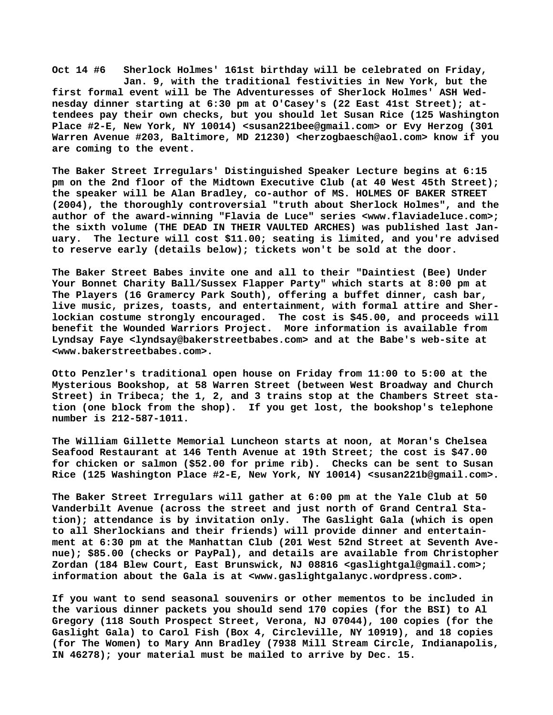**Oct 14 #6 Sherlock Holmes' 161st birthday will be celebrated on Friday, Jan. 9, with the traditional festivities in New York, but the first formal event will be The Adventuresses of Sherlock Holmes' ASH Wednesday dinner starting at 6:30 pm at O'Casey's (22 East 41st Street); attendees pay their own checks, but you should let Susan Rice (125 Washington Place #2-E, New York, NY 10014) [<susan221bee@gmail.com> o](mailto:susan221bee@gmail.com)r Evy Herzog (301 Warren Avenue #203, Baltimore, MD 21230) <[herzogbaesch@aol.com> k](mailto:herzogbaesch@aol.com)now if you are coming to the event.**

**The Baker Street Irregulars' Distinguished Speaker Lecture begins at 6:15 pm on the 2nd floor of the Midtown Executive Club (at 40 West 45th Street); the speaker will be Alan Bradley, co-author of MS. HOLMES OF BAKER STREET (2004), the thoroughly controversial "truth about Sherlock Holmes", and the author of the award-winning "Flavia de Luce" series [<www.flaviadeluce.com>;](http://www.flaviadeluce.com) the sixth volume (THE DEAD IN THEIR VAULTED ARCHES) was published last January. The lecture will cost \$11.00; seating is limited, and you're advised to reserve early (details below); tickets won't be sold at the door.**

**The Baker Street Babes invite one and all to their "Daintiest (Bee) Under Your Bonnet Charity Ball/Sussex Flapper Party" which starts at 8:00 pm at The Players (16 Gramercy Park South), offering a buffet dinner, cash bar, live music, prizes, toasts, and entertainment, with formal attire and Sherlockian costume strongly encouraged. The cost is \$45.00, and proceeds will benefit the Wounded Warriors Project. More information is available from Lyndsay Faye [<lyndsay@bakerstreetbabes.com> a](mailto:lyndsay@bakerstreetbabes.com)nd at the Babe's web-site at [<www.bakerstreetbabes.com>.](http://www.bakerstreetbabes.com)**

**Otto Penzler's traditional open house on Friday from 11:00 to 5:00 at the Mysterious Bookshop, at 58 Warren Street (between West Broadway and Church Street) in Tribeca; the 1, 2, and 3 trains stop at the Chambers Street station (one block from the shop). If you get lost, the bookshop's telephone number is 212-587-1011.**

**The William Gillette Memorial Luncheon starts at noon, at Moran's Chelsea Seafood Restaurant at 146 Tenth Avenue at 19th Street; the cost is \$47.00 for chicken or salmon (\$52.00 for prime rib). Checks can be sent to Susan Rice (125 Washington Place #2-E, New York, NY 10014) [<susan221b@gmail.com>.](mailto:susan221b@gmail.com)**

**The Baker Street Irregulars will gather at 6:00 pm at the Yale Club at 50 Vanderbilt Avenue (across the street and just north of Grand Central Station); attendance is by invitation only. The Gaslight Gala (which is open to all Sherlockians and their friends) will provide dinner and entertainment at 6:30 pm at the Manhattan Club (201 West 52nd Street at Seventh Avenue); \$85.00 (checks or PayPal), and details are available from Christopher Zordan (184 Blew Court, East Brunswick, NJ 08816 <[gaslightgal@gmail.com>;](mailto:gaslightgal@gmail.com) information about the Gala is at [<www.gaslightgalanyc.wordpress.com>.](http://www.gaslightgalanyc.wordpress.com)**

**If you want to send seasonal souvenirs or other mementos to be included in the various dinner packets you should send 170 copies (for the BSI) to Al Gregory (118 South Prospect Street, Verona, NJ 07044), 100 copies (for the Gaslight Gala) to Carol Fish (Box 4, Circleville, NY 10919), and 18 copies (for The Women) to Mary Ann Bradley (7938 Mill Stream Circle, Indianapolis, IN 46278); your material must be mailed to arrive by Dec. 15.**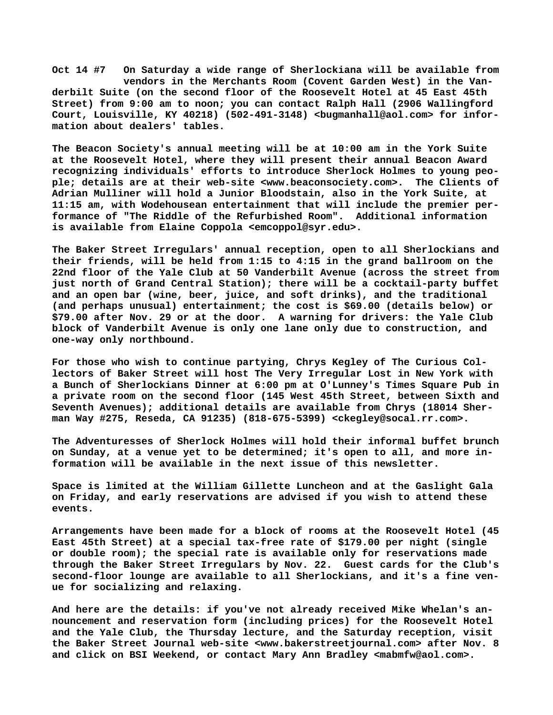**Oct 14 #7 On Saturday a wide range of Sherlockiana will be available from vendors in the Merchants Room (Covent Garden West) in the Vanderbilt Suite (on the second floor of the Roosevelt Hotel at 45 East 45th Street) from 9:00 am to noon; you can contact Ralph Hall (2906 Wallingford Court, Louisville, KY 40218) (502-491-3148) <[bugmanhall@aol.com> f](mailto:bugmanhall@aol.com)or information about dealers' tables.**

**The Beacon Society's annual meeting will be at 10:00 am in the York Suite at the Roosevelt Hotel, where they will present their annual Beacon Award recognizing individuals' efforts to introduce Sherlock Holmes to young people; details are at their web-site [<www.beaconsociety.com>.](http://www.beaconsociety.com) The Clients of Adrian Mulliner will hold a Junior Bloodstain, also in the York Suite, at 11:15 am, with Wodehousean entertainment that will include the premier performance of "The Riddle of the Refurbished Room". Additional information is available from Elaine Coppola [<emcoppol@syr.edu>.](mailto:emcoppol@syr.edu)**

**The Baker Street Irregulars' annual reception, open to all Sherlockians and their friends, will be held from 1:15 to 4:15 in the grand ballroom on the 22nd floor of the Yale Club at 50 Vanderbilt Avenue (across the street from just north of Grand Central Station); there will be a cocktail-party buffet and an open bar (wine, beer, juice, and soft drinks), and the traditional (and perhaps unusual) entertainment; the cost is \$69.00 (details below) or \$79.00 after Nov. 29 or at the door. A warning for drivers: the Yale Club block of Vanderbilt Avenue is only one lane only due to construction, and one-way only northbound.**

**For those who wish to continue partying, Chrys Kegley of The Curious Collectors of Baker Street will host The Very Irregular Lost in New York with a Bunch of Sherlockians Dinner at 6:00 pm at O'Lunney's Times Square Pub in a private room on the second floor (145 West 45th Street, between Sixth and Seventh Avenues); additional details are available from Chrys (18014 Sherman Way #275, Reseda, CA 91235) (818-675-5399) [<ckegley@socal.rr.com>.](mailto:ckegley@socal.rr.com)**

**The Adventuresses of Sherlock Holmes will hold their informal buffet brunch on Sunday, at a venue yet to be determined; it's open to all, and more information will be available in the next issue of this newsletter.**

**Space is limited at the William Gillette Luncheon and at the Gaslight Gala on Friday, and early reservations are advised if you wish to attend these events.**

**Arrangements have been made for a block of rooms at the Roosevelt Hotel (45 East 45th Street) at a special tax-free rate of \$179.00 per night (single or double room); the special rate is available only for reservations made through the Baker Street Irregulars by Nov. 22. Guest cards for the Club's second-floor lounge are available to all Sherlockians, and it's a fine venue for socializing and relaxing.**

**And here are the details: if you've not already received Mike Whelan's announcement and reservation form (including prices) for the Roosevelt Hotel and the Yale Club, the Thursday lecture, and the Saturday reception, visit the Baker Street Journal web-site <[www.bakerstreetjournal.com> a](http://www.bakerstreetjournal.com)fter Nov. 8 and click on BSI Weekend, or contact Mary Ann Bradley <[mabmfw@aol.com>.](mailto:mabmfw@aol.com)**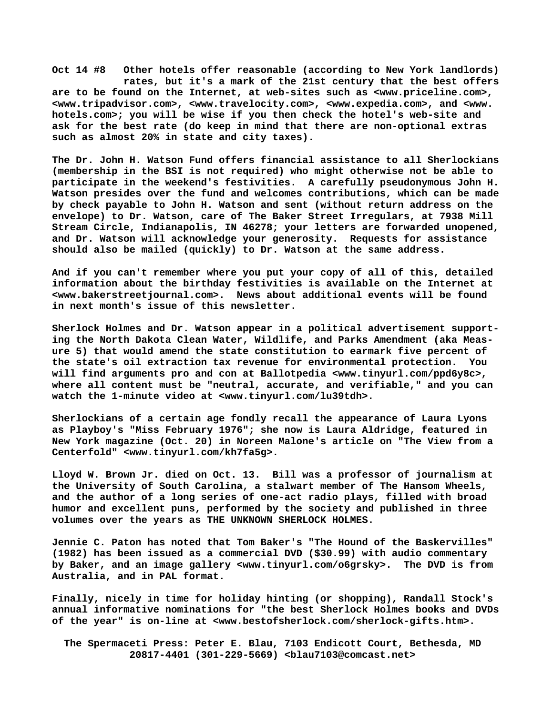**Oct 14 #8 Other hotels offer reasonable (according to New York landlords) rates, but it's a mark of the 21st century that the best offers are to be found on the Internet, at web-sites such as <[www.priceline.com>,](http://www.priceline.com) [<www.tripadvisor.com>, <](http://www.tripadvisor.com)[www.travelocity.com>, <](http://www.travelocity.com)[www.expedia.com>, a](http://www.expedia.com)nd <[www.](http://www.hotels.com)  [hotels.com>; y](http://www.hotels.com)ou will be wise if you then check the hotel's web-site and ask for the best rate (do keep in mind that there are non-optional extras such as almost 20% in state and city taxes).**

**The Dr. John H. Watson Fund offers financial assistance to all Sherlockians (membership in the BSI is not required) who might otherwise not be able to participate in the weekend's festivities. A carefully pseudonymous John H. Watson presides over the fund and welcomes contributions, which can be made by check payable to John H. Watson and sent (without return address on the envelope) to Dr. Watson, care of The Baker Street Irregulars, at 7938 Mill Stream Circle, Indianapolis, IN 46278; your letters are forwarded unopened, and Dr. Watson will acknowledge your generosity. Requests for assistance should also be mailed (quickly) to Dr. Watson at the same address.**

**And if you can't remember where you put your copy of all of this, detailed information about the birthday festivities is available on the Internet at [<www.bakerstreetjournal.com>.](http://www.bakerstreetjournal.com) News about additional events will be found in next month's issue of this newsletter.**

**Sherlock Holmes and Dr. Watson appear in a political advertisement supporting the North Dakota Clean Water, Wildlife, and Parks Amendment (aka Measure 5) that would amend the state constitution to earmark five percent of the state's oil extraction tax revenue for environmental protection. You will find arguments pro and con at Ballotpedia [<www.tinyurl.com/ppd6y8c>,](http://www.tinyurl.com/ppd6y8c) where all content must be "neutral, accurate, and verifiable," and you can watch the 1-minute video at [<www.tinyurl.com/lu39tdh>.](http://www.tinyurl.com/lu39tdh)**

**Sherlockians of a certain age fondly recall the appearance of Laura Lyons as Playboy's "Miss February 1976"; she now is Laura Aldridge, featured in New York magazine (Oct. 20) in Noreen Malone's article on "The View from a Centerfold" [<www.tinyurl.com/kh7fa5g>.](http://www.tinyurl.com/kh7fa5g)**

**Lloyd W. Brown Jr. died on Oct. 13. Bill was a professor of journalism at the University of South Carolina, a stalwart member of The Hansom Wheels, and the author of a long series of one-act radio plays, filled with broad humor and excellent puns, performed by the society and published in three volumes over the years as THE UNKNOWN SHERLOCK HOLMES.**

**Jennie C. Paton has noted that Tom Baker's "The Hound of the Baskervilles" (1982) has been issued as a commercial DVD (\$30.99) with audio commentary by Baker, and an image gallery <[www.tinyurl.com/o6grsky>.](http://www.tinyurl.com/o6grsky) The DVD is from Australia, and in PAL format.**

**Finally, nicely in time for holiday hinting (or shopping), Randall Stock's annual informative nominations for "the best Sherlock Holmes books and DVDs of the year" is on-line at [<www.bestofsherlock.com/sherlock-gifts.htm>.](http://www.bestofsherlock.com/sherlock-gifts.htm)**

 **The Spermaceti Press: Peter E. Blau, 7103 Endicott Court, Bethesda, MD 20817-4401 (301-229-5669) <[blau7103@comcast.net>](mailto:blau7103@comcast.net)**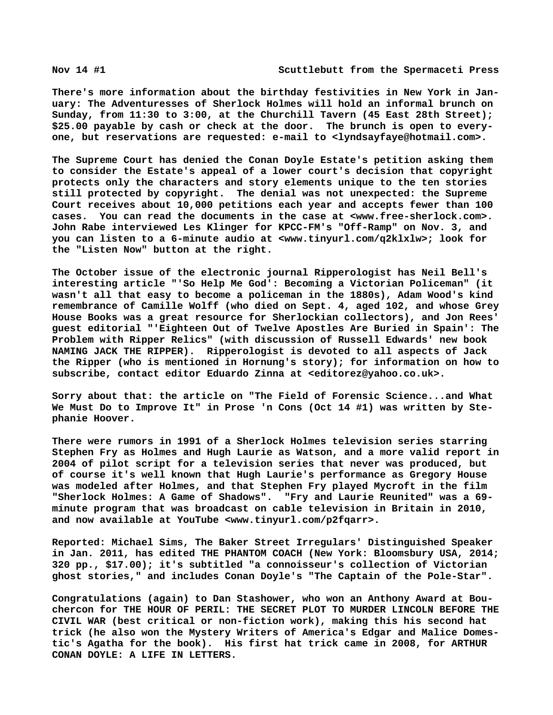**There's more information about the birthday festivities in New York in January: The Adventuresses of Sherlock Holmes will hold an informal brunch on Sunday, from 11:30 to 3:00, at the Churchill Tavern (45 East 28th Street); \$25.00 payable by cash or check at the door. The brunch is open to everyone, but reservations are requested: e-mail to [<lyndsayfaye@hotmail.com>.](mailto:lyndsayfaye@hotmail.com)**

**The Supreme Court has denied the Conan Doyle Estate's petition asking them to consider the Estate's appeal of a lower court's decision that copyright protects only the characters and story elements unique to the ten stories still protected by copyright. The denial was not unexpected: the Supreme Court receives about 10,000 petitions each year and accepts fewer than 100 cases. You can read the documents in the case at [<www.free-sherlock.com>.](http://www.free-sherlock.com)  John Rabe interviewed Les Klinger for KPCC-FM's "Off-Ramp" on Nov. 3, and you can listen to a 6-minute audio at [<www.tinyurl.com/q2klxlw>; l](http://www.tinyurl.com/q2klxlw)ook for the "Listen Now" button at the right.**

**The October issue of the electronic journal Ripperologist has Neil Bell's interesting article "'So Help Me God': Becoming a Victorian Policeman" (it wasn't all that easy to become a policeman in the 1880s), Adam Wood's kind remembrance of Camille Wolff (who died on Sept. 4, aged 102, and whose Grey House Books was a great resource for Sherlockian collectors), and Jon Rees' guest editorial "'Eighteen Out of Twelve Apostles Are Buried in Spain': The Problem with Ripper Relics" (with discussion of Russell Edwards' new book NAMING JACK THE RIPPER). Ripperologist is devoted to all aspects of Jack the Ripper (who is mentioned in Hornung's story); for information on how to subscribe, contact editor Eduardo Zinna at [<editorez@yahoo.co.uk>.](mailto:editorez@yahoo.co.uk)**

**Sorry about that: the article on "The Field of Forensic Science...and What We Must Do to Improve It" in Prose 'n Cons (Oct 14 #1) was written by Stephanie Hoover.**

**There were rumors in 1991 of a Sherlock Holmes television series starring Stephen Fry as Holmes and Hugh Laurie as Watson, and a more valid report in 2004 of pilot script for a television series that never was produced, but of course it's well known that Hugh Laurie's performance as Gregory House was modeled after Holmes, and that Stephen Fry played Mycroft in the film "Sherlock Holmes: A Game of Shadows". "Fry and Laurie Reunited" was a 69 minute program that was broadcast on cable television in Britain in 2010, and now available at YouTube <[www.tinyurl.com/p2fqarr>.](http://www.tinyurl.com/p2fqarr)**

**Reported: Michael Sims, The Baker Street Irregulars' Distinguished Speaker in Jan. 2011, has edited THE PHANTOM COACH (New York: Bloomsbury USA, 2014; 320 pp., \$17.00); it's subtitled "a connoisseur's collection of Victorian ghost stories," and includes Conan Doyle's "The Captain of the Pole-Star".**

**Congratulations (again) to Dan Stashower, who won an Anthony Award at Bouchercon for THE HOUR OF PERIL: THE SECRET PLOT TO MURDER LINCOLN BEFORE THE CIVIL WAR (best critical or non-fiction work), making this his second hat trick (he also won the Mystery Writers of America's Edgar and Malice Domestic's Agatha for the book). His first hat trick came in 2008, for ARTHUR CONAN DOYLE: A LIFE IN LETTERS.**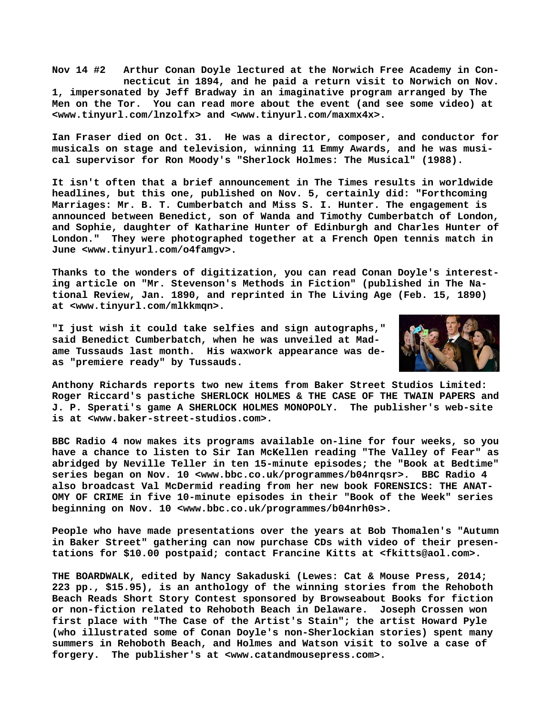**Nov 14 #2 Arthur Conan Doyle lectured at the Norwich Free Academy in Con necticut in 1894, and he paid a return visit to Norwich on Nov. 1, impersonated by Jeff Bradway in an imaginative program arranged by The Men on the Tor. You can read more about the event (and see some video) at [<www.tinyurl.com/lnzolfx> a](http://www.tinyurl.com/lnzolfx)nd [<www.tinyurl.com/maxmx4x>.](http://www.tinyurl.com/maxmx4x)**

**Ian Fraser died on Oct. 31. He was a director, composer, and conductor for musicals on stage and television, winning 11 Emmy Awards, and he was musical supervisor for Ron Moody's "Sherlock Holmes: The Musical" (1988).**

**It isn't often that a brief announcement in The Times results in worldwide headlines, but this one, published on Nov. 5, certainly did: "Forthcoming Marriages: Mr. B. T. Cumberbatch and Miss S. I. Hunter. The engagement is announced between Benedict, son of Wanda and Timothy Cumberbatch of London, and Sophie, daughter of Katharine Hunter of Edinburgh and Charles Hunter of London." They were photographed together at a French Open tennis match in June [<www.tinyurl.com/o4famgv>.](http://www.tinyurl.com/o4famgv)**

**Thanks to the wonders of digitization, you can read Conan Doyle's interesting article on "Mr. Stevenson's Methods in Fiction" (published in The National Review, Jan. 1890, and reprinted in The Living Age (Feb. 15, 1890) at [<www.tinyurl.com/mlkkmqn>.](http://www.tinyurl.com/mlkkmqn)**

**"I just wish it could take selfies and sign autographs," said Benedict Cumberbatch, when he was unveiled at Madame Tussauds last month. His waxwork appearance was deas "premiere ready" by Tussauds.**



**Anthony Richards reports two new items from Baker Street Studios Limited: Roger Riccard's pastiche SHERLOCK HOLMES & THE CASE OF THE TWAIN PAPERS and J. P. Sperati's game A SHERLOCK HOLMES MONOPOLY. The publisher's web-site is at <[www.baker-street-studios.com>.](http://www.baker-street-studios.com)**

**BBC Radio 4 now makes its programs available on-line for four weeks, so you have a chance to listen to Sir Ian McKellen reading "The Valley of Fear" as abridged by Neville Teller in ten 15-minute episodes; the "Book at Bedtime" series began on Nov. 10 <[www.bbc.co.uk/programmes/b04nrqsr>.](http://www.bbc.co.uk/programmes/b04nrqsr) BBC Radio 4 also broadcast Val McDermid reading from her new book FORENSICS: THE ANAT-OMY OF CRIME in five 10-minute episodes in their "Book of the Week" series beginning on Nov. 10 <[www.bbc.co.uk/programmes/b04nrh0s>.](http://www.bbc.co.uk/programmes/b04nrh0s)**

**People who have made presentations over the years at Bob Thomalen's "Autumn in Baker Street" gathering can now purchase CDs with video of their presentations for \$10.00 postpaid; contact Francine Kitts at [<fkitts@aol.com>.](mailto:fkitts@aol.com)**

**THE BOARDWALK, edited by Nancy Sakaduski (Lewes: Cat & Mouse Press, 2014; 223 pp., \$15.95), is an anthology of the winning stories from the Rehoboth Beach Reads Short Story Contest sponsored by Browseabout Books for fiction or non-fiction related to Rehoboth Beach in Delaware. Joseph Crossen won first place with "The Case of the Artist's Stain"; the artist Howard Pyle (who illustrated some of Conan Doyle's non-Sherlockian stories) spent many summers in Rehoboth Beach, and Holmes and Watson visit to solve a case of forgery. The publisher's at <[www.catandmousepress.com>.](http://www.catandmousepress.com)**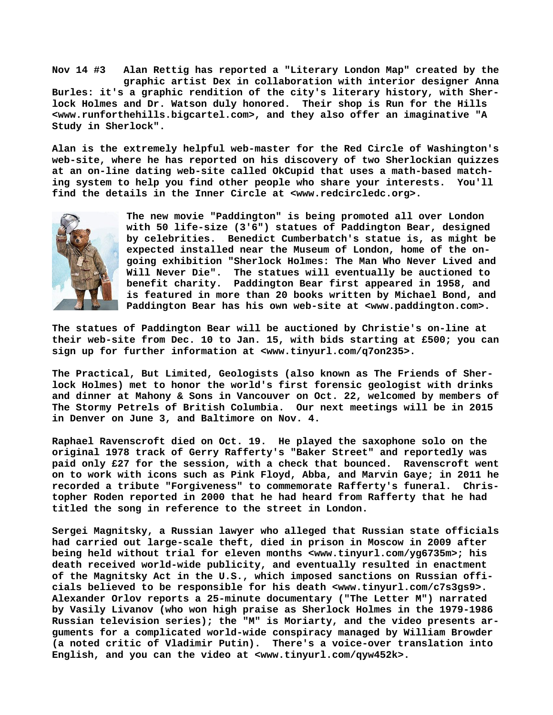**Nov 14 #3 Alan Rettig has reported a "Literary London Map" created by the graphic artist Dex in collaboration with interior designer Anna Burles: it's a graphic rendition of the city's literary history, with Sherlock Holmes and Dr. Watson duly honored. Their shop is Run for the Hills [<www.runforthehills.bigcartel.com>, a](http://www.runforthehills.bigcartel.com)nd they also offer an imaginative "A Study in Sherlock".**

**Alan is the extremely helpful web-master for the Red Circle of Washington's web-site, where he has reported on his discovery of two Sherlockian quizzes at an on-line dating web-site called OkCupid that uses a math-based matching system to help you find other people who share your interests. You'll find the details in the Inner Circle at [<www.redcircledc.org>.](http://www.redcircledc.org)**



**The new movie "Paddington" is being promoted all over London with 50 life-size (3'6") statues of Paddington Bear, designed by celebrities. Benedict Cumberbatch's statue is, as might be expected installed near the Museum of London, home of the ongoing exhibition "Sherlock Holmes: The Man Who Never Lived and Will Never Die". The statues will eventually be auctioned to benefit charity. Paddington Bear first appeared in 1958, and is featured in more than 20 books written by Michael Bond, and Paddington Bear has his own web-site at <[www.paddington.com>.](http://www.paddington.com)**

**The statues of Paddington Bear will be auctioned by Christie's on-line at their web-site from Dec. 10 to Jan. 15, with bids starting at £500; you can sign up for further information at [<www.tinyurl.com/q7on235>.](http://www.tinyurl.com/q7on235)**

**The Practical, But Limited, Geologists (also known as The Friends of Sherlock Holmes) met to honor the world's first forensic geologist with drinks and dinner at Mahony & Sons in Vancouver on Oct. 22, welcomed by members of The Stormy Petrels of British Columbia. Our next meetings will be in 2015 in Denver on June 3, and Baltimore on Nov. 4.**

**Raphael Ravenscroft died on Oct. 19. He played the saxophone solo on the original 1978 track of Gerry Rafferty's "Baker Street" and reportedly was paid only £27 for the session, with a check that bounced. Ravenscroft went on to work with icons such as Pink Floyd, Abba, and Marvin Gaye; in 2011 he recorded a tribute "Forgiveness" to commemorate Rafferty's funeral. Christopher Roden reported in 2000 that he had heard from Rafferty that he had titled the song in reference to the street in London.**

**Sergei Magnitsky, a Russian lawyer who alleged that Russian state officials had carried out large-scale theft, died in prison in Moscow in 2009 after being held without trial for eleven months [<www.tinyurl.com/yg6735m>; h](http://www.tinyurl.com/yg6735m)is death received world-wide publicity, and eventually resulted in enactment of the Magnitsky Act in the U.S., which imposed sanctions on Russian officials believed to be responsible for his death [<www.tinyurl.com/c7s3gs9>.](http://www.tinyurl.com/c7s3gs9)  Alexander Orlov reports a 25-minute documentary ("The Letter M") narrated by Vasily Livanov (who won high praise as Sherlock Holmes in the 1979-1986 Russian television series); the "M" is Moriarty, and the video presents arguments for a complicated world-wide conspiracy managed by William Browder (a noted critic of Vladimir Putin). There's a voice-over translation into English, and you can the video at <[www.tinyurl.com/qyw452k>.](http://www.tinyurl.com/qyw452k)**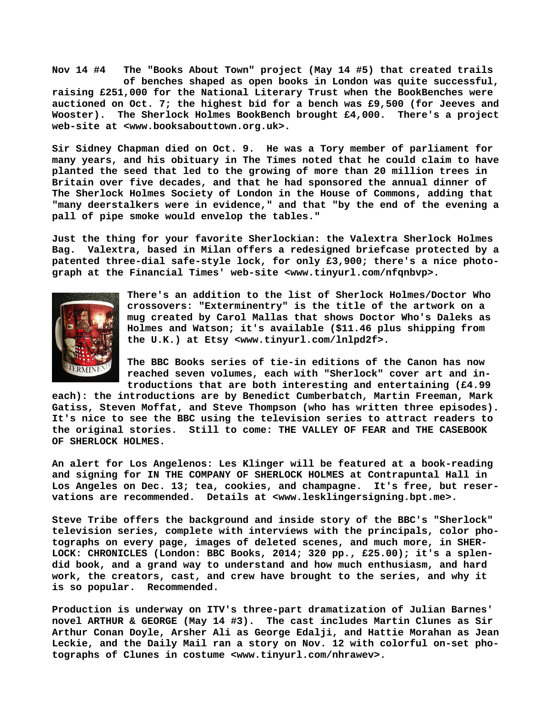**Nov 14 #4 The "Books About Town" project (May 14 #5) that created trails of benches shaped as open books in London was quite successful, raising £251,000 for the National Literary Trust when the BookBenches were auctioned on Oct. 7; the highest bid for a bench was £9,500 (for Jeeves and Wooster). The Sherlock Holmes BookBench brought £4,000. There's a project web-site at [<www.booksabouttown.org.uk>.](http://www.booksabouttown.org.uk)**

**Sir Sidney Chapman died on Oct. 9. He was a Tory member of parliament for many years, and his obituary in The Times noted that he could claim to have planted the seed that led to the growing of more than 20 million trees in Britain over five decades, and that he had sponsored the annual dinner of The Sherlock Holmes Society of London in the House of Commons, adding that "many deerstalkers were in evidence," and that "by the end of the evening a pall of pipe smoke would envelop the tables."**

**Just the thing for your favorite Sherlockian: the Valextra Sherlock Holmes Bag. Valextra, based in Milan offers a redesigned briefcase protected by a patented three-dial safe-style lock, for only £3,900; there's a nice photograph at the Financial Times' web-site <[www.tinyurl.com/nfqnbvp>.](http://www.tinyurl.com/nfqnbvp)**



**There's an addition to the list of Sherlock Holmes/Doctor Who crossovers: "Exterminentry" is the title of the artwork on a mug created by Carol Mallas that shows Doctor Who's Daleks as Holmes and Watson; it's available (\$11.46 plus shipping from the U.K.) at Etsy [<www.tinyurl.com/lnlpd2f>.](http://www.tinyurl.com/lnlpd2f)**

**The BBC Books series of tie-in editions of the Canon has now reached seven volumes, each with "Sherlock" cover art and introductions that are both interesting and entertaining (£4.99**

**each): the introductions are by Benedict Cumberbatch, Martin Freeman, Mark Gatiss, Steven Moffat, and Steve Thompson (who has written three episodes). It's nice to see the BBC using the television series to attract readers to the original stories. Still to come: THE VALLEY OF FEAR and THE CASEBOOK OF SHERLOCK HOLMES.**

**An alert for Los Angelenos: Les Klinger will be featured at a book-reading and signing for IN THE COMPANY OF SHERLOCK HOLMES at Contrapuntal Hall in Los Angeles on Dec. 13; tea, cookies, and champagne. It's free, but reservations are recommended. Details at [<www.lesklingersigning.bpt.me>.](http://www.lesklingersigning.bpt.me)**

**Steve Tribe offers the background and inside story of the BBC's "Sherlock" television series, complete with interviews with the principals, color photographs on every page, images of deleted scenes, and much more, in SHER-LOCK: CHRONICLES (London: BBC Books, 2014; 320 pp., £25.00); it's a splendid book, and a grand way to understand and how much enthusiasm, and hard work, the creators, cast, and crew have brought to the series, and why it is so popular. Recommended.**

**Production is underway on ITV's three-part dramatization of Julian Barnes' novel ARTHUR & GEORGE (May 14 #3). The cast includes Martin Clunes as Sir Arthur Conan Doyle, Arsher Ali as George Edalji, and Hattie Morahan as Jean Leckie, and the Daily Mail ran a story on Nov. 12 with colorful on-set photographs of Clunes in costume [<www.tinyurl.com/nhrawev>.](http://www.tinyurl.com/nhrawev)**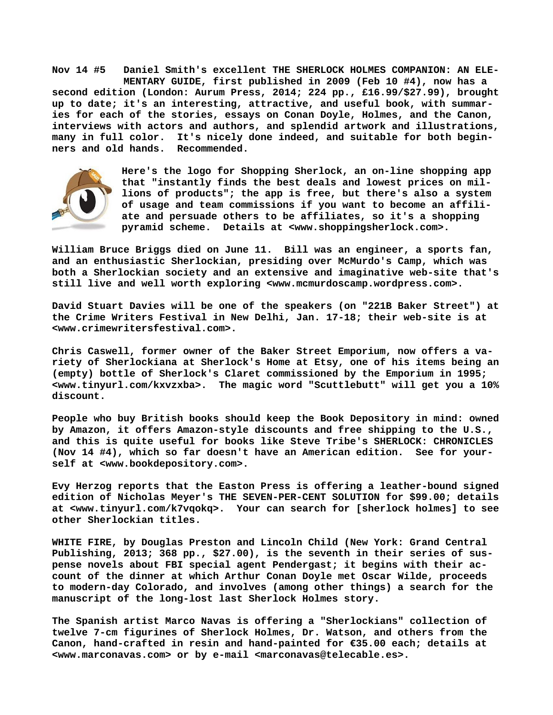**Nov 14 #5 Daniel Smith's excellent THE SHERLOCK HOLMES COMPANION: AN ELE- MENTARY GUIDE, first published in 2009 (Feb 10 #4), now has a second edition (London: Aurum Press, 2014; 224 pp., £16.99/\$27.99), brought up to date; it's an interesting, attractive, and useful book, with summaries for each of the stories, essays on Conan Doyle, Holmes, and the Canon, interviews with actors and authors, and splendid artwork and illustrations, many in full color. It's nicely done indeed, and suitable for both beginners and old hands. Recommended.**



**Here's the logo for Shopping Sherlock, an on-line shopping app that "instantly finds the best deals and lowest prices on millions of products"; the app is free, but there's also a system of usage and team commissions if you want to become an affiliate and persuade others to be affiliates, so it's a shopping pyramid scheme. Details at [<www.shoppingsherlock.com>.](http://www.shoppingsherlock.com)**

**William Bruce Briggs died on June 11. Bill was an engineer, a sports fan, and an enthusiastic Sherlockian, presiding over McMurdo's Camp, which was both a Sherlockian society and an extensive and imaginative web-site that's still live and well worth exploring <[www.mcmurdoscamp.wordpress.com>.](http://www.mcmurdoscamp.wordpress.com)**

**David Stuart Davies will be one of the speakers (on "221B Baker Street") at the Crime Writers Festival in New Delhi, Jan. 17-18; their web-site is at [<www.crimewritersfestival.com>.](http://www.crimewritersfestival.com)**

**Chris Caswell, former owner of the Baker Street Emporium, now offers a variety of Sherlockiana at Sherlock's Home at Etsy, one of his items being an (empty) bottle of Sherlock's Claret commissioned by the Emporium in 1995; [<www.tinyurl.com/kxvzxba>.](http://www.tinyurl.com/kxvzxba) The magic word "Scuttlebutt" will get you a 10% discount.**

**People who buy British books should keep the Book Depository in mind: owned by Amazon, it offers Amazon-style discounts and free shipping to the U.S., and this is quite useful for books like Steve Tribe's SHERLOCK: CHRONICLES (Nov 14 #4), which so far doesn't have an American edition. See for yourself at [<www.bookdepository.com>.](http://www.bookdepository.com)**

**Evy Herzog reports that the Easton Press is offering a leather-bound signed edition of Nicholas Meyer's THE SEVEN-PER-CENT SOLUTION for \$99.00; details at [<www.tinyurl.com/k7vqokq>.](http://www.tinyurl.com/k7vqokq) Your can search for [sherlock holmes] to see other Sherlockian titles.**

**WHITE FIRE, by Douglas Preston and Lincoln Child (New York: Grand Central Publishing, 2013; 368 pp., \$27.00), is the seventh in their series of suspense novels about FBI special agent Pendergast; it begins with their account of the dinner at which Arthur Conan Doyle met Oscar Wilde, proceeds to modern-day Colorado, and involves (among other things) a search for the manuscript of the long-lost last Sherlock Holmes story.**

**The Spanish artist Marco Navas is offering a "Sherlockians" collection of twelve 7-cm figurines of Sherlock Holmes, Dr. Watson, and others from the Canon, hand-crafted in resin and hand-painted for €35.00 each; details at [<www.marconavas.com> o](http://www.marconavas.com)r by e-mail <[marconavas@telecable.es>.](mailto:marconavas@telecable.es)**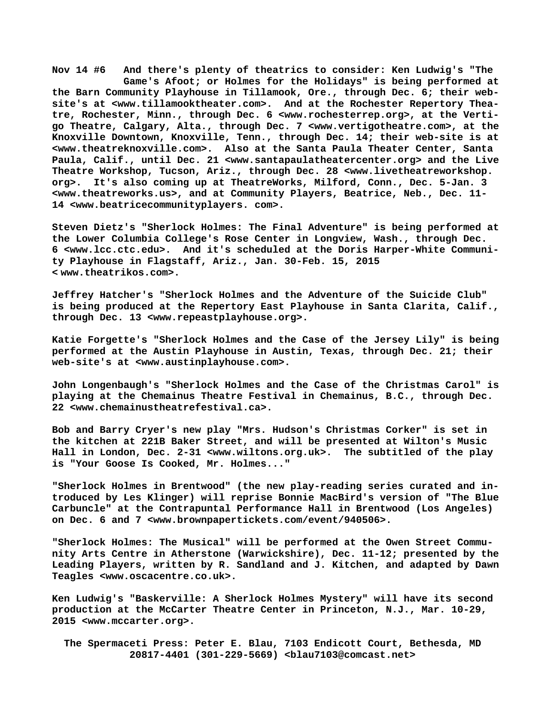**Nov 14 #6 And there's plenty of theatrics to consider: Ken Ludwig's "The Game's Afoot; or Holmes for the Holidays" is being performed at the Barn Community Playhouse in Tillamook, Ore., through Dec. 6; their website's at [<www.tillamooktheater.com>.](http://www.tillamooktheater.com) And at the Rochester Repertory Theatre, Rochester, Minn., through Dec. 6 [<www.rochesterrep.org>, a](http://www.rochesterrep.org)t the Vertigo Theatre, Calgary, Alta., through Dec. 7 [<www.vertigotheatre.com>, a](http://www.vertigotheatre.com)t the Knoxville Downtown, Knoxville, Tenn., through Dec. 14; their web-site is at [<www.theatreknoxville.com>.](http://www.theatreknoxville.com) Also at the Santa Paula Theater Center, Santa Paula, Calif., until Dec. 21 <[www.santapaulatheatercenter.org> a](http://www.santapaulatheatercenter.org)nd the Live Theatre Workshop, Tucson, Ariz., through Dec. 28 <[www.livetheatreworkshop.](http://www.livetheatreworkshop.org)  [org>.](http://www.livetheatreworkshop.org) It's also coming up at TheatreWorks, Milford, Conn., Dec. 5-Jan. 3 [<www.theatreworks.us>, a](http://www.theatreworks.us)nd at Community Players, Beatrice, Neb., Dec. 11- 14 [<www.beatricecommunityplayers. com>.](http://www.beatricecommunityplayers.com)**

**Steven Dietz's "Sherlock Holmes: The Final Adventure" is being performed at the Lower Columbia College's Rose Center in Longview, Wash., through Dec. 6 [<www.lcc.ctc.edu>.](http://www.lcc.ctc.edu) And it's scheduled at the Doris Harper-White Community Playhouse in Flagstaff, Ariz., Jan. 30-Feb. 15, 2015 < [www.theatrikos.com>.](http://www.theatrikos.com)**

**Jeffrey Hatcher's "Sherlock Holmes and the Adventure of the Suicide Club" is being produced at the Repertory East Playhouse in Santa Clarita, Calif., through Dec. 13 <[www.repeastplayhouse.org>.](http://www.repeastplayhouse.org)**

**Katie Forgette's "Sherlock Holmes and the Case of the Jersey Lily" is being performed at the Austin Playhouse in Austin, Texas, through Dec. 21; their web-site's at <[www.austinplayhouse.com>.](http://www.austinplayhouse.com)**

**John Longenbaugh's "Sherlock Holmes and the Case of the Christmas Carol" is playing at the Chemainus Theatre Festival in Chemainus, B.C., through Dec. 22 [<www.chemainustheatrefestival.ca>.](http://www.chemainustheatrefestival.ca)**

**Bob and Barry Cryer's new play "Mrs. Hudson's Christmas Corker" is set in the kitchen at 221B Baker Street, and will be presented at Wilton's Music Hall in London, Dec. 2-31 <[www.wiltons.org.uk>.](http://www.wiltons.org.uk) The subtitled of the play is "Your Goose Is Cooked, Mr. Holmes..."**

**"Sherlock Holmes in Brentwood" (the new play-reading series curated and introduced by Les Klinger) will reprise Bonnie MacBird's version of "The Blue Carbuncle" at the Contrapuntal Performance Hall in Brentwood (Los Angeles) on Dec. 6 and 7 <[www.brownpapertickets.com/event/940506>.](http://www.brownpapertickets.com/event/940506)**

**"Sherlock Holmes: The Musical" will be performed at the Owen Street Community Arts Centre in Atherstone (Warwickshire), Dec. 11-12; presented by the Leading Players, written by R. Sandland and J. Kitchen, and adapted by Dawn Teagles [<www.oscacentre.co.uk>.](http://www.oscacentre.co.uk)**

**Ken Ludwig's "Baskerville: A Sherlock Holmes Mystery" will have its second production at the McCarter Theatre Center in Princeton, N.J., Mar. 10-29, 2015 [<www.mccarter.org>.](http://www.mccarter.org)**

 **The Spermaceti Press: Peter E. Blau, 7103 Endicott Court, Bethesda, MD 20817-4401 (301-229-5669) <[blau7103@comcast.net>](mailto:blau7103@comcast.net)**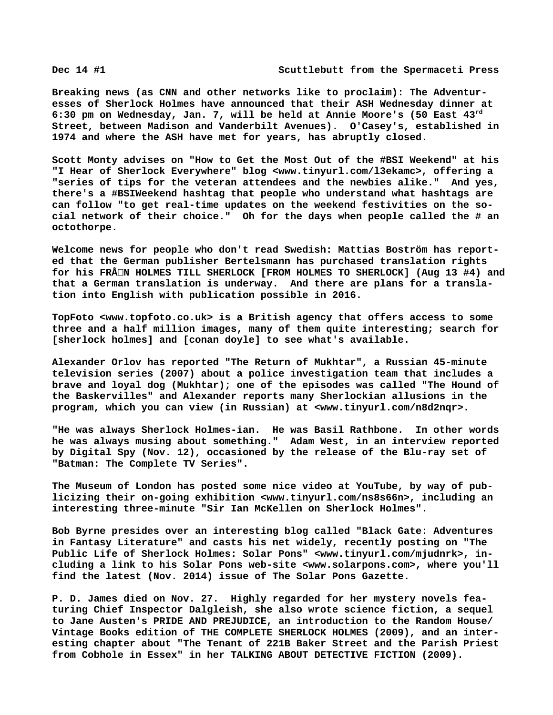**Breaking news (as CNN and other networks like to proclaim): The Adventuresses of Sherlock Holmes have announced that their ASH Wednesday dinner at 6:30 pm on Wednesday, Jan. 7, will be held at Annie Moore's (50 East 43rd Street, between Madison and Vanderbilt Avenues). O'Casey's, established in 1974 and where the ASH have met for years, has abruptly closed.**

**Scott Monty advises on "How to Get the Most Out of the #BSI Weekend" at his "I Hear of Sherlock Everywhere" blog [<www.tinyurl.com/l3ekamc>, o](http://www.tinyurl.com/l3ekamc)ffering a "series of tips for the veteran attendees and the newbies alike." And yes, there's a #BSIWeekend hashtag that people who understand what hashtags are can follow "to get real-time updates on the weekend festivities on the social network of their choice." Oh for the days when people called the # an octothorpe.**

**Welcome news for people who don't read Swedish: Mattias Boström has reported that the German publisher Bertelsmann has purchased translation rights for his FRÅN HOLMES TILL SHERLOCK [FROM HOLMES TO SHERLOCK] (Aug 13 #4) and that a German translation is underway. And there are plans for a translation into English with publication possible in 2016.**

**TopFoto [<www.topfoto.co.uk> i](http://www.topfoto.co.uk)s a British agency that offers access to some three and a half million images, many of them quite interesting; search for [sherlock holmes] and [conan doyle] to see what's available.**

**Alexander Orlov has reported "The Return of Mukhtar", a Russian 45-minute television series (2007) about a police investigation team that includes a brave and loyal dog (Mukhtar); one of the episodes was called "The Hound of the Baskervilles" and Alexander reports many Sherlockian allusions in the program, which you can view (in Russian) at <[www.tinyurl.com/n8d2nqr>.](http://www.tinyurl.com/n8d2nqr)**

**"He was always Sherlock Holmes-ian. He was Basil Rathbone. In other words he was always musing about something." Adam West, in an interview reported by Digital Spy (Nov. 12), occasioned by the release of the Blu-ray set of "Batman: The Complete TV Series".**

**The Museum of London has posted some nice video at YouTube, by way of publicizing their on-going exhibition [<www.tinyurl.com/ns8s66n>, i](http://www.tinyurl.com/ns8s66n)ncluding an interesting three-minute "Sir Ian McKellen on Sherlock Holmes".**

**Bob Byrne presides over an interesting blog called "Black Gate: Adventures in Fantasy Literature" and casts his net widely, recently posting on "The Public Life of Sherlock Holmes: Solar Pons" <[www.tinyurl.com/mjudnrk>, i](http://www.tinyurl.com/mjudnrk)ncluding a link to his Solar Pons web-site [<www.solarpons.com>, w](http://www.solarpons.com)here you'll find the latest (Nov. 2014) issue of The Solar Pons Gazette.**

**P. D. James died on Nov. 27. Highly regarded for her mystery novels featuring Chief Inspector Dalgleish, she also wrote science fiction, a sequel to Jane Austen's PRIDE AND PREJUDICE, an introduction to the Random House/ Vintage Books edition of THE COMPLETE SHERLOCK HOLMES (2009), and an interesting chapter about "The Tenant of 221B Baker Street and the Parish Priest from Cobhole in Essex" in her TALKING ABOUT DETECTIVE FICTION (2009).**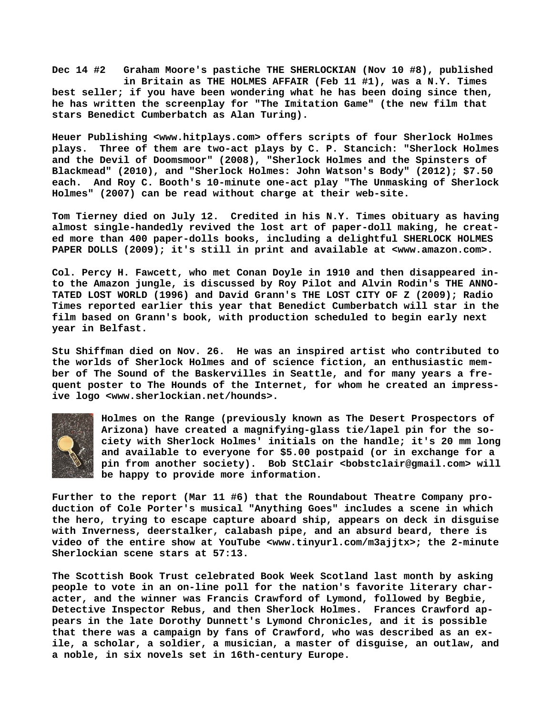**Dec 14 #2 Graham Moore's pastiche THE SHERLOCKIAN (Nov 10 #8), published in Britain as THE HOLMES AFFAIR (Feb 11 #1), was a N.Y. Times best seller; if you have been wondering what he has been doing since then, he has written the screenplay for "The Imitation Game" (the new film that stars Benedict Cumberbatch as Alan Turing).**

**Heuer Publishing [<www.hitplays.com> o](http://www.hitplays.com)ffers scripts of four Sherlock Holmes plays. Three of them are two-act plays by C. P. Stancich: "Sherlock Holmes and the Devil of Doomsmoor" (2008), "Sherlock Holmes and the Spinsters of Blackmead" (2010), and "Sherlock Holmes: John Watson's Body" (2012); \$7.50 each. And Roy C. Booth's 10-minute one-act play "The Unmasking of Sherlock Holmes" (2007) can be read without charge at their web-site.**

**Tom Tierney died on July 12. Credited in his N.Y. Times obituary as having almost single-handedly revived the lost art of paper-doll making, he created more than 400 paper-dolls books, including a delightful SHERLOCK HOLMES PAPER DOLLS (2009); it's still in print and available at <[www.amazon.com>.](http://www.amazon.com)**

**Col. Percy H. Fawcett, who met Conan Doyle in 1910 and then disappeared into the Amazon jungle, is discussed by Roy Pilot and Alvin Rodin's THE ANNO-TATED LOST WORLD (1996) and David Grann's THE LOST CITY OF Z (2009); Radio Times reported earlier this year that Benedict Cumberbatch will star in the film based on Grann's book, with production scheduled to begin early next year in Belfast.**

**Stu Shiffman died on Nov. 26. He was an inspired artist who contributed to the worlds of Sherlock Holmes and of science fiction, an enthusiastic member of The Sound of the Baskervilles in Seattle, and for many years a frequent poster to The Hounds of the Internet, for whom he created an impressive logo <[www.sherlockian.net/hounds>.](http://www.sherlockian.net/hounds)**



**Holmes on the Range (previously known as The Desert Prospectors of Arizona) have created a magnifying-glass tie/lapel pin for the society with Sherlock Holmes' initials on the handle; it's 20 mm long and available to everyone for \$5.00 postpaid (or in exchange for a pin from another society). Bob StClair [<bobstclair@gmail.com> w](mailto:bobstclair@gmail.com)ill be happy to provide more information.**

**Further to the report (Mar 11 #6) that the Roundabout Theatre Company production of Cole Porter's musical "Anything Goes" includes a scene in which the hero, trying to escape capture aboard ship, appears on deck in disguise with Inverness, deerstalker, calabash pipe, and an absurd beard, there is video of the entire show at YouTube <[www.tinyurl.com/m3ajjtx>; t](http://www.tinyurl.com/m3ajjtx)he 2-minute Sherlockian scene stars at 57:13.**

**The Scottish Book Trust celebrated Book Week Scotland last month by asking people to vote in an on-line poll for the nation's favorite literary character, and the winner was Francis Crawford of Lymond, followed by Begbie, Detective Inspector Rebus, and then Sherlock Holmes. Frances Crawford appears in the late Dorothy Dunnett's Lymond Chronicles, and it is possible that there was a campaign by fans of Crawford, who was described as an exile, a scholar, a soldier, a musician, a master of disguise, an outlaw, and a noble, in six novels set in 16th-century Europe.**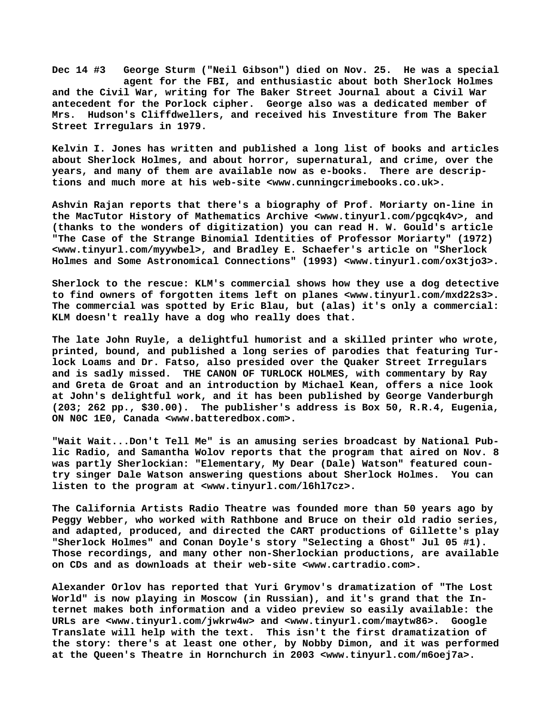**Dec 14 #3 George Sturm ("Neil Gibson") died on Nov. 25. He was a special agent for the FBI, and enthusiastic about both Sherlock Holmes and the Civil War, writing for The Baker Street Journal about a Civil War antecedent for the Porlock cipher. George also was a dedicated member of Mrs. Hudson's Cliffdwellers, and received his Investiture from The Baker Street Irregulars in 1979.**

**Kelvin I. Jones has written and published a long list of books and articles about Sherlock Holmes, and about horror, supernatural, and crime, over the years, and many of them are available now as e-books. There are descriptions and much more at his web-site <[www.cunningcrimebooks.co.uk>.](http://www.cunningcrimebooks.co.uk)**

**Ashvin Rajan reports that there's a biography of Prof. Moriarty on-line in the MacTutor History of Mathematics Archive <[www.tinyurl.com/pgcqk4v>, a](http://www.tinyurl.com/pgcqk4v)nd (thanks to the wonders of digitization) you can read H. W. Gould's article "The Case of the Strange Binomial Identities of Professor Moriarty" (1972) [<www.tinyurl.com/myywbel>, a](http://www.tinyurl.com/myywbel)nd Bradley E. Schaefer's article on "Sherlock Holmes and Some Astronomical Connections" (1993) <[www.tinyurl.com/ox3tjo3>.](http://www.tinyurl.com/ox3tjo3)**

**Sherlock to the rescue: KLM's commercial shows how they use a dog detective to find owners of forgotten items left on planes <[www.tinyurl.com/mxd22s3>.](http://www.tinyurl.com/mxd22s3)  The commercial was spotted by Eric Blau, but (alas) it's only a commercial: KLM doesn't really have a dog who really does that.**

**The late John Ruyle, a delightful humorist and a skilled printer who wrote, printed, bound, and published a long series of parodies that featuring Turlock Loams and Dr. Fatso, also presided over the Quaker Street Irregulars and is sadly missed. THE CANON OF TURLOCK HOLMES, with commentary by Ray and Greta de Groat and an introduction by Michael Kean, offers a nice look at John's delightful work, and it has been published by George Vanderburgh (203; 262 pp., \$30.00). The publisher's address is Box 50, R.R.4, Eugenia, ON N0C 1E0, Canada <[www.batteredbox.com>.](http://www.batteredbox.com)**

**"Wait Wait...Don't Tell Me" is an amusing series broadcast by National Public Radio, and Samantha Wolov reports that the program that aired on Nov. 8 was partly Sherlockian: "Elementary, My Dear (Dale) Watson" featured country singer Dale Watson answering questions about Sherlock Holmes. You can listen to the program at [<www.tinyurl.com/l6hl7cz>.](http://www.tinyurl.com/l6hl7cz)**

**The California Artists Radio Theatre was founded more than 50 years ago by Peggy Webber, who worked with Rathbone and Bruce on their old radio series, and adapted, produced, and directed the CART productions of Gillette's play "Sherlock Holmes" and Conan Doyle's story "Selecting a Ghost" Jul 05 #1). Those recordings, and many other non-Sherlockian productions, are available on CDs and as downloads at their web-site [<www.cartradio.com>.](http://www.cartradio.com)**

**Alexander Orlov has reported that Yuri Grymov's dramatization of "The Lost World" is now playing in Moscow (in Russian), and it's grand that the Internet makes both information and a video preview so easily available: the URLs are <[www.tinyurl.com/jwkrw4w> a](http://www.tinyurl.com/jwkrw4w)nd <[www.tinyurl.com/maytw86>.](http://www.tinyurl.com/maytw86) Google Translate will help with the text. This isn't the first dramatization of the story: there's at least one other, by Nobby Dimon, and it was performed at the Queen's Theatre in Hornchurch in 2003 [<www.tinyurl.com/m6oej7a>.](http://www.tinyurl.com/m6oej7a)**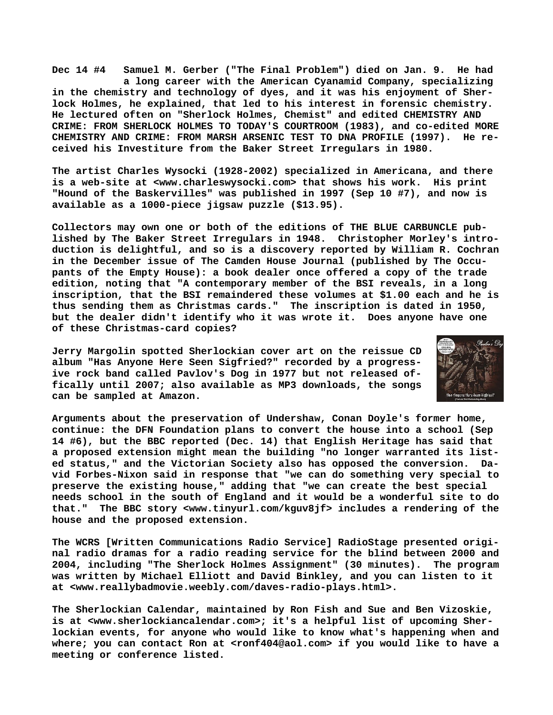**Dec 14 #4 Samuel M. Gerber ("The Final Problem") died on Jan. 9. He had a long career with the American Cyanamid Company, specializing in the chemistry and technology of dyes, and it was his enjoyment of Sherlock Holmes, he explained, that led to his interest in forensic chemistry. He lectured often on "Sherlock Holmes, Chemist" and edited CHEMISTRY AND CRIME: FROM SHERLOCK HOLMES TO TODAY'S COURTROOM (1983), and co-edited MORE CHEMISTRY AND CRIME: FROM MARSH ARSENIC TEST TO DNA PROFILE (1997). He received his Investiture from the Baker Street Irregulars in 1980.**

**The artist Charles Wysocki (1928-2002) specialized in Americana, and there is a web-site at [<www.charleswysocki.com> t](http://www.charleswysocki.com)hat shows his work. His print "Hound of the Baskervilles" was published in 1997 (Sep 10 #7), and now is available as a 1000-piece jigsaw puzzle (\$13.95).**

**Collectors may own one or both of the editions of THE BLUE CARBUNCLE published by The Baker Street Irregulars in 1948. Christopher Morley's introduction is delightful, and so is a discovery reported by William R. Cochran in the December issue of The Camden House Journal (published by The Occupants of the Empty House): a book dealer once offered a copy of the trade edition, noting that "A contemporary member of the BSI reveals, in a long inscription, that the BSI remaindered these volumes at \$1.00 each and he is thus sending them as Christmas cards." The inscription is dated in 1950, but the dealer didn't identify who it was wrote it. Does anyone have one of these Christmas-card copies?**

**Jerry Margolin spotted Sherlockian cover art on the reissue CD album "Has Anyone Here Seen Sigfried?" recorded by a progressive rock band called Pavlov's Dog in 1977 but not released offically until 2007; also available as MP3 downloads, the songs can be sampled at Amazon.**



**Arguments about the preservation of Undershaw, Conan Doyle's former home, continue: the DFN Foundation plans to convert the house into a school (Sep 14 #6), but the BBC reported (Dec. 14) that English Heritage has said that a proposed extension might mean the building "no longer warranted its listed status," and the Victorian Society also has opposed the conversion. David Forbes-Nixon said in response that "we can do something very special to preserve the existing house," adding that "we can create the best special needs school in the south of England and it would be a wonderful site to do that." The BBC story [<www.tinyurl.com/kguv8jf> i](http://www.tinyurl.com/kguv8jf)ncludes a rendering of the house and the proposed extension.**

**The WCRS [Written Communications Radio Service] RadioStage presented original radio dramas for a radio reading service for the blind between 2000 and 2004, including "The Sherlock Holmes Assignment" (30 minutes). The program was written by Michael Elliott and David Binkley, and you can listen to it at [<www.reallybadmovie.weebly.com/daves-radio-plays.html>.](http://www.reallybadmovie.weebly.com/daves-radio-plays.html)**

**The Sherlockian Calendar, maintained by Ron Fish and Sue and Ben Vizoskie, is at <[www.sherlockiancalendar.com>; i](http://www.sherlockiancalendar.com)t's a helpful list of upcoming Sherlockian events, for anyone who would like to know what's happening when and where; you can contact Ron at [<ronf404@aol.com> i](mailto:ronf404@aol.com)f you would like to have a meeting or conference listed.**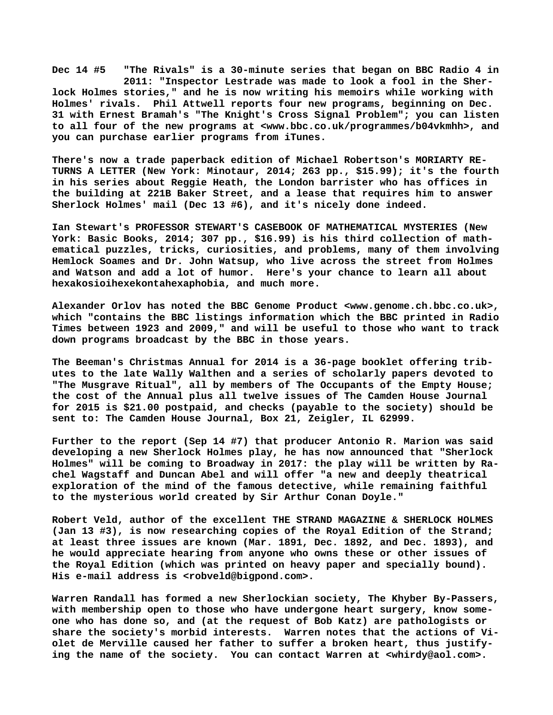**Dec 14 #5 "The Rivals" is a 30-minute series that began on BBC Radio 4 in 2011: "Inspector Lestrade was made to look a fool in the Sherlock Holmes stories," and he is now writing his memoirs while working with Holmes' rivals. Phil Attwell reports four new programs, beginning on Dec. 31 with Ernest Bramah's "The Knight's Cross Signal Problem"; you can listen to all four of the new programs at [<www.bbc.co.uk/programmes/b04vkmhh>, a](http://www.bbc.co.uk/programmes/b04vkmhh)nd you can purchase earlier programs from iTunes.**

**There's now a trade paperback edition of Michael Robertson's MORIARTY RE-TURNS A LETTER (New York: Minotaur, 2014; 263 pp., \$15.99); it's the fourth in his series about Reggie Heath, the London barrister who has offices in the building at 221B Baker Street, and a lease that requires him to answer Sherlock Holmes' mail (Dec 13 #6), and it's nicely done indeed.**

**Ian Stewart's PROFESSOR STEWART'S CASEBOOK OF MATHEMATICAL MYSTERIES (New York: Basic Books, 2014; 307 pp., \$16.99) is his third collection of mathematical puzzles, tricks, curiosities, and problems, many of them involving Hemlock Soames and Dr. John Watsup, who live across the street from Holmes and Watson and add a lot of humor. Here's your chance to learn all about hexakosioihexekontahexaphobia, and much more.**

**Alexander Orlov has noted the BBC Genome Product <[www.genome.ch.bbc.co.uk>,](http://www.genome.ch.bbc.co.uk) which "contains the BBC listings information which the BBC printed in Radio Times between 1923 and 2009," and will be useful to those who want to track down programs broadcast by the BBC in those years.**

**The Beeman's Christmas Annual for 2014 is a 36-page booklet offering tributes to the late Wally Walthen and a series of scholarly papers devoted to "The Musgrave Ritual", all by members of The Occupants of the Empty House; the cost of the Annual plus all twelve issues of The Camden House Journal for 2015 is \$21.00 postpaid, and checks (payable to the society) should be sent to: The Camden House Journal, Box 21, Zeigler, IL 62999.**

**Further to the report (Sep 14 #7) that producer Antonio R. Marion was said developing a new Sherlock Holmes play, he has now announced that "Sherlock Holmes" will be coming to Broadway in 2017: the play will be written by Rachel Wagstaff and Duncan Abel and will offer "a new and deeply theatrical exploration of the mind of the famous detective, while remaining faithful to the mysterious world created by Sir Arthur Conan Doyle."**

**Robert Veld, author of the excellent THE STRAND MAGAZINE & SHERLOCK HOLMES (Jan 13 #3), is now researching copies of the Royal Edition of the Strand; at least three issues are known (Mar. 1891, Dec. 1892, and Dec. 1893), and he would appreciate hearing from anyone who owns these or other issues of the Royal Edition (which was printed on heavy paper and specially bound). His e-mail address is [<robveld@bigpond.com>.](mailto:robveld@bigpond.com)**

**Warren Randall has formed a new Sherlockian society, The Khyber By-Passers, with membership open to those who have undergone heart surgery, know someone who has done so, and (at the request of Bob Katz) are pathologists or share the society's morbid interests. Warren notes that the actions of Violet de Merville caused her father to suffer a broken heart, thus justifying the name of the society. You can contact Warren at <[whirdy@aol.com>.](mailto:whirdy@aol.com)**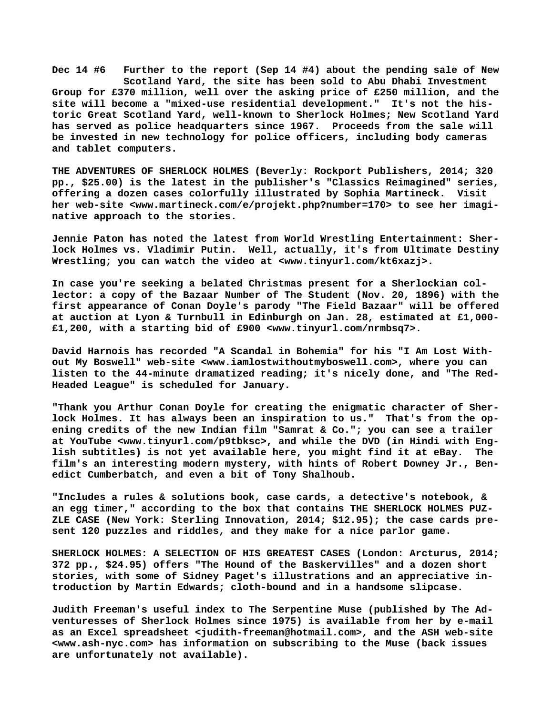**Dec 14 #6 Further to the report (Sep 14 #4) about the pending sale of New Scotland Yard, the site has been sold to Abu Dhabi Investment Group for £370 million, well over the asking price of £250 million, and the site will become a "mixed-use residential development." It's not the historic Great Scotland Yard, well-known to Sherlock Holmes; New Scotland Yard has served as police headquarters since 1967. Proceeds from the sale will be invested in new technology for police officers, including body cameras and tablet computers.**

**THE ADVENTURES OF SHERLOCK HOLMES (Beverly: Rockport Publishers, 2014; 320 pp., \$25.00) is the latest in the publisher's "Classics Reimagined" series, offering a dozen cases colorfully illustrated by Sophia Martineck. Visit her web-site [<www.martineck.com/e/projekt.php?number=170> t](http://www.martineck.com/e/projekt.php?number=170)o see her imaginative approach to the stories.**

**Jennie Paton has noted the latest from World Wrestling Entertainment: Sherlock Holmes vs. Vladimir Putin. Well, actually, it's from Ultimate Destiny Wrestling; you can watch the video at [<www.tinyurl.com/kt6xazj>.](http://www.tinyurl.com/kt6xazj)**

**In case you're seeking a belated Christmas present for a Sherlockian collector: a copy of the Bazaar Number of The Student (Nov. 20, 1896) with the first appearance of Conan Doyle's parody "The Field Bazaar" will be offered at auction at Lyon & Turnbull in Edinburgh on Jan. 28, estimated at £1,000- £1,200, with a starting bid of £900 <[www.tinyurl.com/nrmbsq7>.](http://www.tinyurl.com/nrmbsq7)**

**David Harnois has recorded "A Scandal in Bohemia" for his "I Am Lost Without My Boswell" web-site [<www.iamlostwithoutmyboswell.com>, w](http://www.iamlostwithoutmyboswell.com)here you can listen to the 44-minute dramatized reading; it's nicely done, and "The Red-Headed League" is scheduled for January.**

**"Thank you Arthur Conan Doyle for creating the enigmatic character of Sherlock Holmes. It has always been an inspiration to us." That's from the opening credits of the new Indian film "Samrat & Co."; you can see a trailer at YouTube <[www.tinyurl.com/p9tbksc>, a](http://www.tinyurl.com/p9tbksc)nd while the DVD (in Hindi with English subtitles) is not yet available here, you might find it at eBay. The film's an interesting modern mystery, with hints of Robert Downey Jr., Benedict Cumberbatch, and even a bit of Tony Shalhoub.**

**"Includes a rules & solutions book, case cards, a detective's notebook, & an egg timer," according to the box that contains THE SHERLOCK HOLMES PUZ-ZLE CASE (New York: Sterling Innovation, 2014; \$12.95); the case cards present 120 puzzles and riddles, and they make for a nice parlor game.**

**SHERLOCK HOLMES: A SELECTION OF HIS GREATEST CASES (London: Arcturus, 2014; 372 pp., \$24.95) offers "The Hound of the Baskervilles" and a dozen short stories, with some of Sidney Paget's illustrations and an appreciative introduction by Martin Edwards; cloth-bound and in a handsome slipcase.**

**Judith Freeman's useful index to The Serpentine Muse (published by The Adventuresses of Sherlock Holmes since 1975) is available from her by e-mail as an Excel spreadsheet <[judith-freeman@hotmail.com>, a](mailto:judith-freeman@hotmail.com)nd the ASH web-site [<www.ash-nyc.com> h](http://www.ash-nyc.com)as information on subscribing to the Muse (back issues are unfortunately not available).**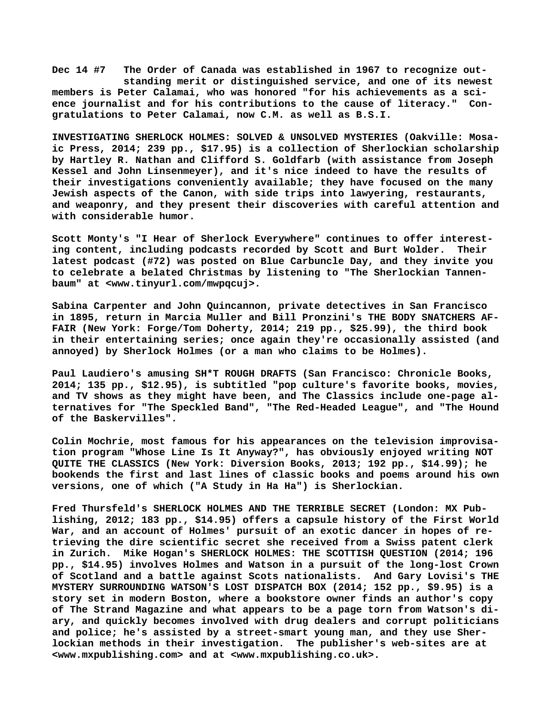**Dec 14 #7 The Order of Canada was established in 1967 to recognize out standing merit or distinguished service, and one of its newest members is Peter Calamai, who was honored "for his achievements as a science journalist and for his contributions to the cause of literacy." Congratulations to Peter Calamai, now C.M. as well as B.S.I.**

**INVESTIGATING SHERLOCK HOLMES: SOLVED & UNSOLVED MYSTERIES (Oakville: Mosaic Press, 2014; 239 pp., \$17.95) is a collection of Sherlockian scholarship by Hartley R. Nathan and Clifford S. Goldfarb (with assistance from Joseph Kessel and John Linsenmeyer), and it's nice indeed to have the results of their investigations conveniently available; they have focused on the many Jewish aspects of the Canon, with side trips into lawyering, restaurants, and weaponry, and they present their discoveries with careful attention and with considerable humor.**

**Scott Monty's "I Hear of Sherlock Everywhere" continues to offer interesting content, including podcasts recorded by Scott and Burt Wolder. Their latest podcast (#72) was posted on Blue Carbuncle Day, and they invite you to celebrate a belated Christmas by listening to "The Sherlockian Tannenbaum" at <[www.tinyurl.com/mwpqcuj>.](http://www.tinyurl.com/mwpqcuj)**

**Sabina Carpenter and John Quincannon, private detectives in San Francisco in 1895, return in Marcia Muller and Bill Pronzini's THE BODY SNATCHERS AF-FAIR (New York: Forge/Tom Doherty, 2014; 219 pp., \$25.99), the third book in their entertaining series; once again they're occasionally assisted (and annoyed) by Sherlock Holmes (or a man who claims to be Holmes).**

**Paul Laudiero's amusing SH\*T ROUGH DRAFTS (San Francisco: Chronicle Books, 2014; 135 pp., \$12.95), is subtitled "pop culture's favorite books, movies, and TV shows as they might have been, and The Classics include one-page alternatives for "The Speckled Band", "The Red-Headed League", and "The Hound of the Baskervilles".**

**Colin Mochrie, most famous for his appearances on the television improvisation program "Whose Line Is It Anyway?", has obviously enjoyed writing NOT QUITE THE CLASSICS (New York: Diversion Books, 2013; 192 pp., \$14.99); he bookends the first and last lines of classic books and poems around his own versions, one of which ("A Study in Ha Ha") is Sherlockian.**

**Fred Thursfeld's SHERLOCK HOLMES AND THE TERRIBLE SECRET (London: MX Publishing, 2012; 183 pp., \$14.95) offers a capsule history of the First World War, and an account of Holmes' pursuit of an exotic dancer in hopes of retrieving the dire scientific secret she received from a Swiss patent clerk in Zurich. Mike Hogan's SHERLOCK HOLMES: THE SCOTTISH QUESTION (2014; 196 pp., \$14.95) involves Holmes and Watson in a pursuit of the long-lost Crown of Scotland and a battle against Scots nationalists. And Gary Lovisi's THE MYSTERY SURROUNDING WATSON'S LOST DISPATCH BOX (2014; 152 pp., \$9.95) is a story set in modern Boston, where a bookstore owner finds an author's copy of The Strand Magazine and what appears to be a page torn from Watson's diary, and quickly becomes involved with drug dealers and corrupt politicians and police; he's assisted by a street-smart young man, and they use Sherlockian methods in their investigation. The publisher's web-sites are at [<www.mxpublishing.com> a](http://www.mxpublishing.com)nd at [<www.mxpublishing.co.uk>.](http://www.mxpublishing.co.uk)**